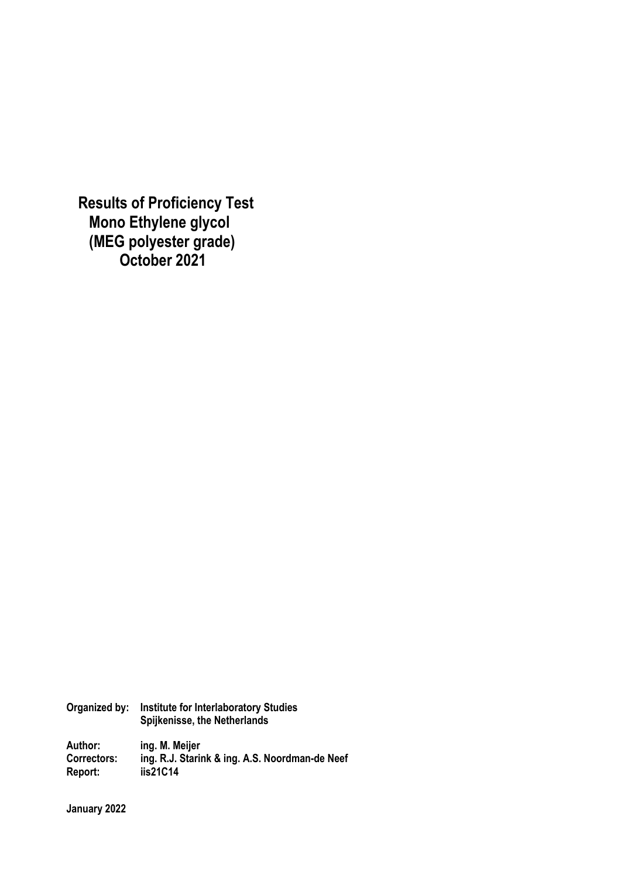**Results of Proficiency Test Mono Ethylene glycol (MEG polyester grade) October 2021** 

**Organized by: Institute for Interlaboratory Studies Spijkenisse, the Netherlands** 

**Author: ing. M. Meijer Correctors: ing. R.J. Starink & ing. A.S. Noordman-de Neef Report: iis21C14** 

**January 2022**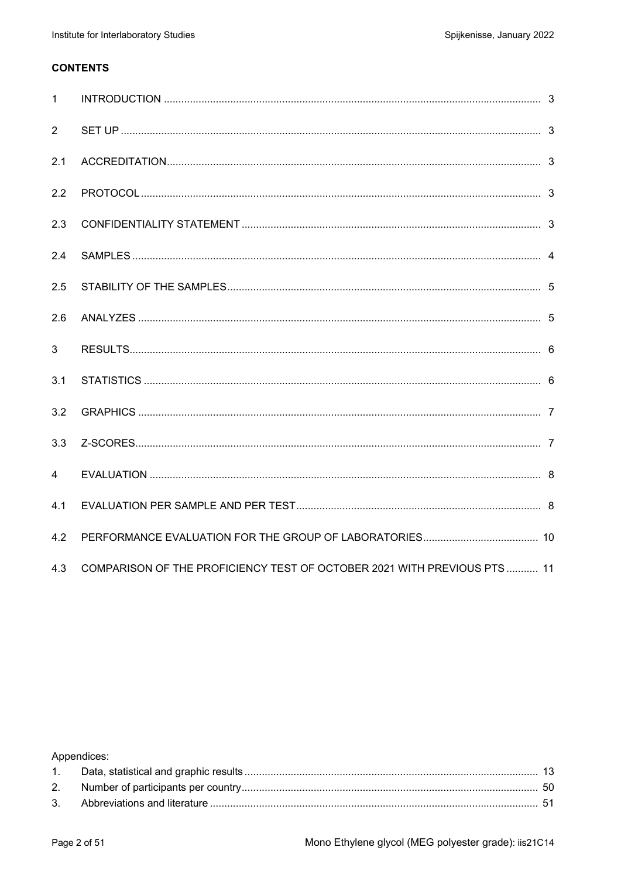#### **CONTENTS**

| $\mathbf{1}$ |                                                                         |  |
|--------------|-------------------------------------------------------------------------|--|
| 2            |                                                                         |  |
| 2.1          |                                                                         |  |
| 2.2          |                                                                         |  |
| 2.3          |                                                                         |  |
| 2.4          |                                                                         |  |
| 2.5          |                                                                         |  |
| 2.6          |                                                                         |  |
| 3            |                                                                         |  |
| 3.1          |                                                                         |  |
| 3.2          |                                                                         |  |
| 3.3          |                                                                         |  |
| 4            |                                                                         |  |
| 4.1          |                                                                         |  |
| 4.2          |                                                                         |  |
| 4.3          | COMPARISON OF THE PROFICIENCY TEST OF OCTOBER 2021 WITH PREVIOUS PTS 11 |  |

Appendices: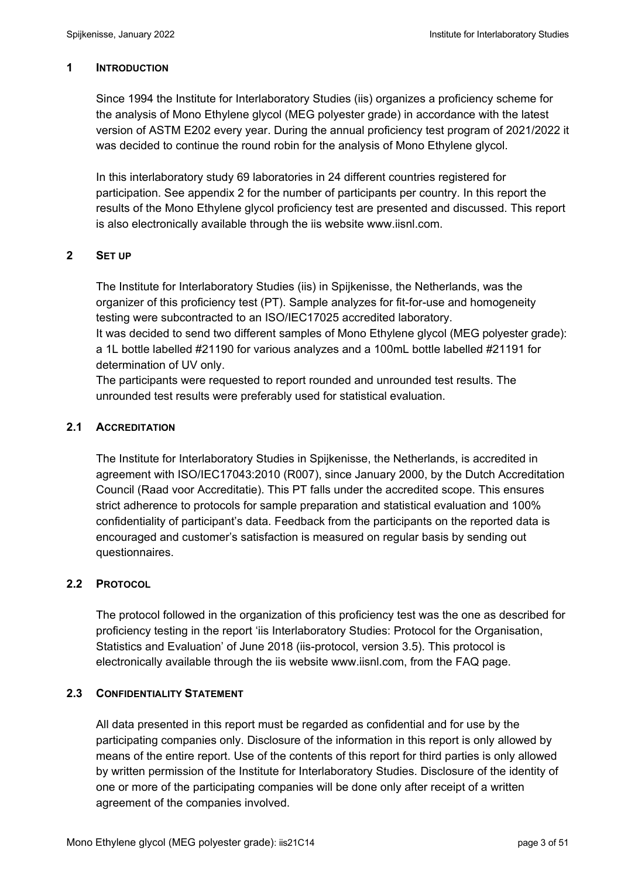#### **1 INTRODUCTION**

Since 1994 the Institute for Interlaboratory Studies (iis) organizes a proficiency scheme for the analysis of Mono Ethylene glycol (MEG polyester grade) in accordance with the latest version of ASTM E202 every year. During the annual proficiency test program of 2021/2022 it was decided to continue the round robin for the analysis of Mono Ethylene glycol.

In this interlaboratory study 69 laboratories in 24 different countries registered for participation. See appendix 2 for the number of participants per country. In this report the results of the Mono Ethylene glycol proficiency test are presented and discussed. This report is also electronically available through the iis website www.iisnl.com.

#### **2 SET UP**

The Institute for Interlaboratory Studies (iis) in Spijkenisse, the Netherlands, was the organizer of this proficiency test (PT). Sample analyzes for fit-for-use and homogeneity testing were subcontracted to an ISO/IEC17025 accredited laboratory. It was decided to send two different samples of Mono Ethylene glycol (MEG polyester grade): a 1L bottle labelled #21190 for various analyzes and a 100mL bottle labelled #21191 for determination of UV only.

The participants were requested to report rounded and unrounded test results. The unrounded test results were preferably used for statistical evaluation.

#### **2.1 ACCREDITATION**

The Institute for Interlaboratory Studies in Spijkenisse, the Netherlands, is accredited in agreement with ISO/IEC17043:2010 (R007), since January 2000, by the Dutch Accreditation Council (Raad voor Accreditatie). This PT falls under the accredited scope. This ensures strict adherence to protocols for sample preparation and statistical evaluation and 100% confidentiality of participant's data. Feedback from the participants on the reported data is encouraged and customer's satisfaction is measured on regular basis by sending out questionnaires.

### **2.2 PROTOCOL**

The protocol followed in the organization of this proficiency test was the one as described for proficiency testing in the report 'iis Interlaboratory Studies: Protocol for the Organisation, Statistics and Evaluation' of June 2018 (iis-protocol, version 3.5). This protocol is electronically available through the iis website www.iisnl.com, from the FAQ page.

#### **2.3 CONFIDENTIALITY STATEMENT**

All data presented in this report must be regarded as confidential and for use by the participating companies only. Disclosure of the information in this report is only allowed by means of the entire report. Use of the contents of this report for third parties is only allowed by written permission of the Institute for Interlaboratory Studies. Disclosure of the identity of one or more of the participating companies will be done only after receipt of a written agreement of the companies involved.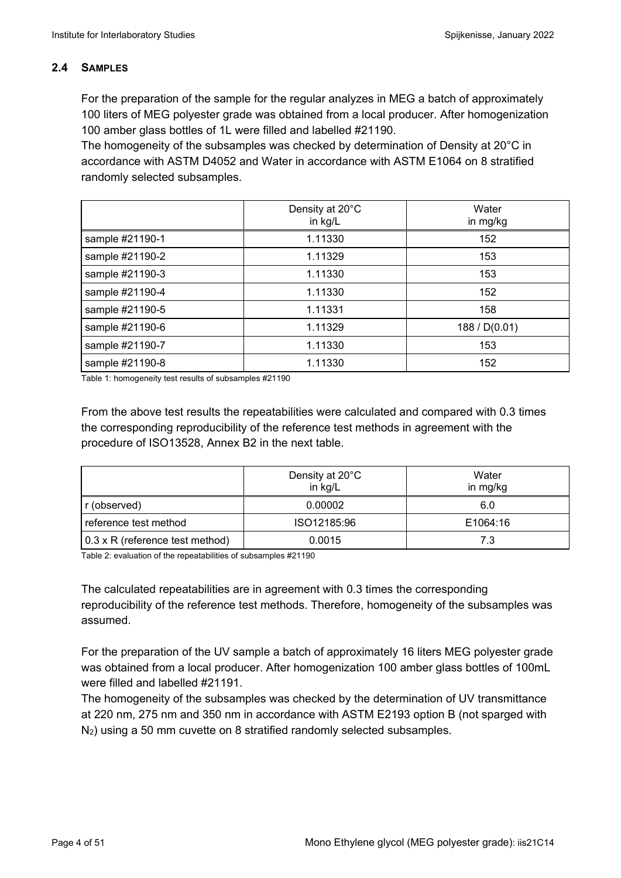### **2.4 SAMPLES**

For the preparation of the sample for the regular analyzes in MEG a batch of approximately 100 liters of MEG polyester grade was obtained from a local producer. After homogenization 100 amber glass bottles of 1L were filled and labelled #21190.

The homogeneity of the subsamples was checked by determination of Density at 20°C in accordance with ASTM D4052 and Water in accordance with ASTM E1064 on 8 stratified randomly selected subsamples.

|                 | Density at 20°C<br>in kg/L | Water<br>in mg/kg |
|-----------------|----------------------------|-------------------|
| sample #21190-1 | 1.11330                    | 152               |
| sample #21190-2 | 1.11329                    | 153               |
| sample #21190-3 | 1.11330                    | 153               |
| sample #21190-4 | 1.11330                    | 152               |
| sample #21190-5 | 1.11331                    | 158               |
| sample #21190-6 | 1.11329                    | 188 / D(0.01)     |
| sample #21190-7 | 1.11330                    | 153               |
| sample #21190-8 | 1.11330                    | 152               |

Table 1: homogeneity test results of subsamples #21190

From the above test results the repeatabilities were calculated and compared with 0.3 times the corresponding reproducibility of the reference test methods in agreement with the procedure of ISO13528, Annex B2 in the next table.

|                                 | Density at 20°C<br>in kg/L | Water<br>in mg/kg |
|---------------------------------|----------------------------|-------------------|
| r (observed)                    | 0.00002                    | 6.0               |
| reference test method           | ISO12185:96                | E1064:16          |
| 0.3 x R (reference test method) | 0.0015                     | 7.3               |

Table 2: evaluation of the repeatabilities of subsamples #21190

The calculated repeatabilities are in agreement with 0.3 times the corresponding reproducibility of the reference test methods. Therefore, homogeneity of the subsamples was assumed.

For the preparation of the UV sample a batch of approximately 16 liters MEG polyester grade was obtained from a local producer. After homogenization 100 amber glass bottles of 100mL were filled and labelled #21191.

The homogeneity of the subsamples was checked by the determination of UV transmittance at 220 nm, 275 nm and 350 nm in accordance with ASTM E2193 option B (not sparged with N2) using a 50 mm cuvette on 8 stratified randomly selected subsamples.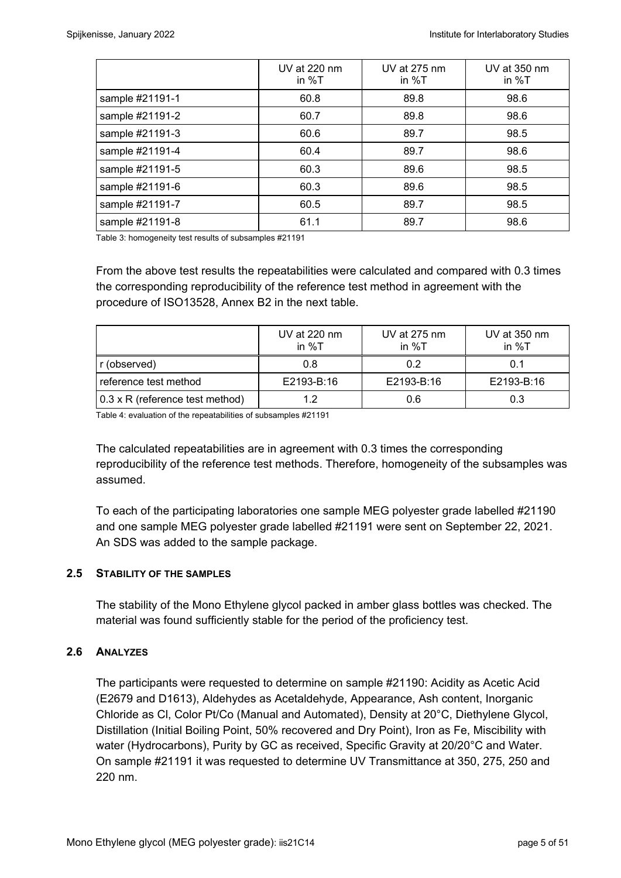|                 | UV at 220 nm<br>in $\%T$ | UV at 275 nm<br>in $%T$ | UV at 350 nm<br>in $\%T$ |
|-----------------|--------------------------|-------------------------|--------------------------|
| sample #21191-1 | 60.8                     | 89.8                    | 98.6                     |
| sample #21191-2 | 60.7                     | 89.8                    | 98.6                     |
| sample #21191-3 | 60.6                     | 89.7                    | 98.5                     |
| sample #21191-4 | 60.4                     | 89.7                    | 98.6                     |
| sample #21191-5 | 60.3                     | 89.6                    | 98.5                     |
| sample #21191-6 | 60.3                     | 89.6                    | 98.5                     |
| sample #21191-7 | 60.5                     | 89.7                    | 98.5                     |
| sample #21191-8 | 61.1                     | 89.7                    | 98.6                     |

Table 3: homogeneity test results of subsamples #21191

From the above test results the repeatabilities were calculated and compared with 0.3 times the corresponding reproducibility of the reference test method in agreement with the procedure of ISO13528, Annex B2 in the next table.

|                                        | UV at 220 nm<br>in %T | UV at 275 nm<br>in $\%T$ | UV at $350 \text{ nm}$<br>in $\%T$ |
|----------------------------------------|-----------------------|--------------------------|------------------------------------|
| r (observed)                           | 0.8                   | 0.2                      | 0.1                                |
| reference test method                  | E2193-B:16            | E2193-B:16               | E2193-B:16                         |
| $0.3 \times R$ (reference test method) | 12                    | 0.6                      | 0.3                                |

Table 4: evaluation of the repeatabilities of subsamples #21191

The calculated repeatabilities are in agreement with 0.3 times the corresponding reproducibility of the reference test methods. Therefore, homogeneity of the subsamples was assumed.

To each of the participating laboratories one sample MEG polyester grade labelled #21190 and one sample MEG polyester grade labelled #21191 were sent on September 22, 2021. An SDS was added to the sample package.

#### **2.5 STABILITY OF THE SAMPLES**

The stability of the Mono Ethylene glycol packed in amber glass bottles was checked. The material was found sufficiently stable for the period of the proficiency test.

### **2.6 ANALYZES**

The participants were requested to determine on sample #21190: Acidity as Acetic Acid (E2679 and D1613), Aldehydes as Acetaldehyde, Appearance, Ash content, Inorganic Chloride as Cl, Color Pt/Co (Manual and Automated), Density at 20°C, Diethylene Glycol, Distillation (Initial Boiling Point, 50% recovered and Dry Point), Iron as Fe, Miscibility with water (Hydrocarbons), Purity by GC as received, Specific Gravity at 20/20°C and Water. On sample #21191 it was requested to determine UV Transmittance at 350, 275, 250 and 220 nm.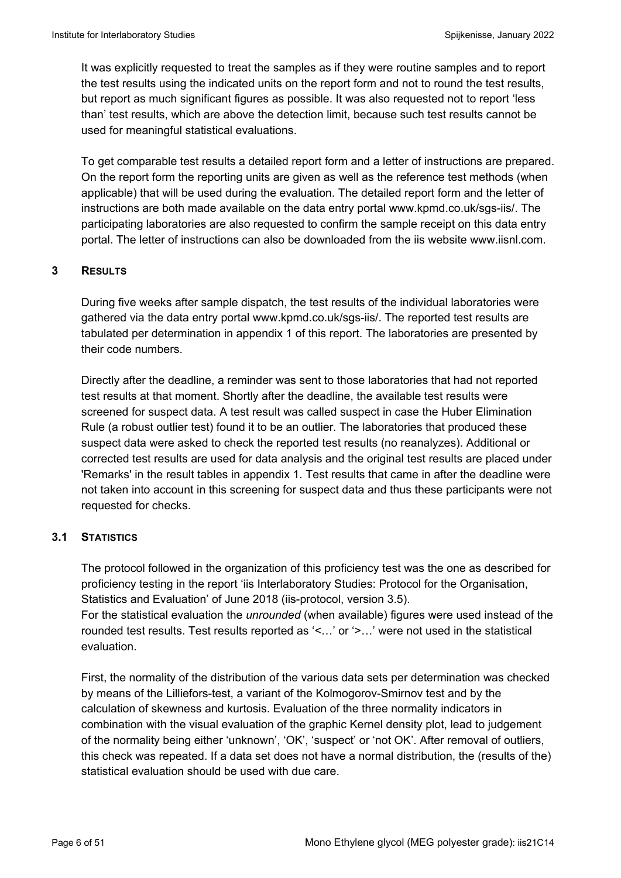It was explicitly requested to treat the samples as if they were routine samples and to report the test results using the indicated units on the report form and not to round the test results, but report as much significant figures as possible. It was also requested not to report 'less than' test results, which are above the detection limit, because such test results cannot be used for meaningful statistical evaluations.

To get comparable test results a detailed report form and a letter of instructions are prepared. On the report form the reporting units are given as well as the reference test methods (when applicable) that will be used during the evaluation. The detailed report form and the letter of instructions are both made available on the data entry portal www.kpmd.co.uk/sgs-iis/. The participating laboratories are also requested to confirm the sample receipt on this data entry portal. The letter of instructions can also be downloaded from the iis website www.iisnl.com.

### **3 RESULTS**

During five weeks after sample dispatch, the test results of the individual laboratories were gathered via the data entry portal www.kpmd.co.uk/sgs-iis/. The reported test results are tabulated per determination in appendix 1 of this report. The laboratories are presented by their code numbers.

Directly after the deadline, a reminder was sent to those laboratories that had not reported test results at that moment. Shortly after the deadline, the available test results were screened for suspect data. A test result was called suspect in case the Huber Elimination Rule (a robust outlier test) found it to be an outlier. The laboratories that produced these suspect data were asked to check the reported test results (no reanalyzes). Additional or corrected test results are used for data analysis and the original test results are placed under 'Remarks' in the result tables in appendix 1. Test results that came in after the deadline were not taken into account in this screening for suspect data and thus these participants were not requested for checks.

### **3.1 STATISTICS**

The protocol followed in the organization of this proficiency test was the one as described for proficiency testing in the report 'iis Interlaboratory Studies: Protocol for the Organisation, Statistics and Evaluation' of June 2018 (iis-protocol, version 3.5). For the statistical evaluation the *unrounded* (when available) figures were used instead of the rounded test results. Test results reported as '<…' or '>…' were not used in the statistical evaluation.

First, the normality of the distribution of the various data sets per determination was checked by means of the Lilliefors-test, a variant of the Kolmogorov-Smirnov test and by the calculation of skewness and kurtosis. Evaluation of the three normality indicators in combination with the visual evaluation of the graphic Kernel density plot, lead to judgement of the normality being either 'unknown', 'OK', 'suspect' or 'not OK'. After removal of outliers, this check was repeated. If a data set does not have a normal distribution, the (results of the) statistical evaluation should be used with due care.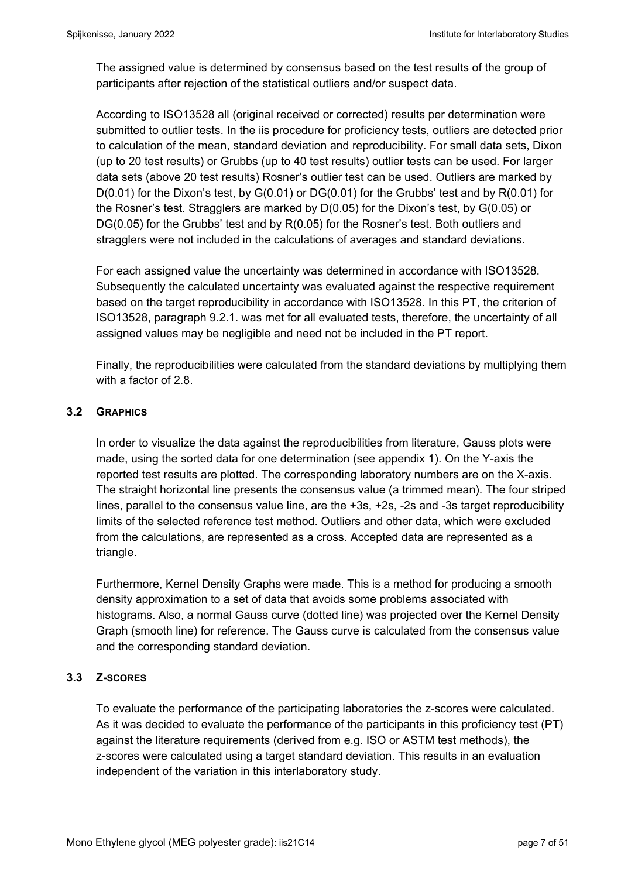The assigned value is determined by consensus based on the test results of the group of participants after rejection of the statistical outliers and/or suspect data.

According to ISO13528 all (original received or corrected) results per determination were submitted to outlier tests. In the iis procedure for proficiency tests, outliers are detected prior to calculation of the mean, standard deviation and reproducibility. For small data sets, Dixon (up to 20 test results) or Grubbs (up to 40 test results) outlier tests can be used. For larger data sets (above 20 test results) Rosner's outlier test can be used. Outliers are marked by  $D(0.01)$  for the Dixon's test, by  $G(0.01)$  or  $DG(0.01)$  for the Grubbs' test and by  $R(0.01)$  for the Rosner's test. Stragglers are marked by D(0.05) for the Dixon's test, by G(0.05) or DG(0.05) for the Grubbs' test and by R(0.05) for the Rosner's test. Both outliers and stragglers were not included in the calculations of averages and standard deviations.

For each assigned value the uncertainty was determined in accordance with ISO13528. Subsequently the calculated uncertainty was evaluated against the respective requirement based on the target reproducibility in accordance with ISO13528. In this PT, the criterion of ISO13528, paragraph 9.2.1. was met for all evaluated tests, therefore, the uncertainty of all assigned values may be negligible and need not be included in the PT report.

Finally, the reproducibilities were calculated from the standard deviations by multiplying them with a factor of 2.8.

#### **3.2 GRAPHICS**

In order to visualize the data against the reproducibilities from literature, Gauss plots were made, using the sorted data for one determination (see appendix 1). On the Y-axis the reported test results are plotted. The corresponding laboratory numbers are on the X-axis. The straight horizontal line presents the consensus value (a trimmed mean). The four striped lines, parallel to the consensus value line, are the +3s, +2s, -2s and -3s target reproducibility limits of the selected reference test method. Outliers and other data, which were excluded from the calculations, are represented as a cross. Accepted data are represented as a triangle.

Furthermore, Kernel Density Graphs were made. This is a method for producing a smooth density approximation to a set of data that avoids some problems associated with histograms. Also, a normal Gauss curve (dotted line) was projected over the Kernel Density Graph (smooth line) for reference. The Gauss curve is calculated from the consensus value and the corresponding standard deviation.

#### **3.3 Z-SCORES**

To evaluate the performance of the participating laboratories the z-scores were calculated. As it was decided to evaluate the performance of the participants in this proficiency test (PT) against the literature requirements (derived from e.g. ISO or ASTM test methods), the z-scores were calculated using a target standard deviation. This results in an evaluation independent of the variation in this interlaboratory study.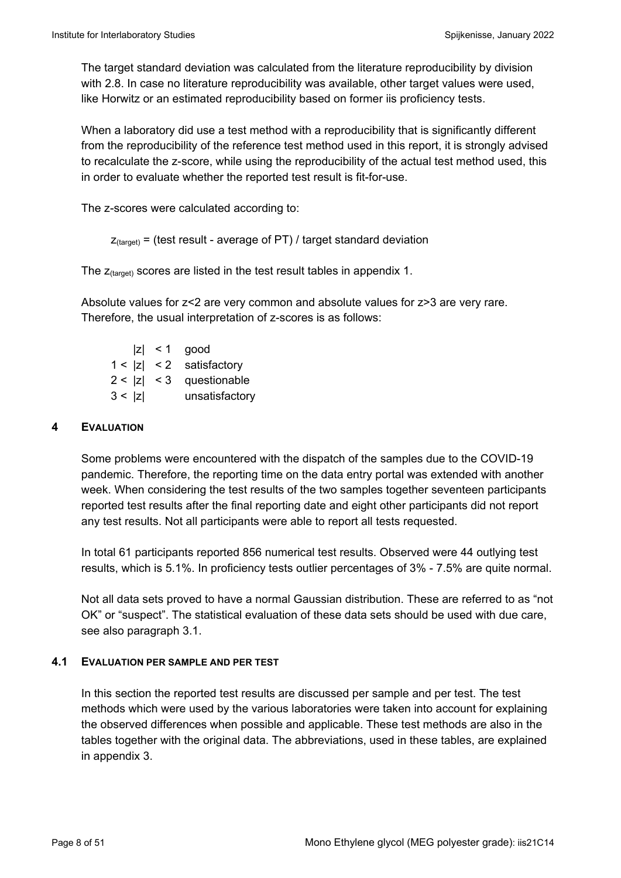The target standard deviation was calculated from the literature reproducibility by division with 2.8. In case no literature reproducibility was available, other target values were used, like Horwitz or an estimated reproducibility based on former iis proficiency tests.

When a laboratory did use a test method with a reproducibility that is significantly different from the reproducibility of the reference test method used in this report, it is strongly advised to recalculate the z-score, while using the reproducibility of the actual test method used, this in order to evaluate whether the reported test result is fit-for-use.

The z-scores were calculated according to:

```
Z_{\text{target}} = (test result - average of PT) / target standard deviation
```
The  $z_{\text{(target)}}$  scores are listed in the test result tables in appendix 1.

Absolute values for z<2 are very common and absolute values for z>3 are very rare. Therefore, the usual interpretation of z-scores is as follows:

|        | $ z  < 1$ good             |
|--------|----------------------------|
|        | $1 <  z  < 2$ satisfactory |
|        | $2 <  z  < 3$ questionable |
| 3 <  z | unsatisfactory             |

#### **4 EVALUATION**

Some problems were encountered with the dispatch of the samples due to the COVID-19 pandemic. Therefore, the reporting time on the data entry portal was extended with another week. When considering the test results of the two samples together seventeen participants reported test results after the final reporting date and eight other participants did not report any test results. Not all participants were able to report all tests requested.

In total 61 participants reported 856 numerical test results. Observed were 44 outlying test results, which is 5.1%. In proficiency tests outlier percentages of 3% - 7.5% are quite normal.

Not all data sets proved to have a normal Gaussian distribution. These are referred to as "not OK" or "suspect". The statistical evaluation of these data sets should be used with due care, see also paragraph 3.1.

#### **4.1 EVALUATION PER SAMPLE AND PER TEST**

In this section the reported test results are discussed per sample and per test. The test methods which were used by the various laboratories were taken into account for explaining the observed differences when possible and applicable. These test methods are also in the tables together with the original data. The abbreviations, used in these tables, are explained in appendix 3.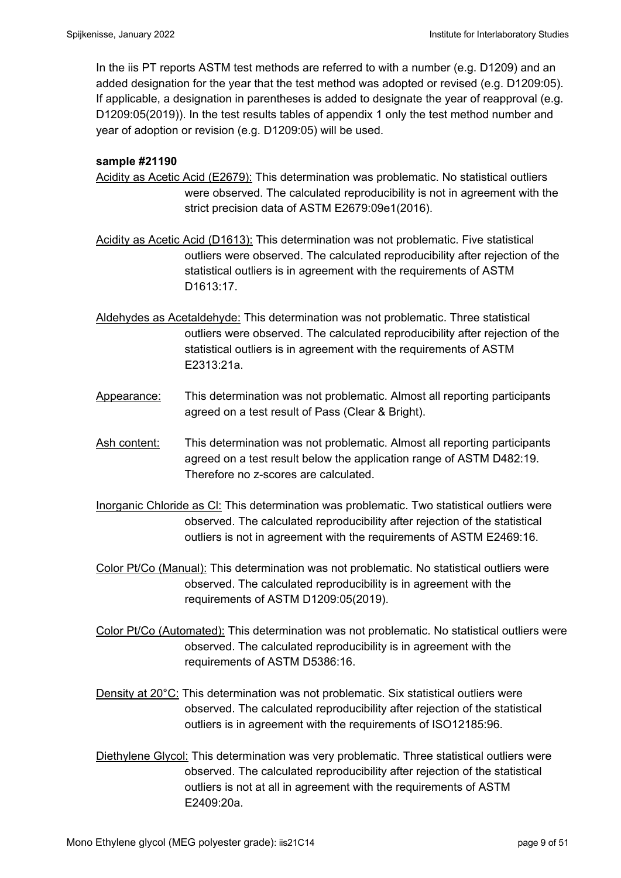In the iis PT reports ASTM test methods are referred to with a number (e.g. D1209) and an added designation for the year that the test method was adopted or revised (e.g. D1209:05). If applicable, a designation in parentheses is added to designate the year of reapproval (e.g. D1209:05(2019)). In the test results tables of appendix 1 only the test method number and year of adoption or revision (e.g. D1209:05) will be used.

#### **sample #21190**

- Acidity as Acetic Acid (E2679): This determination was problematic. No statistical outliers were observed. The calculated reproducibility is not in agreement with the strict precision data of ASTM E2679:09e1(2016).
- Acidity as Acetic Acid (D1613): This determination was not problematic. Five statistical outliers were observed. The calculated reproducibility after rejection of the statistical outliers is in agreement with the requirements of ASTM D1613:17.
- Aldehydes as Acetaldehyde: This determination was not problematic. Three statistical outliers were observed. The calculated reproducibility after rejection of the statistical outliers is in agreement with the requirements of ASTM E2313:21a.
- Appearance: This determination was not problematic. Almost all reporting participants agreed on a test result of Pass (Clear & Bright).
- Ash content: This determination was not problematic. Almost all reporting participants agreed on a test result below the application range of ASTM D482:19. Therefore no z-scores are calculated.
- Inorganic Chloride as Cl: This determination was problematic. Two statistical outliers were observed. The calculated reproducibility after rejection of the statistical outliers is not in agreement with the requirements of ASTM E2469:16.
- Color Pt/Co (Manual): This determination was not problematic. No statistical outliers were observed. The calculated reproducibility is in agreement with the requirements of ASTM D1209:05(2019).
- Color Pt/Co (Automated): This determination was not problematic. No statistical outliers were observed. The calculated reproducibility is in agreement with the requirements of ASTM D5386:16.
- Density at 20°C: This determination was not problematic. Six statistical outliers were observed. The calculated reproducibility after rejection of the statistical outliers is in agreement with the requirements of ISO12185:96.
- Diethylene Glycol: This determination was very problematic. Three statistical outliers were observed. The calculated reproducibility after rejection of the statistical outliers is not at all in agreement with the requirements of ASTM E2409:20a.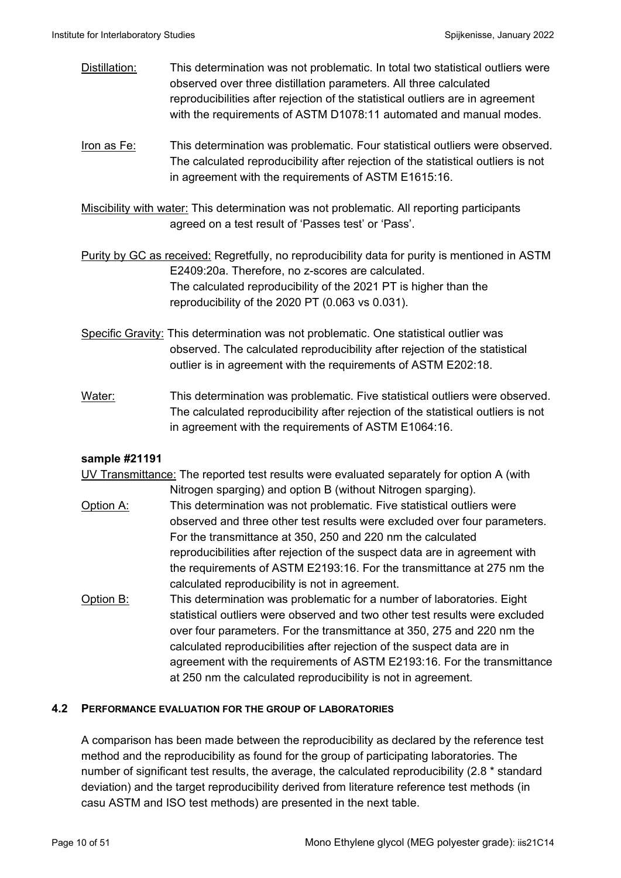- Distillation: This determination was not problematic. In total two statistical outliers were observed over three distillation parameters. All three calculated reproducibilities after rejection of the statistical outliers are in agreement with the requirements of ASTM D1078:11 automated and manual modes.
- Iron as Fe: This determination was problematic. Four statistical outliers were observed. The calculated reproducibility after rejection of the statistical outliers is not in agreement with the requirements of ASTM E1615:16.
- Miscibility with water: This determination was not problematic. All reporting participants agreed on a test result of 'Passes test' or 'Pass'.
- Purity by GC as received: Regretfully, no reproducibility data for purity is mentioned in ASTM E2409:20a. Therefore, no z-scores are calculated. The calculated reproducibility of the 2021 PT is higher than the reproducibility of the 2020 PT (0.063 vs 0.031).
- Specific Gravity: This determination was not problematic. One statistical outlier was observed. The calculated reproducibility after rejection of the statistical outlier is in agreement with the requirements of ASTM E202:18.
- Water: This determination was problematic. Five statistical outliers were observed. The calculated reproducibility after rejection of the statistical outliers is not in agreement with the requirements of ASTM E1064:16.

#### **sample #21191**

UV Transmittance: The reported test results were evaluated separately for option A (with

- Nitrogen sparging) and option B (without Nitrogen sparging). Option A: This determination was not problematic. Five statistical outliers were observed and three other test results were excluded over four parameters. For the transmittance at 350, 250 and 220 nm the calculated reproducibilities after rejection of the suspect data are in agreement with the requirements of ASTM E2193:16. For the transmittance at 275 nm the calculated reproducibility is not in agreement.
- Option B: This determination was problematic for a number of laboratories. Eight statistical outliers were observed and two other test results were excluded over four parameters. For the transmittance at 350, 275 and 220 nm the calculated reproducibilities after rejection of the suspect data are in agreement with the requirements of ASTM E2193:16. For the transmittance at 250 nm the calculated reproducibility is not in agreement.

#### **4.2 PERFORMANCE EVALUATION FOR THE GROUP OF LABORATORIES**

A comparison has been made between the reproducibility as declared by the reference test method and the reproducibility as found for the group of participating laboratories. The number of significant test results, the average, the calculated reproducibility (2.8 \* standard deviation) and the target reproducibility derived from literature reference test methods (in casu ASTM and ISO test methods) are presented in the next table.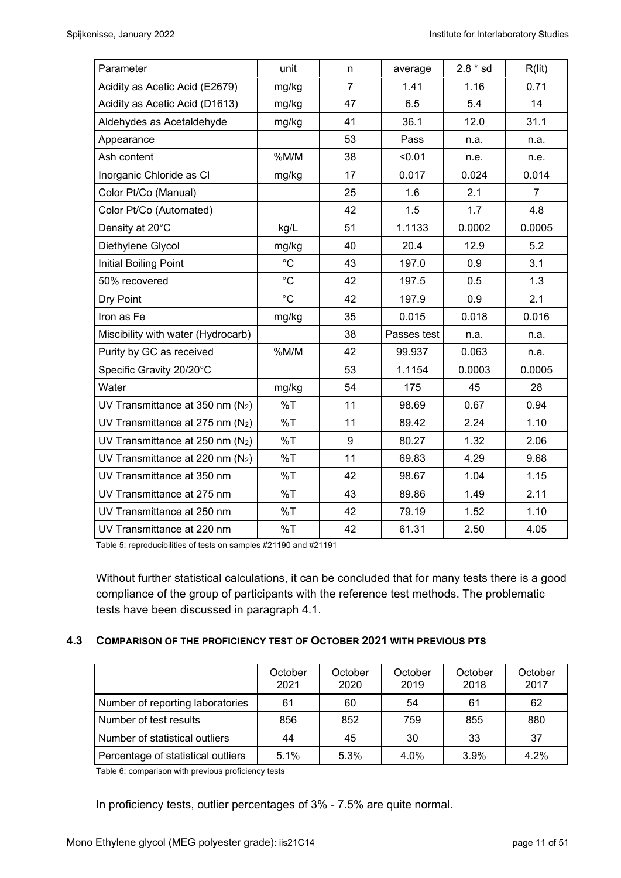| Parameter                          | unit        | n              | average     | $2.8 * sd$ | R(lit) |
|------------------------------------|-------------|----------------|-------------|------------|--------|
| Acidity as Acetic Acid (E2679)     | mg/kg       | $\overline{7}$ | 1.41        | 1.16       | 0.71   |
| Acidity as Acetic Acid (D1613)     | mg/kg       | 47             | 6.5         | 5.4        | 14     |
| Aldehydes as Acetaldehyde          | mg/kg       | 41             | 36.1        | 12.0       | 31.1   |
| Appearance                         |             | 53             | Pass        | n.a.       | n.a.   |
| Ash content                        | %M/M        | 38             | < 0.01      | n.e.       | n.e.   |
| Inorganic Chloride as Cl           | mg/kg       | 17             | 0.017       | 0.024      | 0.014  |
| Color Pt/Co (Manual)               |             | 25             | 1.6         | 2.1        | 7      |
| Color Pt/Co (Automated)            |             | 42             | 1.5         | 1.7        | 4.8    |
| Density at 20°C                    | kg/L        | 51             | 1.1133      | 0.0002     | 0.0005 |
| Diethylene Glycol                  | mg/kg       | 40             | 20.4        | 12.9       | 5.2    |
| Initial Boiling Point              | $^{\circ}C$ | 43             | 197.0       | 0.9        | 3.1    |
| 50% recovered                      | $^{\circ}C$ | 42             | 197.5       | 0.5        | 1.3    |
| Dry Point                          | $^{\circ}C$ | 42             | 197.9       | 0.9        | 2.1    |
| Iron as Fe                         | mg/kg       | 35             | 0.015       | 0.018      | 0.016  |
| Miscibility with water (Hydrocarb) |             | 38             | Passes test | n.a.       | n.a.   |
| Purity by GC as received           | %M/M        | 42             | 99.937      | 0.063      | n.a.   |
| Specific Gravity 20/20°C           |             | 53             | 1.1154      | 0.0003     | 0.0005 |
| Water                              | mg/kg       | 54             | 175         | 45         | 28     |
| UV Transmittance at 350 nm $(N_2)$ | %T          | 11             | 98.69       | 0.67       | 0.94   |
| UV Transmittance at 275 nm $(N_2)$ | %T          | 11             | 89.42       | 2.24       | 1.10   |
| UV Transmittance at 250 nm $(N_2)$ | %T          | 9              | 80.27       | 1.32       | 2.06   |
| UV Transmittance at 220 nm $(N_2)$ | %T          | 11             | 69.83       | 4.29       | 9.68   |
| UV Transmittance at 350 nm         | %T          | 42             | 98.67       | 1.04       | 1.15   |
| UV Transmittance at 275 nm         | %T          | 43             | 89.86       | 1.49       | 2.11   |
| UV Transmittance at 250 nm         | %T          | 42             | 79.19       | 1.52       | 1.10   |
| UV Transmittance at 220 nm         | %T          | 42             | 61.31       | 2.50       | 4.05   |

Table 5: reproducibilities of tests on samples #21190 and #21191

Without further statistical calculations, it can be concluded that for many tests there is a good compliance of the group of participants with the reference test methods. The problematic tests have been discussed in paragraph 4.1.

#### **4.3 COMPARISON OF THE PROFICIENCY TEST OF OCTOBER 2021 WITH PREVIOUS PTS**

|                                    | October<br>2021 | October<br>2020 | October<br>2019 | October<br>2018 | October<br>2017 |
|------------------------------------|-----------------|-----------------|-----------------|-----------------|-----------------|
| Number of reporting laboratories   | 61              | 60              | 54              | 61              | 62              |
| Number of test results             | 856             | 852             | 759             | 855             | 880             |
| Number of statistical outliers     | 44              | 45              | 30              | 33              | 37              |
| Percentage of statistical outliers | 5.1%            | 5.3%            | 4.0%            | $3.9\%$         | 4.2%            |

Table 6: comparison with previous proficiency tests

In proficiency tests, outlier percentages of 3% - 7.5% are quite normal.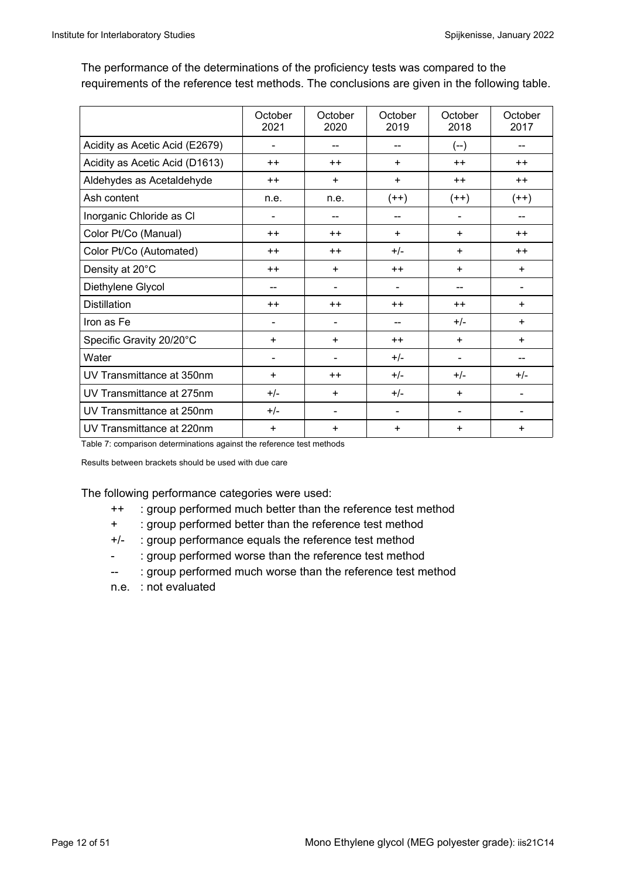The performance of the determinations of the proficiency tests was compared to the requirements of the reference test methods. The conclusions are given in the following table.

|                                | October<br>2021 | October<br>2020 | October<br>2019 | October<br>2018 | October<br>2017 |
|--------------------------------|-----------------|-----------------|-----------------|-----------------|-----------------|
| Acidity as Acetic Acid (E2679) | ٠               | --              |                 | $(--)$          |                 |
| Acidity as Acetic Acid (D1613) | $++$            | $++$            | $\ddot{}$       | $++$            | $++$            |
| Aldehydes as Acetaldehyde      | $++$            | $\ddot{}$       | $\ddot{}$       | $++$            | $++$            |
| Ash content                    | n.e.            | n.e.            | $(++)$          | $(++)$          | $(++)$          |
| Inorganic Chloride as CI       | -               |                 | --              |                 |                 |
| Color Pt/Co (Manual)           | $++$            | $++$            | $\ddot{}$       | $\ddot{}$       | $++$            |
| Color Pt/Co (Automated)        | $++$            | $++$            | $+/-$           | $\ddot{}$       | $++$            |
| Density at 20°C                | $++$            | ÷               | $++$            | ÷               | $\ddot{}$       |
| Diethylene Glycol              | --              | -               | -               |                 |                 |
| <b>Distillation</b>            | $++$            | $++$            | $++$            | $++$            | $\ddot{}$       |
| Iron as Fe                     |                 | $\blacksquare$  | --              | $+/-$           | $+$             |
| Specific Gravity 20/20°C       | $\ddot{}$       | +               | $++$            | $\ddot{}$       | $\ddot{}$       |
| Water                          | $\blacksquare$  | ۰               | $+/-$           |                 |                 |
| UV Transmittance at 350nm      | $\ddot{}$       | $++$            | $+/-$           | $+/-$           | $+/-$           |
| UV Transmittance at 275nm      | $+/-$           | +               | $+/-$           | $\ddot{}$       |                 |
| UV Transmittance at 250nm      | $+/-$           | $\blacksquare$  | $\blacksquare$  |                 |                 |
| UV Transmittance at 220nm      | $\ddot{}$       | +               | ÷               | ÷               | +               |

Table 7: comparison determinations against the reference test methods

Results between brackets should be used with due care

The following performance categories were used:

- ++ : group performed much better than the reference test method
- + : group performed better than the reference test method
- +/- : group performance equals the reference test method
- : group performed worse than the reference test method
- -- : group performed much worse than the reference test method
- n.e. : not evaluated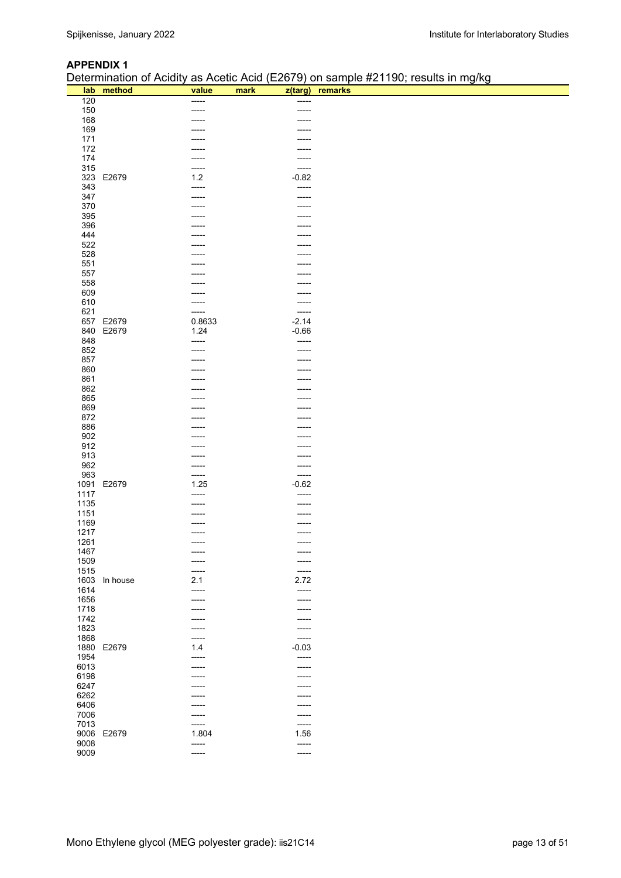#### **APPENDIX 1**

Determination of Acidity as Acetic Acid (E2679) on sample #21190; results in mg/kg

|      |            |        |                | $P$ beton milation of Abiancy do Abotion told (E2010) on bampion $E$ H foo, robatto in might |
|------|------------|--------|----------------|----------------------------------------------------------------------------------------------|
|      | lab method | value  | mark           | z(targ) remarks                                                                              |
| 120  |            | -----  | -----          |                                                                                              |
| 150  |            | -----  | -----          |                                                                                              |
| 168  |            | -----  | -----          |                                                                                              |
| 169  |            | -----  |                |                                                                                              |
| 171  |            | -----  | -----          |                                                                                              |
| 172  |            | -----  | -----          |                                                                                              |
| 174  |            | -----  | -----          |                                                                                              |
| 315  |            | -----  | -----          |                                                                                              |
| 323  | E2679      | $1.2$  | $-0.82$        |                                                                                              |
| 343  |            | -----  | -----          |                                                                                              |
| 347  |            | -----  | -----          |                                                                                              |
| 370  |            |        | -----          |                                                                                              |
|      |            | -----  |                |                                                                                              |
| 395  |            | -----  | -----          |                                                                                              |
| 396  |            | -----  | -----          |                                                                                              |
| 444  |            |        |                |                                                                                              |
| 522  |            | -----  | -----          |                                                                                              |
| 528  |            | -----  | -----          |                                                                                              |
| 551  |            | -----  | -----          |                                                                                              |
| 557  |            |        |                |                                                                                              |
| 558  |            | -----  | -----          |                                                                                              |
| 609  |            | -----  | -----          |                                                                                              |
| 610  |            | -----  | -----          |                                                                                              |
| 621  |            | -----  | -----          |                                                                                              |
| 657  | E2679      | 0.8633 | $-2.14$        |                                                                                              |
| 840  | E2679      | 1.24   | $-0.66$        |                                                                                              |
| 848  |            | -----  | -----          |                                                                                              |
| 852  |            | -----  | -----          |                                                                                              |
|      |            |        |                |                                                                                              |
| 857  |            | -----  | -----          |                                                                                              |
| 860  |            | -----  | -----          |                                                                                              |
| 861  |            | -----  | -----          |                                                                                              |
| 862  |            | -----  | -----          |                                                                                              |
| 865  |            |        | -----          |                                                                                              |
| 869  |            | -----  | -----          |                                                                                              |
| 872  |            | -----  |                |                                                                                              |
| 886  |            | -----  | -----          |                                                                                              |
| 902  |            | -----  | -----          |                                                                                              |
| 912  |            | -----  | -----          |                                                                                              |
| 913  |            | -----  | -----          |                                                                                              |
| 962  |            | -----  | -----          |                                                                                              |
| 963  |            | -----  | -----          |                                                                                              |
| 1091 | E2679      | 1.25   | $-0.62$        |                                                                                              |
| 1117 |            | -----  | -----          |                                                                                              |
|      |            |        |                |                                                                                              |
| 1135 |            | -----  | -----          |                                                                                              |
| 1151 |            | -----  |                |                                                                                              |
| 1169 |            |        |                |                                                                                              |
| 1217 |            | -----  |                |                                                                                              |
| 1261 |            | -----  | -----          |                                                                                              |
| 1467 |            | -----  |                |                                                                                              |
| 1509 |            |        | -----          |                                                                                              |
| 1515 |            | -----  | -----          |                                                                                              |
| 1603 | In house   | 2.1    | 2.72           |                                                                                              |
| 1614 |            | -----  | -----          |                                                                                              |
| 1656 |            | -----  | -----          |                                                                                              |
| 1718 |            | -----  | -----          |                                                                                              |
| 1742 |            | -----  | -----          |                                                                                              |
| 1823 |            |        |                |                                                                                              |
|      |            | -----  | -----<br>----- |                                                                                              |
| 1868 |            | -----  |                |                                                                                              |
| 1880 | E2679      | 1.4    | $-0.03$        |                                                                                              |
| 1954 |            | -----  | -----          |                                                                                              |
| 6013 |            |        | -----          |                                                                                              |
| 6198 |            | -----  | -----          |                                                                                              |
| 6247 |            |        | -----          |                                                                                              |
| 6262 |            |        |                |                                                                                              |
| 6406 |            |        |                |                                                                                              |
| 7006 |            | -----  | -----          |                                                                                              |
| 7013 |            | -----  | -----          |                                                                                              |
| 9006 | E2679      | 1.804  | 1.56           |                                                                                              |
| 9008 |            | -----  | -----          |                                                                                              |
| 9009 |            | -----  | -----          |                                                                                              |
|      |            |        |                |                                                                                              |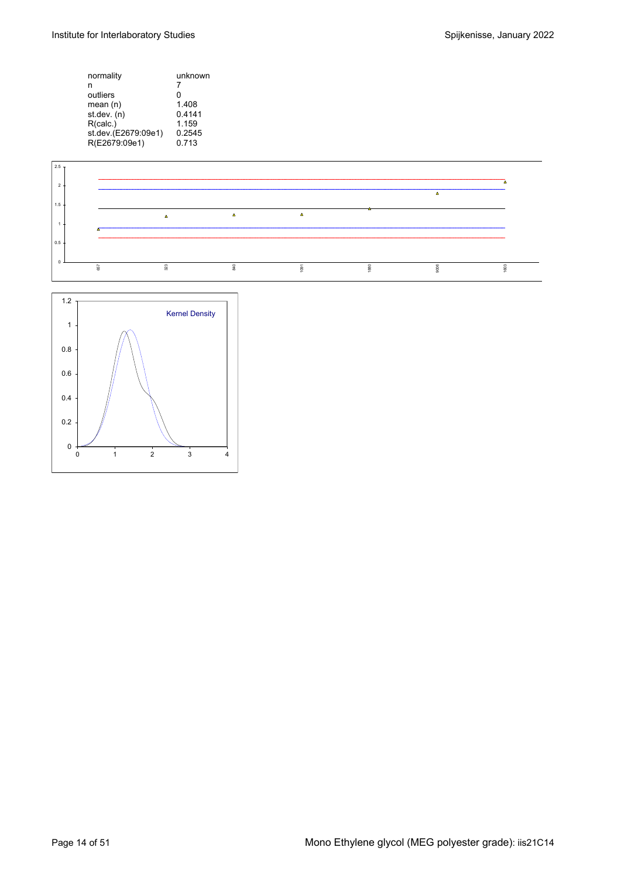| normality           | unknown |
|---------------------|---------|
| n                   | 7       |
| outliers            | O       |
| mean(n)             | 1.408   |
| st.dev. (n)         | 0.4141  |
| R(calc.)            | 1.159   |
| st.dev.(E2679:09e1) | 0.2545  |
| R(E2679:09e1)       | 0.713   |
|                     |         |



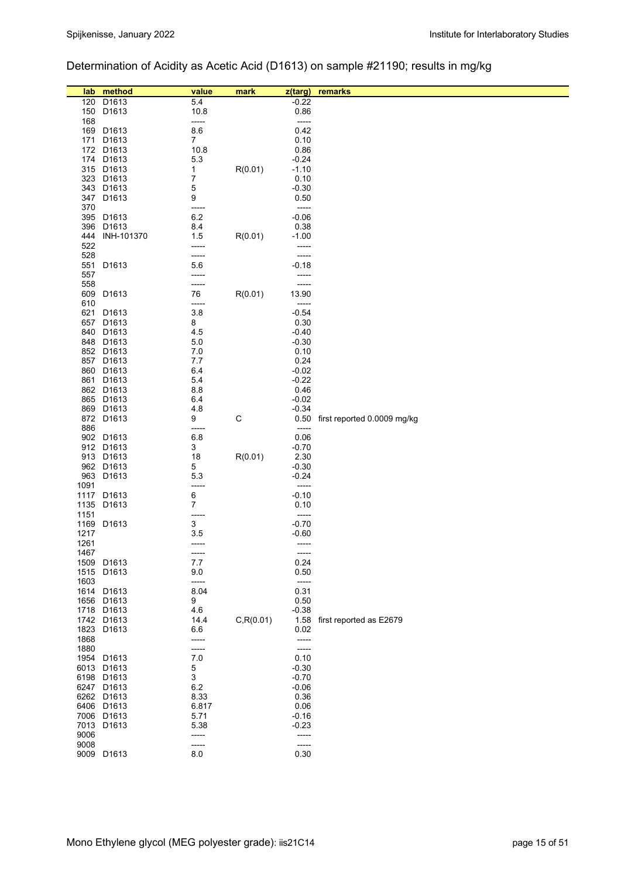## Determination of Acidity as Acetic Acid (D1613) on sample #21190; results in mg/kg

| lab          | method                          | value          | mark        | $z$ (targ)         | remarks                          |
|--------------|---------------------------------|----------------|-------------|--------------------|----------------------------------|
| 120          | D1613                           | 5.4            |             | $-0.22$            |                                  |
| 150          | D1613                           | 10.8           |             | 0.86               |                                  |
| 168          |                                 | -----          |             | -----              |                                  |
|              | 169 D1613                       | 8.6            |             | 0.42               |                                  |
| 171          | D <sub>1613</sub>               | $\overline{7}$ |             | 0.10               |                                  |
|              | 172 D1613                       | 10.8           |             | 0.86               |                                  |
|              | 174 D1613                       | 5.3            |             | $-0.24$            |                                  |
|              | 315 D1613                       | 1              | R(0.01)     | $-1.10$            |                                  |
|              | 323 D1613                       | 7              |             | 0.10               |                                  |
|              | 343 D1613                       | 5              |             | $-0.30$            |                                  |
|              | 347 D1613                       | 9              |             | 0.50               |                                  |
| 370          |                                 | -----          |             | -----              |                                  |
|              | 395 D1613                       | 6.2            |             | $-0.06$            |                                  |
| 396          | D1613                           | 8.4            |             | 0.38               |                                  |
| 444          | INH-101370                      | 1.5            | R(0.01)     | $-1.00$            |                                  |
| 522          |                                 | -----          |             | -----              |                                  |
| 528          |                                 | -----          |             | -----              |                                  |
| 551          | D1613                           | 5.6            |             | $-0.18$            |                                  |
| 557          |                                 | -----          |             | -----              |                                  |
| 558          |                                 | -----          |             | -----              |                                  |
| 609          | D1613                           | 76             | R(0.01)     | 13.90              |                                  |
| 610          |                                 | -----          |             | -----              |                                  |
|              | 621 D1613                       | 3.8            |             | $-0.54$            |                                  |
|              | 657 D1613                       | 8              |             | 0.30               |                                  |
|              | 840 D1613                       | 4.5            |             | $-0.40$            |                                  |
|              | 848 D1613                       | 5.0            |             | $-0.30$            |                                  |
|              | 852 D1613                       | 7.0            |             | 0.10               |                                  |
|              | 857 D1613                       | 7.7            |             | 0.24               |                                  |
|              | 860 D1613                       | 6.4<br>5.4     |             | $-0.02$<br>$-0.22$ |                                  |
|              | 861 D1613<br>862 D1613          | 8.8            |             | 0.46               |                                  |
|              | 865 D1613                       | 6.4            |             | $-0.02$            |                                  |
|              | 869 D1613                       | 4.8            |             | $-0.34$            |                                  |
|              | 872 D1613                       | 9              | $\mathsf C$ |                    | 0.50 first reported 0.0009 mg/kg |
| 886          |                                 | -----          |             | $-----$            |                                  |
|              | 902 D1613                       | 6.8            |             | 0.06               |                                  |
|              | 912 D1613                       | 3              |             | $-0.70$            |                                  |
|              | 913 D1613                       | 18             | R(0.01)     | 2.30               |                                  |
|              | 962 D1613                       | 5              |             | $-0.30$            |                                  |
|              | 963 D1613                       | 5.3            |             | $-0.24$            |                                  |
| 1091         |                                 | -----          |             | -----              |                                  |
|              | 1117 D1613                      | 6              |             | $-0.10$            |                                  |
|              | 1135 D1613                      | $\overline{7}$ |             | 0.10               |                                  |
| 1151         |                                 | -----          |             | -----              |                                  |
|              | 1169 D1613                      | 3              |             | $-0.70$            |                                  |
| 1217         |                                 | 3.5            |             | $-0.60$            |                                  |
| 1261<br>1467 |                                 | -----          |             | -----              |                                  |
|              |                                 | -----<br>7.7   |             | -----<br>0.24      |                                  |
| 1515         | 1509 D1613<br>D <sub>1613</sub> | 9.0            |             | 0.50               |                                  |
| 1603         |                                 | -----          |             | -----              |                                  |
|              | 1614 D1613                      | 8.04           |             | 0.31               |                                  |
|              | 1656 D1613                      | 9              |             | 0.50               |                                  |
|              | 1718 D1613                      | 4.6            |             | $-0.38$            |                                  |
|              | 1742 D1613                      | 14.4           | C, R(0.01)  |                    | 1.58 first reported as E2679     |
|              | 1823 D1613                      | 6.6            |             | 0.02               |                                  |
| 1868         |                                 | -----          |             | -----              |                                  |
| 1880         |                                 | -----          |             | -----              |                                  |
|              | 1954 D1613                      | 7.0            |             | 0.10               |                                  |
|              | 6013 D1613                      | 5              |             | $-0.30$            |                                  |
|              | 6198 D1613                      | 3              |             | $-0.70$            |                                  |
|              | 6247 D1613                      | 6.2            |             | $-0.06$            |                                  |
|              | 6262 D1613                      | 8.33           |             | 0.36               |                                  |
|              | 6406 D1613                      | 6.817          |             | 0.06               |                                  |
|              | 7006 D1613                      | 5.71           |             | $-0.16$            |                                  |
|              | 7013 D1613                      | 5.38           |             | $-0.23$            |                                  |
| 9006         |                                 | -----          |             | -----              |                                  |
| 9008         |                                 | -----          |             | -----              |                                  |
|              | 9009 D1613                      | 8.0            |             | 0.30               |                                  |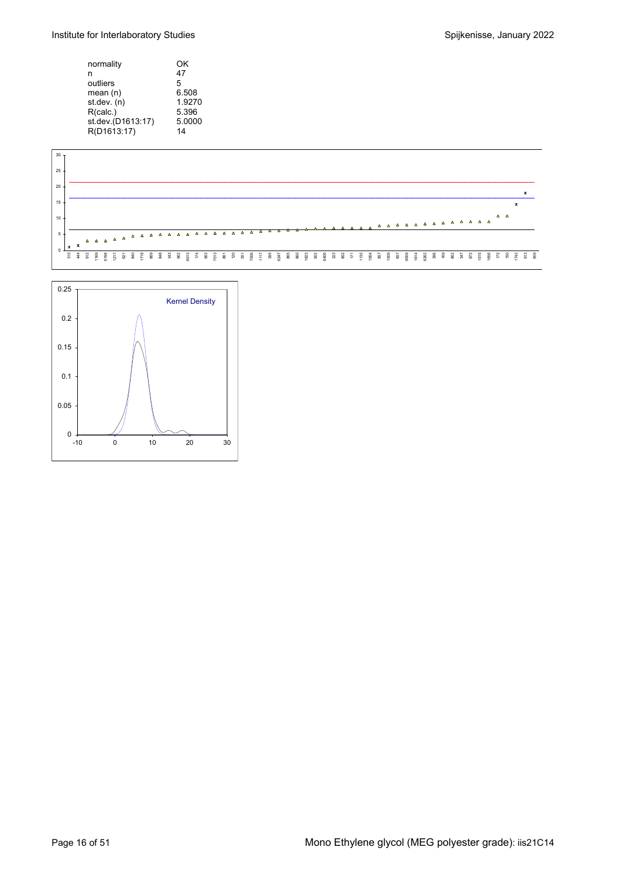Institute for Interlaboratory Studies **Spice 10 and Spillen and Spillen Spillen Spillen Spillen Spillen Spillen Spillen Spillen Spillen Spillen Spillen Spillen Spillen Spillen Spillen Spillen Spillen Spillen Spillen Spille** 

| normality         | ΟK     |
|-------------------|--------|
| n                 | 47     |
| outliers          | 5      |
| mean(n)           | 6.508  |
| st.dev. (n)       | 1.9270 |
| R(calc.)          | 5.396  |
| st.dev.(D1613:17) | 5.0000 |
| R(D1613:17)       | 14     |



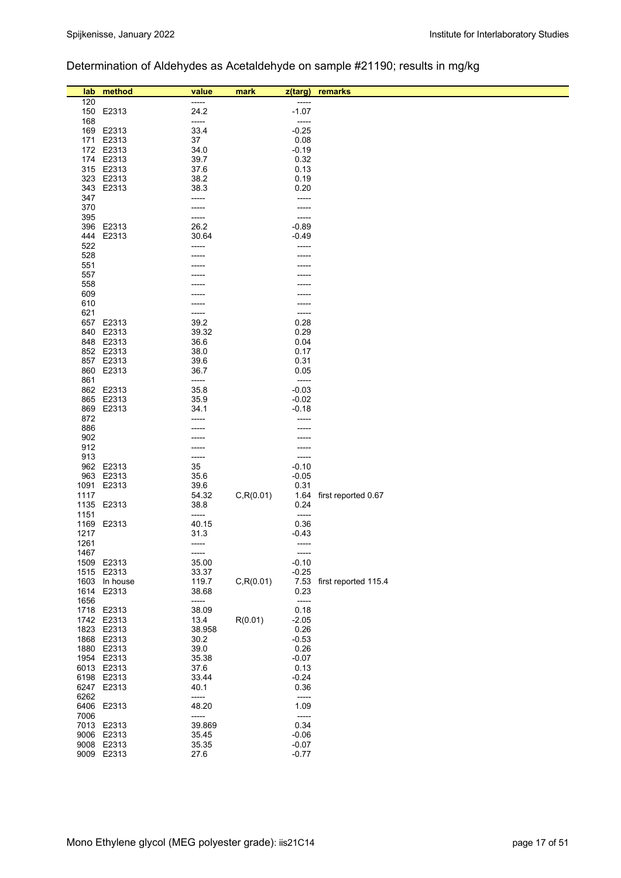## Determination of Aldehydes as Acetaldehyde on sample #21190; results in mg/kg

| lab  | method        | value  | mark       | z(targ) | remarks                   |
|------|---------------|--------|------------|---------|---------------------------|
| 120  |               | -----  |            | -----   |                           |
|      | 150 E2313     | 24.2   |            | $-1.07$ |                           |
| 168  |               | -----  |            | -----   |                           |
|      | 169 E2313     | 33.4   |            | $-0.25$ |                           |
|      |               |        |            |         |                           |
|      | 171 E2313     | 37     |            | 0.08    |                           |
|      | 172 E2313     | 34.0   |            | $-0.19$ |                           |
|      | 174 E2313     | 39.7   |            | 0.32    |                           |
|      | 315 E2313     | 37.6   |            | 0.13    |                           |
|      | 323 E2313     | 38.2   |            | 0.19    |                           |
|      | 343 E2313     | 38.3   |            | 0.20    |                           |
| 347  |               | -----  |            | -----   |                           |
| 370  |               |        |            | -----   |                           |
| 395  |               | -----  |            | -----   |                           |
|      | 396 E2313     | 26.2   |            | $-0.89$ |                           |
| 444  | E2313         | 30.64  |            | $-0.49$ |                           |
| 522  |               | -----  |            |         |                           |
| 528  |               |        |            |         |                           |
| 551  |               |        |            |         |                           |
| 557  |               |        |            |         |                           |
| 558  |               |        |            |         |                           |
|      |               |        |            |         |                           |
| 609  |               |        |            |         |                           |
| 610  |               |        |            |         |                           |
| 621  |               | -----  |            | -----   |                           |
|      | 657 E2313     | 39.2   |            | 0.28    |                           |
|      | 840 E2313     | 39.32  |            | 0.29    |                           |
|      | 848 E2313     | 36.6   |            | 0.04    |                           |
|      | 852 E2313     | 38.0   |            | 0.17    |                           |
|      | 857 E2313     | 39.6   |            | 0.31    |                           |
|      | 860 E2313     | 36.7   |            | 0.05    |                           |
| 861  |               | -----  |            | -----   |                           |
|      | 862 E2313     | 35.8   |            | $-0.03$ |                           |
|      | 865 E2313     | 35.9   |            | $-0.02$ |                           |
|      | 869 E2313     | 34.1   |            | $-0.18$ |                           |
| 872  |               | -----  |            |         |                           |
| 886  |               |        |            |         |                           |
| 902  |               |        |            |         |                           |
| 912  |               |        |            |         |                           |
| 913  |               | -----  |            | -----   |                           |
|      | 962 E2313     | 35     |            | $-0.10$ |                           |
|      | 963 E2313     | 35.6   |            | $-0.05$ |                           |
|      |               |        |            | 0.31    |                           |
|      | 1091 E2313    | 39.6   |            |         |                           |
| 1117 |               | 54.32  | C, R(0.01) |         | 1.64 first reported 0.67  |
|      | 1135 E2313    | 38.8   |            | 0.24    |                           |
| 1151 |               | -----  |            | -----   |                           |
|      | 1169 E2313    | 40.15  |            | 0.36    |                           |
| 1217 |               | 31.3   |            | $-0.43$ |                           |
| 1261 |               | -----  |            | -----   |                           |
| 1467 |               | -----  |            | -----   |                           |
|      | 1509 E2313    | 35.00  |            | $-0.10$ |                           |
|      | 1515 E2313    | 33.37  |            | $-0.25$ |                           |
|      | 1603 In house | 119.7  | C, R(0.01) |         | 7.53 first reported 115.4 |
| 1614 | E2313         | 38.68  |            | 0.23    |                           |
| 1656 |               | -----  |            | -----   |                           |
|      | 1718 E2313    | 38.09  |            | 0.18    |                           |
|      | 1742 E2313    | 13.4   | R(0.01)    | $-2.05$ |                           |
|      | 1823 E2313    | 38.958 |            | 0.26    |                           |
|      | 1868 E2313    | 30.2   |            | $-0.53$ |                           |
|      | 1880 E2313    | 39.0   |            | 0.26    |                           |
|      | 1954 E2313    | 35.38  |            | $-0.07$ |                           |
|      | 6013 E2313    | 37.6   |            | 0.13    |                           |
|      | 6198 E2313    | 33.44  |            | $-0.24$ |                           |
|      |               |        |            |         |                           |
|      | 6247 E2313    | 40.1   |            | 0.36    |                           |
| 6262 |               | -----  |            | -----   |                           |
|      | 6406 E2313    | 48.20  |            | 1.09    |                           |
| 7006 |               | -----  |            | -----   |                           |
|      | 7013 E2313    | 39.869 |            | 0.34    |                           |
|      | 9006 E2313    | 35.45  |            | $-0.06$ |                           |
|      | 9008 E2313    | 35.35  |            | $-0.07$ |                           |
|      | 9009 E2313    | 27.6   |            | $-0.77$ |                           |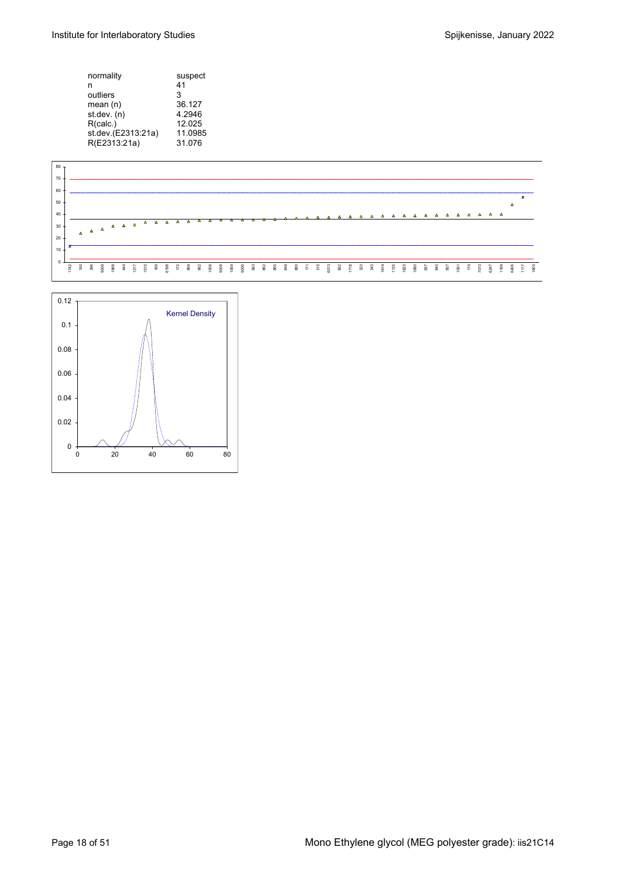| normality          | suspect |
|--------------------|---------|
| n                  | 41      |
| outliers           | 3       |
| mean(n)            | 36.127  |
| st.dev. (n)        | 4.2946  |
| R(calc.)           | 12.025  |
| st.dev.(E2313:21a) | 11.0985 |
| R(E2313:21a)       | 31.076  |
|                    |         |



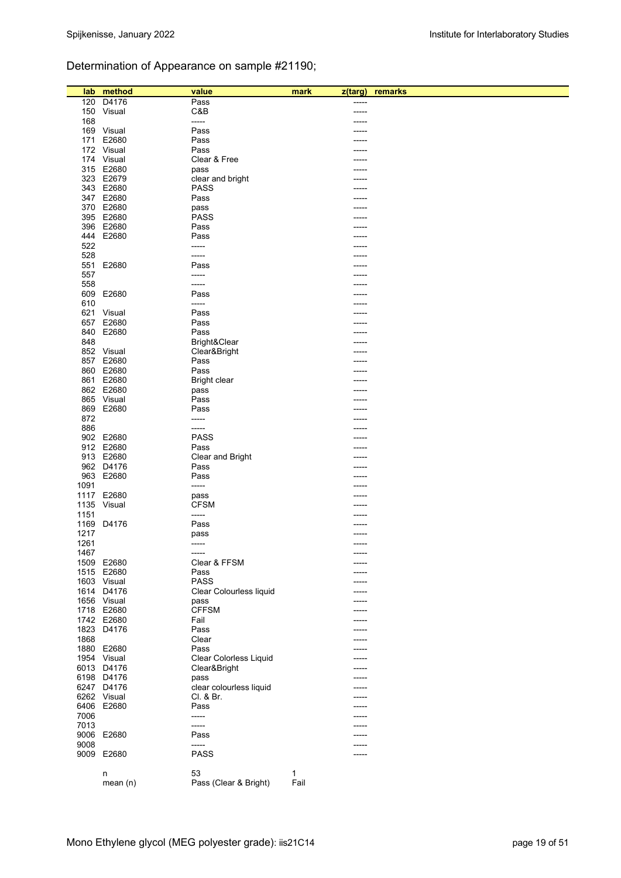## Determination of Appearance on sample #21190;

| lab  | method      | value                         | mark | z(targ) | remarks |
|------|-------------|-------------------------------|------|---------|---------|
|      |             |                               |      |         |         |
| 120  | D4176       | Pass                          |      | -----   |         |
|      | 150 Visual  | C&B                           |      | -----   |         |
| 168  |             | -----                         |      |         |         |
|      | 169 Visual  | Pass                          |      |         |         |
|      | 171 E2680   | Pass                          |      | ----    |         |
|      | 172 Visual  | Pass                          |      |         |         |
|      | 174 Visual  | Clear & Free                  |      |         |         |
|      | 315 E2680   | pass                          |      |         |         |
|      | 323 E2679   |                               |      |         |         |
|      |             | clear and bright              |      |         |         |
|      | 343 E2680   | PASS                          |      |         |         |
|      | 347 E2680   | Pass                          |      |         |         |
|      | 370 E2680   | pass                          |      | ----    |         |
|      | 395 E2680   | <b>PASS</b>                   |      |         |         |
|      | 396 E2680   | Pass                          |      |         |         |
|      | 444 E2680   | Pass                          |      |         |         |
| 522  |             | -----                         |      | ----    |         |
| 528  |             | -----                         |      |         |         |
|      | 551 E2680   | Pass                          |      |         |         |
|      |             |                               |      |         |         |
| 557  |             | -----                         |      |         |         |
| 558  |             | -----                         |      |         |         |
|      | 609 E2680   | Pass                          |      |         |         |
| 610  |             | -----                         |      |         |         |
|      | 621 Visual  | Pass                          |      |         |         |
| 657  | E2680       | Pass                          |      |         |         |
|      | 840 E2680   | Pass                          |      |         |         |
| 848  |             | Bright&Clear                  |      |         |         |
|      | 852 Visual  |                               |      |         |         |
|      |             | Clear&Bright                  |      |         |         |
|      | 857 E2680   | Pass                          |      |         |         |
|      | 860 E2680   | Pass                          |      |         |         |
|      | 861 E2680   | <b>Bright clear</b>           |      |         |         |
|      | 862 E2680   | pass                          |      | ----    |         |
|      | 865 Visual  | Pass                          |      |         |         |
|      | 869 E2680   | Pass                          |      |         |         |
| 872  |             | -----                         |      |         |         |
| 886  |             | -----                         |      | ----    |         |
|      | 902 E2680   | <b>PASS</b>                   |      |         |         |
|      |             |                               |      |         |         |
|      | 912 E2680   | Pass                          |      |         |         |
|      | 913 E2680   | Clear and Bright              |      | ----    |         |
|      | 962 D4176   | Pass                          |      |         |         |
|      | 963 E2680   | Pass                          |      |         |         |
| 1091 |             | -----                         |      |         |         |
|      | 1117 E2680  | pass                          |      |         |         |
|      | 1135 Visual | <b>CFSM</b>                   |      |         |         |
| 1151 |             | -----                         |      |         |         |
| 1169 | D4176       | Pass                          |      |         |         |
|      |             |                               |      |         |         |
| 1217 |             | pass                          |      |         |         |
| 1261 |             | -----                         |      | -----   |         |
| 1467 |             | -----                         |      | -----   |         |
|      | 1509 E2680  | Clear & FFSM                  |      |         |         |
|      | 1515 E2680  | Pass                          |      |         |         |
|      | 1603 Visual | <b>PASS</b>                   |      |         |         |
|      | 1614 D4176  | Clear Colourless liquid       |      |         |         |
|      | 1656 Visual | pass                          |      |         |         |
|      | 1718 E2680  | <b>CFFSM</b>                  |      |         |         |
|      | 1742 E2680  | Fail                          |      |         |         |
|      |             |                               |      |         |         |
|      | 1823 D4176  | Pass                          |      |         |         |
| 1868 |             | Clear                         |      | -----   |         |
|      | 1880 E2680  | Pass                          |      |         |         |
|      | 1954 Visual | <b>Clear Colorless Liquid</b> |      |         |         |
|      | 6013 D4176  | Clear&Bright                  |      |         |         |
|      | 6198 D4176  | pass                          |      |         |         |
|      | 6247 D4176  | clear colourless liquid       |      |         |         |
|      | 6262 Visual | Cl. & Br.                     |      | ----    |         |
|      | 6406 E2680  | Pass                          |      |         |         |
|      |             |                               |      |         |         |
| 7006 |             | -----                         |      |         |         |
| 7013 |             | -----                         |      |         |         |
|      | 9006 E2680  | Pass                          |      |         |         |
| 9008 |             | -----                         |      |         |         |
|      | 9009 E2680  | <b>PASS</b>                   |      | -----   |         |
|      |             |                               |      |         |         |
|      | n           | 53                            | 1    |         |         |
|      | mean $(n)$  | Pass (Clear & Bright)         | Fail |         |         |
|      |             |                               |      |         |         |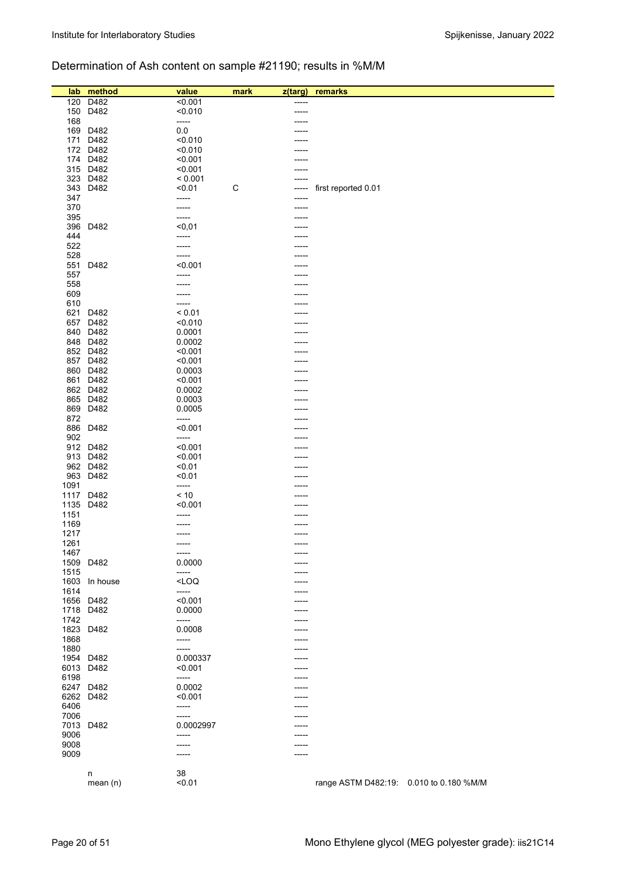## Determination of Ash content on sample #21190; results in %M/M

| lab  | method    | value                                                        | mark        | z(targ) | remarks                                 |  |
|------|-----------|--------------------------------------------------------------|-------------|---------|-----------------------------------------|--|
| 120  | D482      | < 0.001                                                      |             | -----   |                                         |  |
| 150  | D482      | < 0.010                                                      |             |         |                                         |  |
| 168  |           | -----                                                        |             |         |                                         |  |
| 169  | D482      | 0.0                                                          |             |         |                                         |  |
|      |           |                                                              |             |         |                                         |  |
| 171  | D482      | < 0.010                                                      |             |         |                                         |  |
|      | 172 D482  | < 0.010                                                      |             |         |                                         |  |
|      | 174 D482  | < 0.001                                                      |             |         |                                         |  |
|      | 315 D482  | < 0.001                                                      |             |         |                                         |  |
| 323  | D482      | < 0.001                                                      |             |         |                                         |  |
|      |           |                                                              |             |         |                                         |  |
| 343  | D482      | < 0.01                                                       | $\mathsf C$ |         | first reported 0.01                     |  |
| 347  |           | -----                                                        |             | -----   |                                         |  |
| 370  |           | -----                                                        |             | -----   |                                         |  |
| 395  |           | -----                                                        |             |         |                                         |  |
| 396  | D482      | $0,01$                                                       |             |         |                                         |  |
|      |           |                                                              |             |         |                                         |  |
| 444  |           | -----                                                        |             |         |                                         |  |
| 522  |           | -----                                                        |             |         |                                         |  |
| 528  |           | -----                                                        |             |         |                                         |  |
| 551  | D482      | < 0.001                                                      |             |         |                                         |  |
| 557  |           | -----                                                        |             |         |                                         |  |
|      |           |                                                              |             |         |                                         |  |
| 558  |           | -----                                                        |             |         |                                         |  |
| 609  |           |                                                              |             |         |                                         |  |
| 610  |           | -----                                                        |             |         |                                         |  |
| 621  | D482      | < 0.01                                                       |             |         |                                         |  |
| 657  | D482      | < 0.010                                                      |             |         |                                         |  |
| 840  | D482      | 0.0001                                                       |             |         |                                         |  |
|      |           |                                                              |             |         |                                         |  |
|      | 848 D482  | 0.0002                                                       |             |         |                                         |  |
|      | 852 D482  | < 0.001                                                      |             |         |                                         |  |
| 857  | D482      | < 0.001                                                      |             |         |                                         |  |
|      | 860 D482  | 0.0003                                                       |             | -----   |                                         |  |
| 861  | D482      | < 0.001                                                      |             |         |                                         |  |
|      |           |                                                              |             |         |                                         |  |
|      | 862 D482  | 0.0002                                                       |             |         |                                         |  |
|      | 865 D482  | 0.0003                                                       |             |         |                                         |  |
| 869  | D482      | 0.0005                                                       |             |         |                                         |  |
| 872  |           | -----                                                        |             |         |                                         |  |
| 886  | D482      | < 0.001                                                      |             |         |                                         |  |
| 902  |           | -----                                                        |             |         |                                         |  |
|      |           |                                                              |             |         |                                         |  |
|      | 912 D482  | < 0.001                                                      |             |         |                                         |  |
| 913  | D482      | < 0.001                                                      |             |         |                                         |  |
|      | 962 D482  | < 0.01                                                       |             |         |                                         |  |
| 963  | D482      | < 0.01                                                       |             |         |                                         |  |
| 1091 |           | -----                                                        |             |         |                                         |  |
| 1117 | D482      | $<10$                                                        |             |         |                                         |  |
|      |           |                                                              |             |         |                                         |  |
| 1135 | D482      | < 0.001                                                      |             |         |                                         |  |
| 1151 |           | -----                                                        |             |         |                                         |  |
| 1169 |           |                                                              |             |         |                                         |  |
| 1217 |           |                                                              |             |         |                                         |  |
| 1261 |           | -----                                                        |             | -----   |                                         |  |
| 1467 |           | -----                                                        |             | -----   |                                         |  |
|      |           |                                                              |             |         |                                         |  |
|      | 1509 D482 | 0.0000                                                       |             | -----   |                                         |  |
| 1515 |           | -----                                                        |             |         |                                         |  |
| 1603 | In house  | <loq< td=""><td></td><td>-----</td><td></td><td></td></loq<> |             | -----   |                                         |  |
| 1614 |           | -----                                                        |             | -----   |                                         |  |
| 1656 | D482      | < 0.001                                                      |             | ----    |                                         |  |
|      | 1718 D482 | 0.0000                                                       |             | -----   |                                         |  |
|      |           |                                                              |             |         |                                         |  |
| 1742 |           | -----                                                        |             | -----   |                                         |  |
| 1823 | D482      | 0.0008                                                       |             |         |                                         |  |
| 1868 |           | -----                                                        |             | -----   |                                         |  |
| 1880 |           | -----                                                        |             | -----   |                                         |  |
| 1954 | D482      | 0.000337                                                     |             | -----   |                                         |  |
| 6013 | D482      | < 0.001                                                      |             | -----   |                                         |  |
| 6198 |           |                                                              |             |         |                                         |  |
|      |           | -----                                                        |             |         |                                         |  |
| 6247 | D482      | 0.0002                                                       |             |         |                                         |  |
| 6262 | D482      | < 0.001                                                      |             | -----   |                                         |  |
| 6406 |           | -----                                                        |             |         |                                         |  |
| 7006 |           | -----                                                        |             |         |                                         |  |
| 7013 | D482      | 0.0002997                                                    |             | -----   |                                         |  |
|      |           |                                                              |             |         |                                         |  |
| 9006 |           | -----                                                        |             | -----   |                                         |  |
| 9008 |           | -----                                                        |             | ----    |                                         |  |
| 9009 |           | -----                                                        |             |         |                                         |  |
|      |           |                                                              |             |         |                                         |  |
|      | n         | 38                                                           |             |         |                                         |  |
|      | mean (n)  | < 0.01                                                       |             |         | range ASTM D482:19: 0.010 to 0.180 %M/M |  |
|      |           |                                                              |             |         |                                         |  |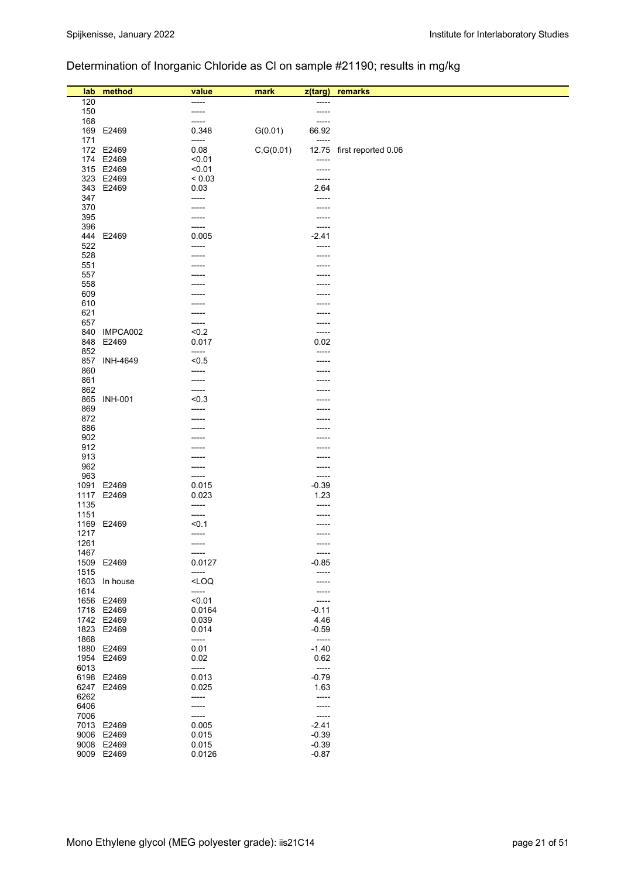## Determination of Inorganic Chloride as Cl on sample #21190; results in mg/kg

| lab  | method          | value       | mark       | z(targ)     | remarks                   |
|------|-----------------|-------------|------------|-------------|---------------------------|
| 120  |                 | -----       |            | -----       |                           |
| 150  |                 | -----       |            | -----       |                           |
| 168  |                 | -----       |            | -----       |                           |
| 169  | E2469           | 0.348       | G(0.01)    | 66.92       |                           |
| 171  |                 | -----       |            | -----       |                           |
|      | 172 E2469       | 0.08        | C, G(0.01) |             | 12.75 first reported 0.06 |
|      | 174 E2469       | < 0.01      |            | -----       |                           |
|      | 315 E2469       | < 0.01      |            | $- - - - -$ |                           |
|      | 323 E2469       | ${}_{0.03}$ |            | $--- -$     |                           |
|      | 343 E2469       | 0.03        |            | 2.64        |                           |
| 347  |                 | -----       |            | -----       |                           |
| 370  |                 | -----       |            |             |                           |
| 395  |                 | -----       |            |             |                           |
| 396  |                 | -----       |            | -----       |                           |
| 444  | E2469           | 0.005       |            | $-2.41$     |                           |
| 522  |                 | -----       |            |             |                           |
| 528  |                 |             |            |             |                           |
| 551  |                 |             |            |             |                           |
| 557  |                 |             |            |             |                           |
| 558  |                 |             |            |             |                           |
| 609  |                 |             |            |             |                           |
| 610  |                 |             |            |             |                           |
| 621  |                 | -----       |            |             |                           |
| 657  |                 | -----       |            |             |                           |
| 840  | IMPCA002        | < 0.2       |            |             |                           |
| 848  | E2469           | 0.017       |            | 0.02        |                           |
| 852  |                 | -----       |            |             |                           |
| 857  | <b>INH-4649</b> | < 0.5       |            |             |                           |
| 860  |                 | -----       |            |             |                           |
| 861  |                 | -----       |            |             |                           |
| 862  |                 | -----       |            |             |                           |
| 865  | <b>INH-001</b>  | < 0.3       |            |             |                           |
| 869  |                 | -----       |            |             |                           |
| 872  |                 |             |            |             |                           |
| 886  |                 |             |            |             |                           |
| 902  |                 |             |            |             |                           |
| 912  |                 |             |            |             |                           |
| 913  |                 |             |            |             |                           |
| 962  |                 | -----       |            |             |                           |
| 963  |                 | -----       |            | -----       |                           |
|      | 1091 E2469      | 0.015       |            | $-0.39$     |                           |
|      | 1117 E2469      | 0.023       |            | 1.23        |                           |
| 1135 |                 | -----       |            | -----       |                           |
| 1151 |                 | -----       |            |             |                           |
|      | 1169 E2469      | 50.1        |            |             |                           |
| 1217 |                 | -----       |            | -----       |                           |
| 1261 |                 | -----       |            |             |                           |
| 1467 |                 | -----       |            | -----       |                           |
|      | 1509 E2469      | 0.0127      |            | $-0.85$     |                           |
| 1515 |                 | -----       |            |             |                           |
|      | 1603 In house   | $<$ LOQ     |            |             |                           |
| 1614 |                 | -----       |            | -----       |                           |
|      | 1656 E2469      | < 0.01      |            | -----       |                           |
|      | 1718 E2469      | 0.0164      |            | $-0.11$     |                           |
|      | 1742 E2469      | 0.039       |            | 4.46        |                           |
|      | 1823 E2469      | 0.014       |            | $-0.59$     |                           |
| 1868 |                 | -----       |            | -----       |                           |
|      | 1880 E2469      | 0.01        |            | $-1.40$     |                           |
|      | 1954 E2469      | 0.02        |            | 0.62        |                           |
| 6013 |                 | -----       |            | -----       |                           |
|      | 6198 E2469      | 0.013       |            | $-0.79$     |                           |
|      | 6247 E2469      | 0.025       |            | 1.63        |                           |
| 6262 |                 | -----       |            | -----       |                           |
| 6406 |                 | -----       |            | -----       |                           |
| 7006 |                 | -----       |            | -----       |                           |
|      | 7013 E2469      | 0.005       |            | $-2.41$     |                           |
|      | 9006 E2469      | 0.015       |            | $-0.39$     |                           |
|      | 9008 E2469      | 0.015       |            | $-0.39$     |                           |
|      | 9009 E2469      | 0.0126      |            | $-0.87$     |                           |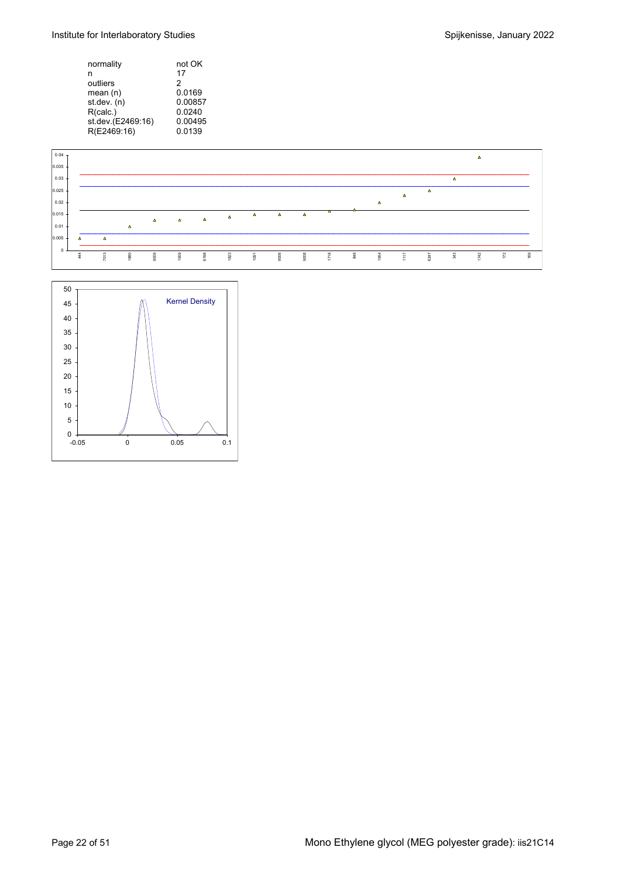Institute for Interlaboratory Studies **Spilled Engineering** Spijkenisse, January 2022

| not OK  |
|---------|
| 17      |
| 2       |
| 0.0169  |
| 0.00857 |
| 0.0240  |
| 0.00495 |
| 0.0139  |
|         |



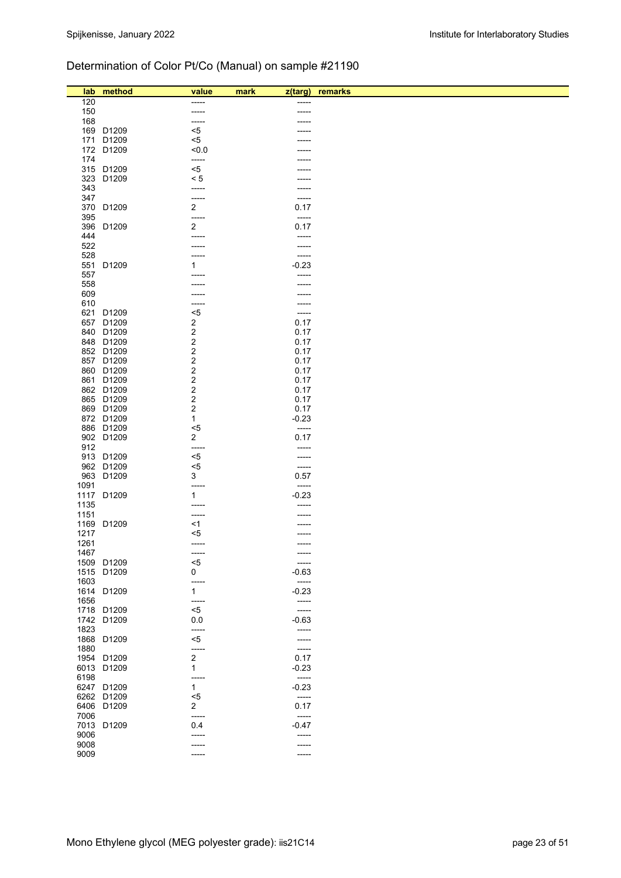## Determination of Color Pt/Co (Manual) on sample #21190

|              | lab method | value                   |                             | remarks |
|--------------|------------|-------------------------|-----------------------------|---------|
| 120          |            |                         | mark<br>$z$ (targ)<br>----- |         |
| 150          |            | -----                   | ----                        |         |
| 168          |            | -----                   |                             |         |
|              | 169 D1209  | $5$                     |                             |         |
|              | 171 D1209  | $5$                     |                             |         |
|              | 172 D1209  | $0.0$                   |                             |         |
| 174          |            | -----                   |                             |         |
|              | 315 D1209  | $<$ 5                   |                             |         |
|              | 323 D1209  | < 5                     |                             |         |
| 343          |            | -----                   | ----                        |         |
| 347          |            | -----                   | -----                       |         |
|              | 370 D1209  | $\overline{2}$          | 0.17                        |         |
| 395          |            | -----                   | -----                       |         |
|              | 396 D1209  | $\overline{\mathbf{c}}$ | 0.17                        |         |
| 444          |            | -----                   | -----                       |         |
| 522          |            |                         | -----                       |         |
| 528<br>551   | D1209      |                         | -----<br>$-0.23$            |         |
| 557          |            | 1<br>-----              | -----                       |         |
| 558          |            |                         |                             |         |
| 609          |            |                         |                             |         |
| 610          |            | -----                   | -----                       |         |
|              | 621 D1209  | $<$ 5                   | -----                       |         |
|              | 657 D1209  | $\overline{\mathbf{c}}$ | 0.17                        |         |
|              | 840 D1209  | 2                       | 0.17                        |         |
|              | 848 D1209  | 2                       | 0.17                        |         |
|              | 852 D1209  | 2                       | 0.17                        |         |
|              | 857 D1209  | 2                       | 0.17                        |         |
|              | 860 D1209  | 2                       | 0.17                        |         |
|              | 861 D1209  | 2                       | 0.17                        |         |
|              | 862 D1209  | 2                       | 0.17                        |         |
|              | 865 D1209  | 2                       | 0.17                        |         |
|              | 869 D1209  | 2                       | 0.17                        |         |
|              | 872 D1209  | 1                       | $-0.23$                     |         |
|              | 886 D1209  | <5<br>2                 | -----<br>0.17               |         |
| 912          | 902 D1209  | -----                   | -----                       |         |
|              | 913 D1209  | $5$                     | -----                       |         |
|              | 962 D1209  | $5$                     | -----                       |         |
|              | 963 D1209  | 3                       | 0.57                        |         |
| 1091         |            | -----                   | -----                       |         |
|              | 1117 D1209 | 1                       | $-0.23$                     |         |
| 1135         |            | -----                   |                             |         |
| 1151         |            | -----                   |                             |         |
|              | 1169 D1209 | <1                      |                             |         |
| 1217         |            | <5                      |                             |         |
| 1261         |            | -----                   | -----                       |         |
| 1467         |            | $-----1$                |                             |         |
|              | 1509 D1209 | <5                      |                             |         |
|              | 1515 D1209 | 0                       | $-0.63$                     |         |
| 1603         | 1614 D1209 | -----<br>$\mathbf{1}$   | $-----$<br>$-0.23$          |         |
| 1656         |            | -----                   | -----                       |         |
|              | 1718 D1209 | <5                      | -----                       |         |
|              | 1742 D1209 | 0.0                     | $-0.63$                     |         |
| 1823         |            | -----                   | $-----$                     |         |
|              | 1868 D1209 | $<$ 5                   | -----                       |         |
| 1880         |            | -----                   | -----                       |         |
|              | 1954 D1209 | $\boldsymbol{2}$        | 0.17                        |         |
|              | 6013 D1209 | 1                       | $-0.23$                     |         |
| 6198         |            | -----                   | $-----1$                    |         |
|              | 6247 D1209 | $\mathbf{1}$            | $-0.23$                     |         |
|              | 6262 D1209 | <5                      | $-----$                     |         |
|              | 6406 D1209 | $\overline{\mathbf{c}}$ | 0.17                        |         |
| 7006         |            | -----                   | $-----$                     |         |
|              | 7013 D1209 | 0.4                     | $-0.47$                     |         |
| 9006         |            | -----                   | -----                       |         |
| 9008<br>9009 |            |                         | -----                       |         |
|              |            |                         |                             |         |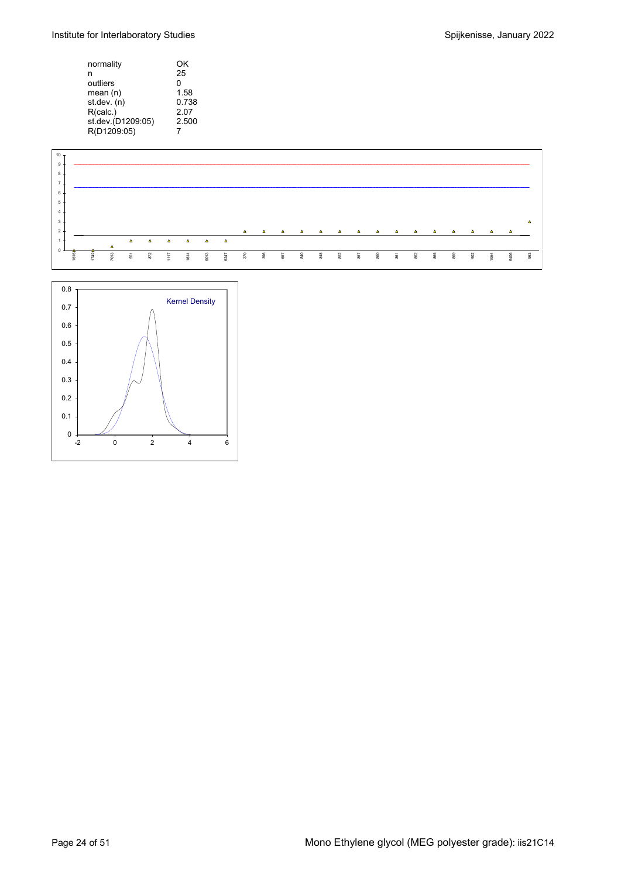| normality         | OK    |
|-------------------|-------|
| n                 | 25    |
| outliers          | n     |
| mean(n)           | 1.58  |
| st.dev. (n)       | 0.738 |
| R(calc.)          | 2.07  |
| st.dev.(D1209:05) | 2.500 |
| R(D1209:05)       |       |



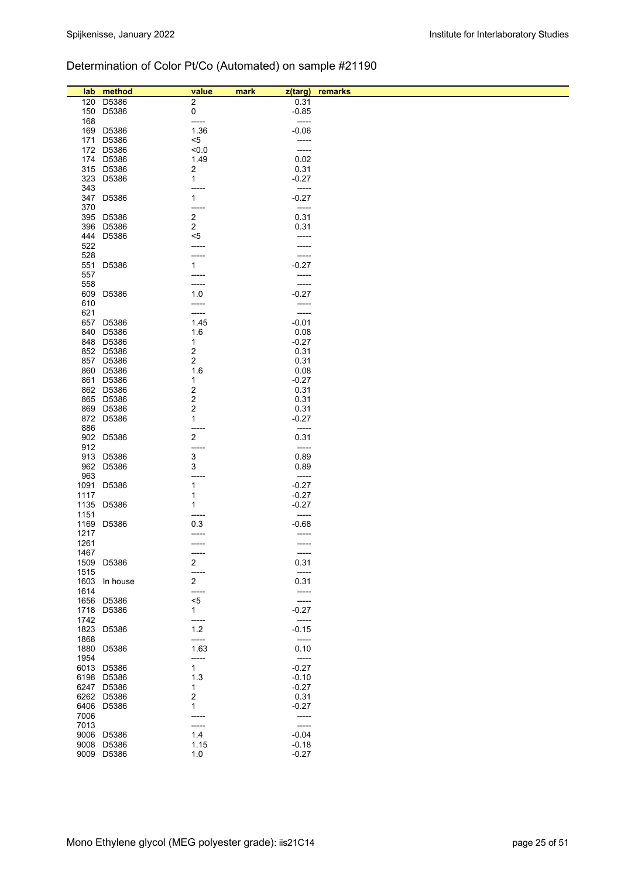## Determination of Color Pt/Co (Automated) on sample #21190

|      | lab method    | value                   | mark     | z(targ) remarks |
|------|---------------|-------------------------|----------|-----------------|
| 120  | D5386         | 2                       | 0.31     |                 |
|      | 150 D5386     | 0                       | $-0.85$  |                 |
| 168  |               | -----                   | -----    |                 |
|      | 169 D5386     | 1.36                    | $-0.06$  |                 |
|      | 171 D5386     | <5                      | -----    |                 |
|      | 172 D5386     | < 0.0                   | -----    |                 |
|      | 174 D5386     | 1.49                    | 0.02     |                 |
|      |               |                         |          |                 |
|      | 315 D5386     | 2                       | 0.31     |                 |
|      | 323 D5386     | $\mathbf{1}$            | $-0.27$  |                 |
| 343  |               | -----                   | -----    |                 |
|      | 347 D5386     | $\mathbf{1}$            | $-0.27$  |                 |
| 370  |               | -----                   | -----    |                 |
|      | 395 D5386     | $\overline{\mathbf{c}}$ | 0.31     |                 |
|      | 396 D5386     | $\overline{\mathbf{c}}$ | 0.31     |                 |
|      | 444 D5386     | <5                      | -----    |                 |
| 522  |               | -----                   |          |                 |
| 528  |               | -----                   | -----    |                 |
|      | 551 D5386     | 1                       | $-0.27$  |                 |
| 557  |               | -----                   | -----    |                 |
|      |               |                         |          |                 |
| 558  |               | -----                   | -----    |                 |
|      | 609 D5386     | 1.0                     | $-0.27$  |                 |
| 610  |               | -----                   | -----    |                 |
| 621  |               | -----                   | -----    |                 |
|      | 657 D5386     | 1.45                    | $-0.01$  |                 |
|      | 840 D5386     | 1.6                     | 0.08     |                 |
|      | 848 D5386     | 1                       | $-0.27$  |                 |
|      | 852 D5386     | 2                       | 0.31     |                 |
|      | 857 D5386     | $\overline{\mathbf{c}}$ | 0.31     |                 |
|      | 860 D5386     | 1.6                     | 0.08     |                 |
|      | 861 D5386     | 1                       | $-0.27$  |                 |
|      |               |                         |          |                 |
|      | 862 D5386     | 2                       | 0.31     |                 |
|      | 865 D5386     | 2                       | 0.31     |                 |
|      | 869 D5386     | 2                       | 0.31     |                 |
|      | 872 D5386     | 1                       | $-0.27$  |                 |
| 886  |               | -----                   | -----    |                 |
|      | 902 D5386     | 2                       | 0.31     |                 |
| 912  |               | -----                   | -----    |                 |
|      | 913 D5386     | 3                       | 0.89     |                 |
|      | 962 D5386     | 3                       | 0.89     |                 |
| 963  |               | -----                   | $-----1$ |                 |
|      | 1091 D5386    | 1                       | $-0.27$  |                 |
|      |               |                         |          |                 |
| 1117 |               | 1                       | $-0.27$  |                 |
| 1135 | D5386         | 1                       | $-0.27$  |                 |
| 1151 |               | -----                   | -----    |                 |
|      | 1169 D5386    | 0.3                     | $-0.68$  |                 |
| 1217 |               | -----                   | -----    |                 |
| 1261 |               | $-----1$                | -----    |                 |
| 1467 |               | ----                    | -----    |                 |
|      | 1509 D5386    | $\overline{\mathbf{c}}$ | 0.31     |                 |
| 1515 |               | -----                   | -----    |                 |
|      | 1603 In house | $\overline{2}$          | 0.31     |                 |
| 1614 |               | -----                   | -----    |                 |
|      |               |                         | $-----$  |                 |
|      | 1656 D5386    | $< 5$                   |          |                 |
|      | 1718 D5386    | $\mathbf{1}$            | $-0.27$  |                 |
| 1742 |               | -----                   | -----    |                 |
|      | 1823 D5386    | $1.2$                   | $-0.15$  |                 |
| 1868 |               | -----                   | $-----1$ |                 |
|      | 1880 D5386    | 1.63                    | 0.10     |                 |
| 1954 |               | -----                   | $-----$  |                 |
|      | 6013 D5386    | 1                       | $-0.27$  |                 |
|      | 6198 D5386    | 1.3                     | $-0.10$  |                 |
|      | 6247 D5386    | 1                       | $-0.27$  |                 |
|      |               |                         |          |                 |
|      | 6262 D5386    | 2                       | 0.31     |                 |
|      | 6406 D5386    | 1                       | $-0.27$  |                 |
| 7006 |               | -----                   | -----    |                 |
| 7013 |               | -----                   | -----    |                 |
|      | 9006 D5386    | 1.4                     | $-0.04$  |                 |
|      | 9008 D5386    | 1.15                    | $-0.18$  |                 |
|      | 9009 D5386    | 1.0                     | $-0.27$  |                 |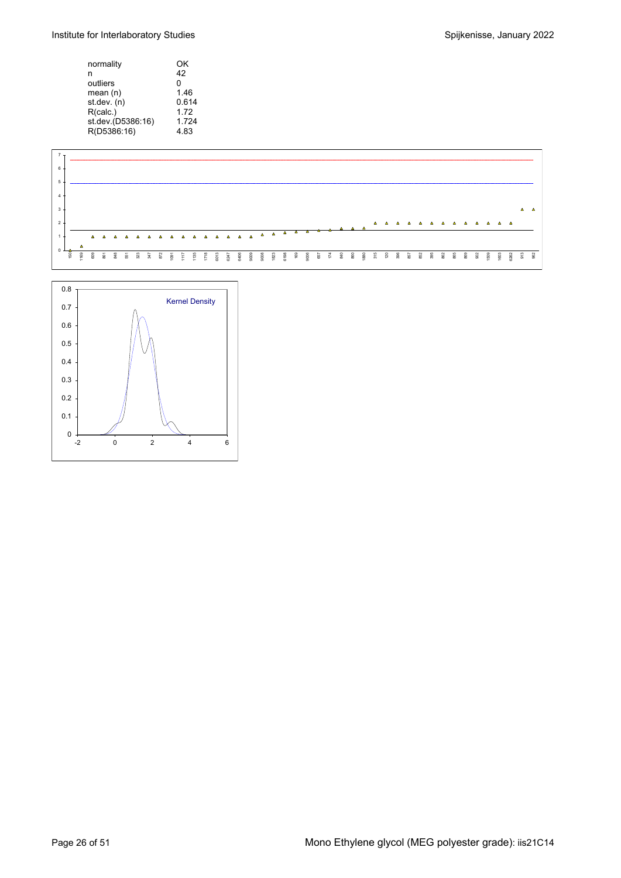Institute for Interlaboratory Studies **Spilled Engineering** Spijkenisse, January 2022

| normality         | ΟK    |
|-------------------|-------|
| n                 | 42    |
| outliers          | n     |
| mean(n)           | 1.46  |
| st.dev. (n)       | 0.614 |
| R(calc.)          | 172   |
| st.dev.(D5386:16) | 1.724 |
| R(D5386:16)       | 4.83  |



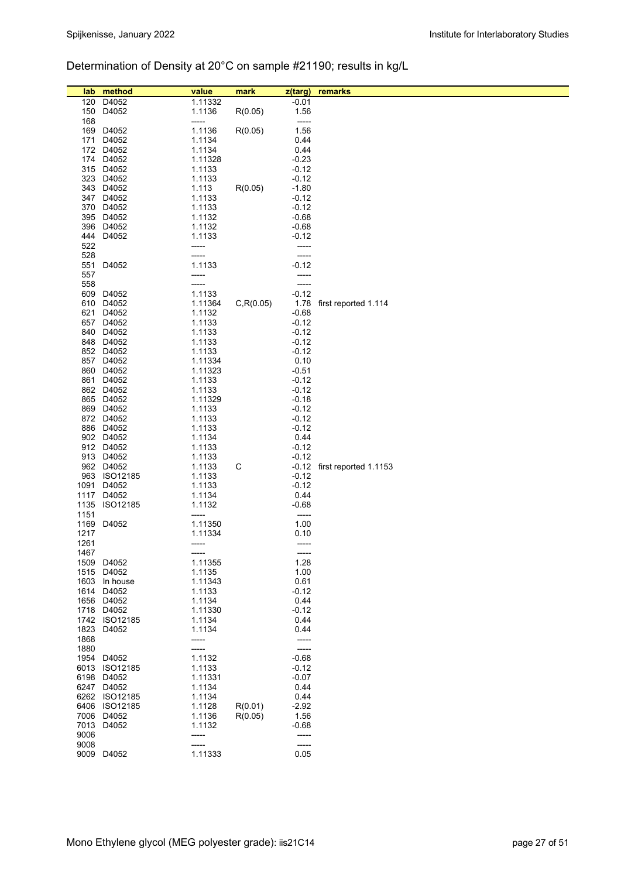## Determination of Density at 20°C on sample #21190; results in kg/L

| lab          | method                         | value            | mark       | z(targ)            | remarks                       |
|--------------|--------------------------------|------------------|------------|--------------------|-------------------------------|
| 120          | D4052                          | 1.11332          |            | $-0.01$            |                               |
|              | 150 D4052                      | 1.1136           | R(0.05)    | 1.56               |                               |
| 168          |                                | -----            |            | -----              |                               |
|              | 169 D4052                      | 1.1136           | R(0.05)    | 1.56               |                               |
|              | 171 D4052                      | 1.1134           |            | 0.44               |                               |
|              | 172 D4052                      | 1.1134           |            | 0.44               |                               |
|              | 174 D4052                      | 1.11328          |            | $-0.23$            |                               |
|              | 315 D4052                      | 1.1133           |            | $-0.12$            |                               |
|              | 323 D4052<br>343 D4052         | 1.1133           |            | $-0.12$            |                               |
|              | 347 D4052                      | 1.113<br>1.1133  | R(0.05)    | $-1.80$<br>$-0.12$ |                               |
|              | 370 D4052                      | 1.1133           |            | $-0.12$            |                               |
|              | 395 D4052                      | 1.1132           |            | $-0.68$            |                               |
|              | 396 D4052                      | 1.1132           |            | $-0.68$            |                               |
|              | 444 D4052                      | 1.1133           |            | $-0.12$            |                               |
| 522          |                                | -----            |            | -----              |                               |
| 528          |                                |                  |            | -----              |                               |
| 551          | D4052                          | 1.1133           |            | $-0.12$            |                               |
| 557          |                                | -----            |            | -----              |                               |
| 558          | 609 D4052                      | -----<br>1.1133  |            | -----<br>$-0.12$   |                               |
|              | 610 D4052                      | 1.11364          | C, R(0.05) |                    | 1.78 first reported 1.114     |
|              | 621 D4052                      | 1.1132           |            | $-0.68$            |                               |
|              | 657 D4052                      | 1.1133           |            | $-0.12$            |                               |
|              | 840 D4052                      | 1.1133           |            | $-0.12$            |                               |
|              | 848 D4052                      | 1.1133           |            | $-0.12$            |                               |
|              | 852 D4052                      | 1.1133           |            | $-0.12$            |                               |
|              | 857 D4052                      | 1.11334          |            | 0.10               |                               |
|              | 860 D4052                      | 1.11323          |            | $-0.51$            |                               |
|              | 861 D4052<br>862 D4052         | 1.1133<br>1.1133 |            | $-0.12$<br>$-0.12$ |                               |
|              | 865 D4052                      | 1.11329          |            | $-0.18$            |                               |
|              | 869 D4052                      | 1.1133           |            | $-0.12$            |                               |
|              | 872 D4052                      | 1.1133           |            | $-0.12$            |                               |
|              | 886 D4052                      | 1.1133           |            | $-0.12$            |                               |
|              | 902 D4052                      | 1.1134           |            | 0.44               |                               |
|              | 912 D4052                      | 1.1133           |            | $-0.12$            |                               |
|              | 913 D4052                      | 1.1133           |            | $-0.12$            |                               |
|              | 962 D4052<br>963 ISO12185      | 1.1133           | C          | $-0.12$            | $-0.12$ first reported 1.1153 |
|              | 1091 D4052                     | 1.1133<br>1.1133 |            | $-0.12$            |                               |
|              | 1117 D4052                     | 1.1134           |            | 0.44               |                               |
|              | 1135 ISO12185                  | 1.1132           |            | $-0.68$            |                               |
| 1151         |                                | -----            |            | -----              |                               |
|              | 1169 D4052                     | 1.11350          |            | 1.00               |                               |
| 1217         |                                | 1.11334          |            | 0.10               |                               |
| 1261<br>1467 |                                | -----<br>-----   |            | -----<br>-----     |                               |
|              | 1509 D4052                     | 1.11355          |            | 1.28               |                               |
|              | 1515 D4052                     | 1.1135           |            | 1.00               |                               |
|              | 1603 In house                  | 1.11343          |            | 0.61               |                               |
|              | 1614 D4052                     | 1.1133           |            | $-0.12$            |                               |
|              | 1656 D4052                     | 1.1134           |            | 0.44               |                               |
|              | 1718 D4052                     | 1.11330          |            | $-0.12$            |                               |
| 1823         | 1742 ISO12185<br>D4052         | 1.1134<br>1.1134 |            | 0.44<br>0.44       |                               |
| 1868         |                                | -----            |            | -----              |                               |
| 1880         |                                |                  |            | -----              |                               |
| 1954         | D4052                          | 1.1132           |            | $-0.68$            |                               |
|              | 6013 ISO12185                  | 1.1133           |            | $-0.12$            |                               |
|              | 6198 D4052                     | 1.11331          |            | $-0.07$            |                               |
|              | 6247 D4052                     | 1.1134           |            | 0.44               |                               |
|              | 6262 ISO12185<br>6406 ISO12185 | 1.1134<br>1.1128 | R(0.01)    | 0.44<br>$-2.92$    |                               |
|              | 7006 D4052                     | 1.1136           | R(0.05)    | 1.56               |                               |
| 7013         | D4052                          | 1.1132           |            | $-0.68$            |                               |
| 9006         |                                | -----            |            | -----              |                               |
| 9008         |                                | -----            |            | -----              |                               |
|              | 9009 D4052                     | 1.11333          |            | 0.05               |                               |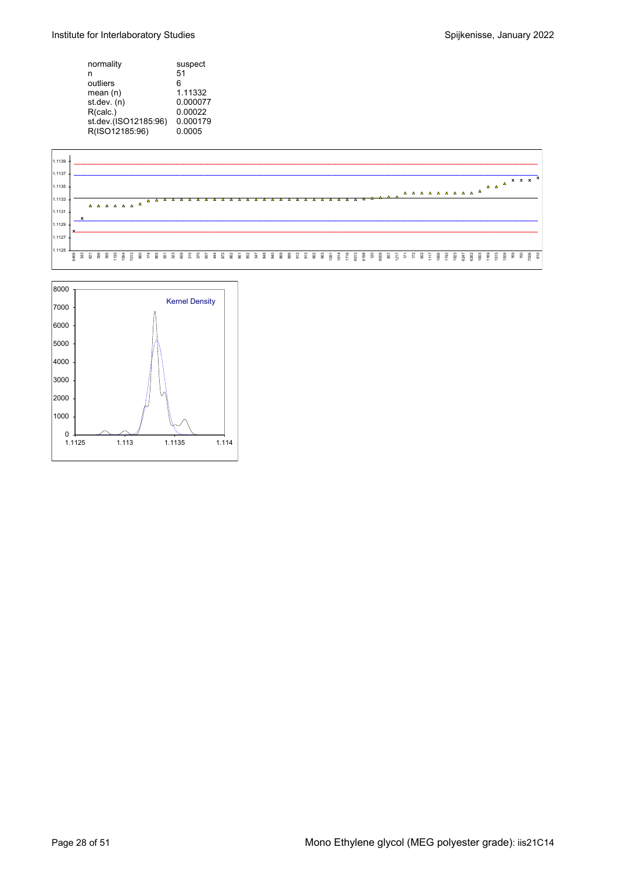| normality            | suspect  |
|----------------------|----------|
| n                    | 51       |
| outliers             | 6        |
| mean(n)              | 1.11332  |
| st.dev. (n)          | 0.000077 |
| R(calc.)             | 0.00022  |
| st.dev.(ISO12185.96) | 0.000179 |
| R(ISO12185:96)       | 0.0005   |



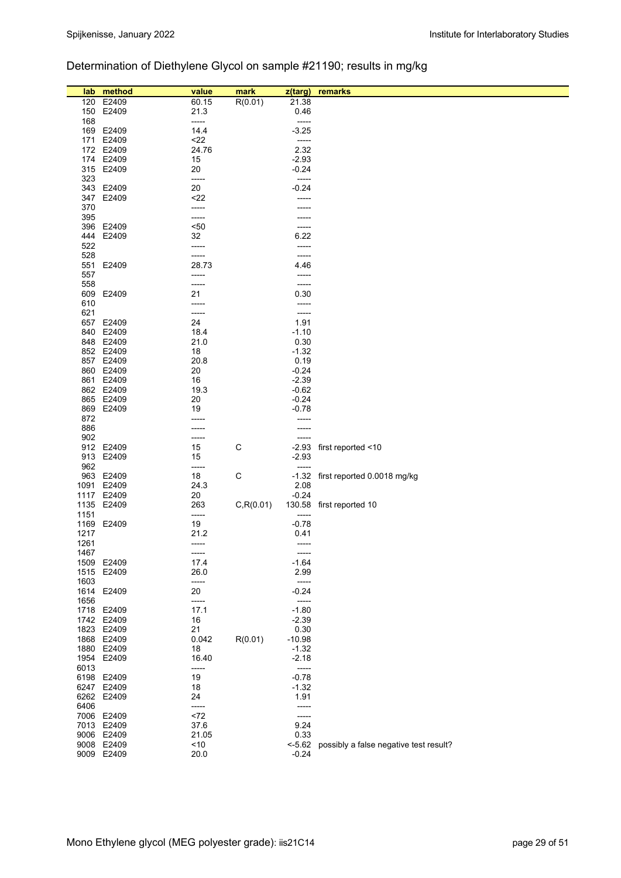## Determination of Diethylene Glycol on sample #21190; results in mg/kg

| R(0.01)<br>120<br>E2409<br>60.15<br>21.38<br>E2409<br>21.3<br>0.46<br>150<br>168<br>-----<br>-----<br>169 E2409<br>14.4<br>$-3.25$<br>171 E2409<br>$22$<br>-----<br>172 E2409<br>24.76<br>2.32<br>174 E2409<br>15<br>$-2.93$<br>315 E2409<br>20<br>$-0.24$<br>323<br>-----<br>-----<br>20<br>343 E2409<br>$-0.24$<br>E2409<br>$22$<br>347<br>------<br>370<br>-----<br>395<br>-----<br>396 E2409<br>$50$<br>-----<br>E2409<br>32<br>6.22<br>444<br>522<br>-----<br>-----<br>528<br>-----<br>-----<br>551 E2409<br>28.73<br>4.46<br>557<br>-----<br>-----<br>558<br>-----<br>-----<br>609 E2409<br>21<br>0.30<br>610<br>-----<br>-----<br>621<br>-----<br>-----<br>657 E2409<br>24<br>1.91<br>840 E2409<br>18.4<br>$-1.10$<br>848 E2409<br>21.0<br>0.30<br>852 E2409<br>18<br>$-1.32$<br>0.19<br>857 E2409<br>20.8<br>860 E2409<br>20<br>$-0.24$<br>861 E2409<br>16<br>$-2.39$<br>862 E2409<br>19.3<br>$-0.62$<br>865 E2409<br>20<br>$-0.24$<br>869 E2409<br>19<br>$-0.78$<br>872<br>886<br>-----<br>-----<br>902<br>-----<br>-----<br>912 E2409<br>15<br>C<br>-2.93 first reported <10<br>913 E2409<br>15<br>$-2.93$<br>962<br>-----<br>C<br>963 E2409<br>18<br>-1.32 first reported 0.0018 mg/kg<br>1091 E2409<br>2.08<br>24.3<br>20<br>$-0.24$<br>1117 E2409<br>C, R(0.01)<br>1135<br>E2409<br>263<br>130.58 first reported 10<br>1151<br>-----<br>-----<br>1169 E2409<br>19<br>$-0.78$<br>1217<br>21.2<br>0.41<br>1261<br>-----<br>-----<br>1467<br>-----<br>-----<br>1509 E2409<br>17.4<br>$-1.64$<br>26.0<br>2.99<br>1515 E2409<br>1603<br>-----<br>-----<br>1614 E2409<br>20<br>$-0.24$<br>1656<br>-----<br>-----<br>1718 E2409<br>17.1<br>$-1.80$<br>1742 E2409<br>16<br>$-2.39$<br>21<br>1823 E2409<br>0.30<br>0.042<br>1868 E2409<br>R(0.01)<br>$-10.98$<br>1880 E2409<br>18<br>$-1.32$<br>16.40<br>1954 E2409<br>$-2.18$<br>6013<br>-----<br>-----<br>6198 E2409<br>19<br>$-0.78$<br>18<br>6247 E2409<br>$-1.32$<br>6262 E2409<br>24<br>1.91<br>6406<br>-----<br>-----<br>7006 E2409<br><72<br>-----<br>7013 E2409<br>37.6<br>9.24<br>9006 E2409<br>21.05<br>0.33<br>9008 E2409<br>< 10<br><-5.62 possibly a false negative test result?<br>9009 E2409<br>20.0<br>$-0.24$ | lab | method | value | mark | z(targ) | remarks |
|-------------------------------------------------------------------------------------------------------------------------------------------------------------------------------------------------------------------------------------------------------------------------------------------------------------------------------------------------------------------------------------------------------------------------------------------------------------------------------------------------------------------------------------------------------------------------------------------------------------------------------------------------------------------------------------------------------------------------------------------------------------------------------------------------------------------------------------------------------------------------------------------------------------------------------------------------------------------------------------------------------------------------------------------------------------------------------------------------------------------------------------------------------------------------------------------------------------------------------------------------------------------------------------------------------------------------------------------------------------------------------------------------------------------------------------------------------------------------------------------------------------------------------------------------------------------------------------------------------------------------------------------------------------------------------------------------------------------------------------------------------------------------------------------------------------------------------------------------------------------------------------------------------------------------------------------------------------------------------------------------------------------------------------------------------------------------------------------------------------------------------------------------------------------------------------|-----|--------|-------|------|---------|---------|
|                                                                                                                                                                                                                                                                                                                                                                                                                                                                                                                                                                                                                                                                                                                                                                                                                                                                                                                                                                                                                                                                                                                                                                                                                                                                                                                                                                                                                                                                                                                                                                                                                                                                                                                                                                                                                                                                                                                                                                                                                                                                                                                                                                                     |     |        |       |      |         |         |
|                                                                                                                                                                                                                                                                                                                                                                                                                                                                                                                                                                                                                                                                                                                                                                                                                                                                                                                                                                                                                                                                                                                                                                                                                                                                                                                                                                                                                                                                                                                                                                                                                                                                                                                                                                                                                                                                                                                                                                                                                                                                                                                                                                                     |     |        |       |      |         |         |
|                                                                                                                                                                                                                                                                                                                                                                                                                                                                                                                                                                                                                                                                                                                                                                                                                                                                                                                                                                                                                                                                                                                                                                                                                                                                                                                                                                                                                                                                                                                                                                                                                                                                                                                                                                                                                                                                                                                                                                                                                                                                                                                                                                                     |     |        |       |      |         |         |
|                                                                                                                                                                                                                                                                                                                                                                                                                                                                                                                                                                                                                                                                                                                                                                                                                                                                                                                                                                                                                                                                                                                                                                                                                                                                                                                                                                                                                                                                                                                                                                                                                                                                                                                                                                                                                                                                                                                                                                                                                                                                                                                                                                                     |     |        |       |      |         |         |
|                                                                                                                                                                                                                                                                                                                                                                                                                                                                                                                                                                                                                                                                                                                                                                                                                                                                                                                                                                                                                                                                                                                                                                                                                                                                                                                                                                                                                                                                                                                                                                                                                                                                                                                                                                                                                                                                                                                                                                                                                                                                                                                                                                                     |     |        |       |      |         |         |
|                                                                                                                                                                                                                                                                                                                                                                                                                                                                                                                                                                                                                                                                                                                                                                                                                                                                                                                                                                                                                                                                                                                                                                                                                                                                                                                                                                                                                                                                                                                                                                                                                                                                                                                                                                                                                                                                                                                                                                                                                                                                                                                                                                                     |     |        |       |      |         |         |
|                                                                                                                                                                                                                                                                                                                                                                                                                                                                                                                                                                                                                                                                                                                                                                                                                                                                                                                                                                                                                                                                                                                                                                                                                                                                                                                                                                                                                                                                                                                                                                                                                                                                                                                                                                                                                                                                                                                                                                                                                                                                                                                                                                                     |     |        |       |      |         |         |
|                                                                                                                                                                                                                                                                                                                                                                                                                                                                                                                                                                                                                                                                                                                                                                                                                                                                                                                                                                                                                                                                                                                                                                                                                                                                                                                                                                                                                                                                                                                                                                                                                                                                                                                                                                                                                                                                                                                                                                                                                                                                                                                                                                                     |     |        |       |      |         |         |
|                                                                                                                                                                                                                                                                                                                                                                                                                                                                                                                                                                                                                                                                                                                                                                                                                                                                                                                                                                                                                                                                                                                                                                                                                                                                                                                                                                                                                                                                                                                                                                                                                                                                                                                                                                                                                                                                                                                                                                                                                                                                                                                                                                                     |     |        |       |      |         |         |
|                                                                                                                                                                                                                                                                                                                                                                                                                                                                                                                                                                                                                                                                                                                                                                                                                                                                                                                                                                                                                                                                                                                                                                                                                                                                                                                                                                                                                                                                                                                                                                                                                                                                                                                                                                                                                                                                                                                                                                                                                                                                                                                                                                                     |     |        |       |      |         |         |
|                                                                                                                                                                                                                                                                                                                                                                                                                                                                                                                                                                                                                                                                                                                                                                                                                                                                                                                                                                                                                                                                                                                                                                                                                                                                                                                                                                                                                                                                                                                                                                                                                                                                                                                                                                                                                                                                                                                                                                                                                                                                                                                                                                                     |     |        |       |      |         |         |
|                                                                                                                                                                                                                                                                                                                                                                                                                                                                                                                                                                                                                                                                                                                                                                                                                                                                                                                                                                                                                                                                                                                                                                                                                                                                                                                                                                                                                                                                                                                                                                                                                                                                                                                                                                                                                                                                                                                                                                                                                                                                                                                                                                                     |     |        |       |      |         |         |
|                                                                                                                                                                                                                                                                                                                                                                                                                                                                                                                                                                                                                                                                                                                                                                                                                                                                                                                                                                                                                                                                                                                                                                                                                                                                                                                                                                                                                                                                                                                                                                                                                                                                                                                                                                                                                                                                                                                                                                                                                                                                                                                                                                                     |     |        |       |      |         |         |
|                                                                                                                                                                                                                                                                                                                                                                                                                                                                                                                                                                                                                                                                                                                                                                                                                                                                                                                                                                                                                                                                                                                                                                                                                                                                                                                                                                                                                                                                                                                                                                                                                                                                                                                                                                                                                                                                                                                                                                                                                                                                                                                                                                                     |     |        |       |      |         |         |
|                                                                                                                                                                                                                                                                                                                                                                                                                                                                                                                                                                                                                                                                                                                                                                                                                                                                                                                                                                                                                                                                                                                                                                                                                                                                                                                                                                                                                                                                                                                                                                                                                                                                                                                                                                                                                                                                                                                                                                                                                                                                                                                                                                                     |     |        |       |      |         |         |
|                                                                                                                                                                                                                                                                                                                                                                                                                                                                                                                                                                                                                                                                                                                                                                                                                                                                                                                                                                                                                                                                                                                                                                                                                                                                                                                                                                                                                                                                                                                                                                                                                                                                                                                                                                                                                                                                                                                                                                                                                                                                                                                                                                                     |     |        |       |      |         |         |
|                                                                                                                                                                                                                                                                                                                                                                                                                                                                                                                                                                                                                                                                                                                                                                                                                                                                                                                                                                                                                                                                                                                                                                                                                                                                                                                                                                                                                                                                                                                                                                                                                                                                                                                                                                                                                                                                                                                                                                                                                                                                                                                                                                                     |     |        |       |      |         |         |
|                                                                                                                                                                                                                                                                                                                                                                                                                                                                                                                                                                                                                                                                                                                                                                                                                                                                                                                                                                                                                                                                                                                                                                                                                                                                                                                                                                                                                                                                                                                                                                                                                                                                                                                                                                                                                                                                                                                                                                                                                                                                                                                                                                                     |     |        |       |      |         |         |
|                                                                                                                                                                                                                                                                                                                                                                                                                                                                                                                                                                                                                                                                                                                                                                                                                                                                                                                                                                                                                                                                                                                                                                                                                                                                                                                                                                                                                                                                                                                                                                                                                                                                                                                                                                                                                                                                                                                                                                                                                                                                                                                                                                                     |     |        |       |      |         |         |
|                                                                                                                                                                                                                                                                                                                                                                                                                                                                                                                                                                                                                                                                                                                                                                                                                                                                                                                                                                                                                                                                                                                                                                                                                                                                                                                                                                                                                                                                                                                                                                                                                                                                                                                                                                                                                                                                                                                                                                                                                                                                                                                                                                                     |     |        |       |      |         |         |
|                                                                                                                                                                                                                                                                                                                                                                                                                                                                                                                                                                                                                                                                                                                                                                                                                                                                                                                                                                                                                                                                                                                                                                                                                                                                                                                                                                                                                                                                                                                                                                                                                                                                                                                                                                                                                                                                                                                                                                                                                                                                                                                                                                                     |     |        |       |      |         |         |
|                                                                                                                                                                                                                                                                                                                                                                                                                                                                                                                                                                                                                                                                                                                                                                                                                                                                                                                                                                                                                                                                                                                                                                                                                                                                                                                                                                                                                                                                                                                                                                                                                                                                                                                                                                                                                                                                                                                                                                                                                                                                                                                                                                                     |     |        |       |      |         |         |
|                                                                                                                                                                                                                                                                                                                                                                                                                                                                                                                                                                                                                                                                                                                                                                                                                                                                                                                                                                                                                                                                                                                                                                                                                                                                                                                                                                                                                                                                                                                                                                                                                                                                                                                                                                                                                                                                                                                                                                                                                                                                                                                                                                                     |     |        |       |      |         |         |
|                                                                                                                                                                                                                                                                                                                                                                                                                                                                                                                                                                                                                                                                                                                                                                                                                                                                                                                                                                                                                                                                                                                                                                                                                                                                                                                                                                                                                                                                                                                                                                                                                                                                                                                                                                                                                                                                                                                                                                                                                                                                                                                                                                                     |     |        |       |      |         |         |
|                                                                                                                                                                                                                                                                                                                                                                                                                                                                                                                                                                                                                                                                                                                                                                                                                                                                                                                                                                                                                                                                                                                                                                                                                                                                                                                                                                                                                                                                                                                                                                                                                                                                                                                                                                                                                                                                                                                                                                                                                                                                                                                                                                                     |     |        |       |      |         |         |
|                                                                                                                                                                                                                                                                                                                                                                                                                                                                                                                                                                                                                                                                                                                                                                                                                                                                                                                                                                                                                                                                                                                                                                                                                                                                                                                                                                                                                                                                                                                                                                                                                                                                                                                                                                                                                                                                                                                                                                                                                                                                                                                                                                                     |     |        |       |      |         |         |
|                                                                                                                                                                                                                                                                                                                                                                                                                                                                                                                                                                                                                                                                                                                                                                                                                                                                                                                                                                                                                                                                                                                                                                                                                                                                                                                                                                                                                                                                                                                                                                                                                                                                                                                                                                                                                                                                                                                                                                                                                                                                                                                                                                                     |     |        |       |      |         |         |
|                                                                                                                                                                                                                                                                                                                                                                                                                                                                                                                                                                                                                                                                                                                                                                                                                                                                                                                                                                                                                                                                                                                                                                                                                                                                                                                                                                                                                                                                                                                                                                                                                                                                                                                                                                                                                                                                                                                                                                                                                                                                                                                                                                                     |     |        |       |      |         |         |
|                                                                                                                                                                                                                                                                                                                                                                                                                                                                                                                                                                                                                                                                                                                                                                                                                                                                                                                                                                                                                                                                                                                                                                                                                                                                                                                                                                                                                                                                                                                                                                                                                                                                                                                                                                                                                                                                                                                                                                                                                                                                                                                                                                                     |     |        |       |      |         |         |
|                                                                                                                                                                                                                                                                                                                                                                                                                                                                                                                                                                                                                                                                                                                                                                                                                                                                                                                                                                                                                                                                                                                                                                                                                                                                                                                                                                                                                                                                                                                                                                                                                                                                                                                                                                                                                                                                                                                                                                                                                                                                                                                                                                                     |     |        |       |      |         |         |
|                                                                                                                                                                                                                                                                                                                                                                                                                                                                                                                                                                                                                                                                                                                                                                                                                                                                                                                                                                                                                                                                                                                                                                                                                                                                                                                                                                                                                                                                                                                                                                                                                                                                                                                                                                                                                                                                                                                                                                                                                                                                                                                                                                                     |     |        |       |      |         |         |
|                                                                                                                                                                                                                                                                                                                                                                                                                                                                                                                                                                                                                                                                                                                                                                                                                                                                                                                                                                                                                                                                                                                                                                                                                                                                                                                                                                                                                                                                                                                                                                                                                                                                                                                                                                                                                                                                                                                                                                                                                                                                                                                                                                                     |     |        |       |      |         |         |
|                                                                                                                                                                                                                                                                                                                                                                                                                                                                                                                                                                                                                                                                                                                                                                                                                                                                                                                                                                                                                                                                                                                                                                                                                                                                                                                                                                                                                                                                                                                                                                                                                                                                                                                                                                                                                                                                                                                                                                                                                                                                                                                                                                                     |     |        |       |      |         |         |
|                                                                                                                                                                                                                                                                                                                                                                                                                                                                                                                                                                                                                                                                                                                                                                                                                                                                                                                                                                                                                                                                                                                                                                                                                                                                                                                                                                                                                                                                                                                                                                                                                                                                                                                                                                                                                                                                                                                                                                                                                                                                                                                                                                                     |     |        |       |      |         |         |
|                                                                                                                                                                                                                                                                                                                                                                                                                                                                                                                                                                                                                                                                                                                                                                                                                                                                                                                                                                                                                                                                                                                                                                                                                                                                                                                                                                                                                                                                                                                                                                                                                                                                                                                                                                                                                                                                                                                                                                                                                                                                                                                                                                                     |     |        |       |      |         |         |
|                                                                                                                                                                                                                                                                                                                                                                                                                                                                                                                                                                                                                                                                                                                                                                                                                                                                                                                                                                                                                                                                                                                                                                                                                                                                                                                                                                                                                                                                                                                                                                                                                                                                                                                                                                                                                                                                                                                                                                                                                                                                                                                                                                                     |     |        |       |      |         |         |
|                                                                                                                                                                                                                                                                                                                                                                                                                                                                                                                                                                                                                                                                                                                                                                                                                                                                                                                                                                                                                                                                                                                                                                                                                                                                                                                                                                                                                                                                                                                                                                                                                                                                                                                                                                                                                                                                                                                                                                                                                                                                                                                                                                                     |     |        |       |      |         |         |
|                                                                                                                                                                                                                                                                                                                                                                                                                                                                                                                                                                                                                                                                                                                                                                                                                                                                                                                                                                                                                                                                                                                                                                                                                                                                                                                                                                                                                                                                                                                                                                                                                                                                                                                                                                                                                                                                                                                                                                                                                                                                                                                                                                                     |     |        |       |      |         |         |
|                                                                                                                                                                                                                                                                                                                                                                                                                                                                                                                                                                                                                                                                                                                                                                                                                                                                                                                                                                                                                                                                                                                                                                                                                                                                                                                                                                                                                                                                                                                                                                                                                                                                                                                                                                                                                                                                                                                                                                                                                                                                                                                                                                                     |     |        |       |      |         |         |
|                                                                                                                                                                                                                                                                                                                                                                                                                                                                                                                                                                                                                                                                                                                                                                                                                                                                                                                                                                                                                                                                                                                                                                                                                                                                                                                                                                                                                                                                                                                                                                                                                                                                                                                                                                                                                                                                                                                                                                                                                                                                                                                                                                                     |     |        |       |      |         |         |
|                                                                                                                                                                                                                                                                                                                                                                                                                                                                                                                                                                                                                                                                                                                                                                                                                                                                                                                                                                                                                                                                                                                                                                                                                                                                                                                                                                                                                                                                                                                                                                                                                                                                                                                                                                                                                                                                                                                                                                                                                                                                                                                                                                                     |     |        |       |      |         |         |
|                                                                                                                                                                                                                                                                                                                                                                                                                                                                                                                                                                                                                                                                                                                                                                                                                                                                                                                                                                                                                                                                                                                                                                                                                                                                                                                                                                                                                                                                                                                                                                                                                                                                                                                                                                                                                                                                                                                                                                                                                                                                                                                                                                                     |     |        |       |      |         |         |
|                                                                                                                                                                                                                                                                                                                                                                                                                                                                                                                                                                                                                                                                                                                                                                                                                                                                                                                                                                                                                                                                                                                                                                                                                                                                                                                                                                                                                                                                                                                                                                                                                                                                                                                                                                                                                                                                                                                                                                                                                                                                                                                                                                                     |     |        |       |      |         |         |
|                                                                                                                                                                                                                                                                                                                                                                                                                                                                                                                                                                                                                                                                                                                                                                                                                                                                                                                                                                                                                                                                                                                                                                                                                                                                                                                                                                                                                                                                                                                                                                                                                                                                                                                                                                                                                                                                                                                                                                                                                                                                                                                                                                                     |     |        |       |      |         |         |
|                                                                                                                                                                                                                                                                                                                                                                                                                                                                                                                                                                                                                                                                                                                                                                                                                                                                                                                                                                                                                                                                                                                                                                                                                                                                                                                                                                                                                                                                                                                                                                                                                                                                                                                                                                                                                                                                                                                                                                                                                                                                                                                                                                                     |     |        |       |      |         |         |
|                                                                                                                                                                                                                                                                                                                                                                                                                                                                                                                                                                                                                                                                                                                                                                                                                                                                                                                                                                                                                                                                                                                                                                                                                                                                                                                                                                                                                                                                                                                                                                                                                                                                                                                                                                                                                                                                                                                                                                                                                                                                                                                                                                                     |     |        |       |      |         |         |
|                                                                                                                                                                                                                                                                                                                                                                                                                                                                                                                                                                                                                                                                                                                                                                                                                                                                                                                                                                                                                                                                                                                                                                                                                                                                                                                                                                                                                                                                                                                                                                                                                                                                                                                                                                                                                                                                                                                                                                                                                                                                                                                                                                                     |     |        |       |      |         |         |
|                                                                                                                                                                                                                                                                                                                                                                                                                                                                                                                                                                                                                                                                                                                                                                                                                                                                                                                                                                                                                                                                                                                                                                                                                                                                                                                                                                                                                                                                                                                                                                                                                                                                                                                                                                                                                                                                                                                                                                                                                                                                                                                                                                                     |     |        |       |      |         |         |
|                                                                                                                                                                                                                                                                                                                                                                                                                                                                                                                                                                                                                                                                                                                                                                                                                                                                                                                                                                                                                                                                                                                                                                                                                                                                                                                                                                                                                                                                                                                                                                                                                                                                                                                                                                                                                                                                                                                                                                                                                                                                                                                                                                                     |     |        |       |      |         |         |
|                                                                                                                                                                                                                                                                                                                                                                                                                                                                                                                                                                                                                                                                                                                                                                                                                                                                                                                                                                                                                                                                                                                                                                                                                                                                                                                                                                                                                                                                                                                                                                                                                                                                                                                                                                                                                                                                                                                                                                                                                                                                                                                                                                                     |     |        |       |      |         |         |
|                                                                                                                                                                                                                                                                                                                                                                                                                                                                                                                                                                                                                                                                                                                                                                                                                                                                                                                                                                                                                                                                                                                                                                                                                                                                                                                                                                                                                                                                                                                                                                                                                                                                                                                                                                                                                                                                                                                                                                                                                                                                                                                                                                                     |     |        |       |      |         |         |
|                                                                                                                                                                                                                                                                                                                                                                                                                                                                                                                                                                                                                                                                                                                                                                                                                                                                                                                                                                                                                                                                                                                                                                                                                                                                                                                                                                                                                                                                                                                                                                                                                                                                                                                                                                                                                                                                                                                                                                                                                                                                                                                                                                                     |     |        |       |      |         |         |
|                                                                                                                                                                                                                                                                                                                                                                                                                                                                                                                                                                                                                                                                                                                                                                                                                                                                                                                                                                                                                                                                                                                                                                                                                                                                                                                                                                                                                                                                                                                                                                                                                                                                                                                                                                                                                                                                                                                                                                                                                                                                                                                                                                                     |     |        |       |      |         |         |
|                                                                                                                                                                                                                                                                                                                                                                                                                                                                                                                                                                                                                                                                                                                                                                                                                                                                                                                                                                                                                                                                                                                                                                                                                                                                                                                                                                                                                                                                                                                                                                                                                                                                                                                                                                                                                                                                                                                                                                                                                                                                                                                                                                                     |     |        |       |      |         |         |
|                                                                                                                                                                                                                                                                                                                                                                                                                                                                                                                                                                                                                                                                                                                                                                                                                                                                                                                                                                                                                                                                                                                                                                                                                                                                                                                                                                                                                                                                                                                                                                                                                                                                                                                                                                                                                                                                                                                                                                                                                                                                                                                                                                                     |     |        |       |      |         |         |
|                                                                                                                                                                                                                                                                                                                                                                                                                                                                                                                                                                                                                                                                                                                                                                                                                                                                                                                                                                                                                                                                                                                                                                                                                                                                                                                                                                                                                                                                                                                                                                                                                                                                                                                                                                                                                                                                                                                                                                                                                                                                                                                                                                                     |     |        |       |      |         |         |
|                                                                                                                                                                                                                                                                                                                                                                                                                                                                                                                                                                                                                                                                                                                                                                                                                                                                                                                                                                                                                                                                                                                                                                                                                                                                                                                                                                                                                                                                                                                                                                                                                                                                                                                                                                                                                                                                                                                                                                                                                                                                                                                                                                                     |     |        |       |      |         |         |
|                                                                                                                                                                                                                                                                                                                                                                                                                                                                                                                                                                                                                                                                                                                                                                                                                                                                                                                                                                                                                                                                                                                                                                                                                                                                                                                                                                                                                                                                                                                                                                                                                                                                                                                                                                                                                                                                                                                                                                                                                                                                                                                                                                                     |     |        |       |      |         |         |
|                                                                                                                                                                                                                                                                                                                                                                                                                                                                                                                                                                                                                                                                                                                                                                                                                                                                                                                                                                                                                                                                                                                                                                                                                                                                                                                                                                                                                                                                                                                                                                                                                                                                                                                                                                                                                                                                                                                                                                                                                                                                                                                                                                                     |     |        |       |      |         |         |
|                                                                                                                                                                                                                                                                                                                                                                                                                                                                                                                                                                                                                                                                                                                                                                                                                                                                                                                                                                                                                                                                                                                                                                                                                                                                                                                                                                                                                                                                                                                                                                                                                                                                                                                                                                                                                                                                                                                                                                                                                                                                                                                                                                                     |     |        |       |      |         |         |
|                                                                                                                                                                                                                                                                                                                                                                                                                                                                                                                                                                                                                                                                                                                                                                                                                                                                                                                                                                                                                                                                                                                                                                                                                                                                                                                                                                                                                                                                                                                                                                                                                                                                                                                                                                                                                                                                                                                                                                                                                                                                                                                                                                                     |     |        |       |      |         |         |
|                                                                                                                                                                                                                                                                                                                                                                                                                                                                                                                                                                                                                                                                                                                                                                                                                                                                                                                                                                                                                                                                                                                                                                                                                                                                                                                                                                                                                                                                                                                                                                                                                                                                                                                                                                                                                                                                                                                                                                                                                                                                                                                                                                                     |     |        |       |      |         |         |
|                                                                                                                                                                                                                                                                                                                                                                                                                                                                                                                                                                                                                                                                                                                                                                                                                                                                                                                                                                                                                                                                                                                                                                                                                                                                                                                                                                                                                                                                                                                                                                                                                                                                                                                                                                                                                                                                                                                                                                                                                                                                                                                                                                                     |     |        |       |      |         |         |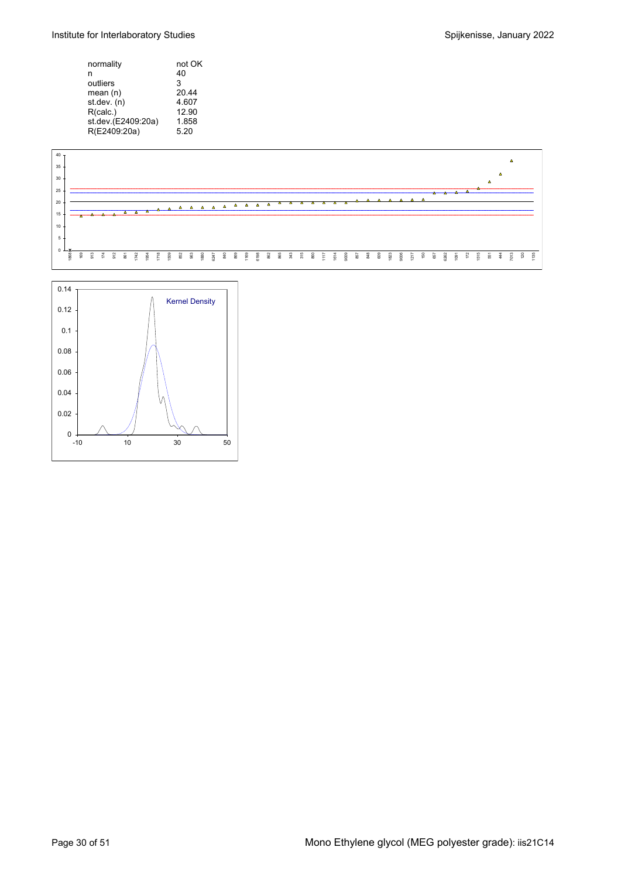Institute for Interlaboratory Studies **Spice 10 and Spillen and Spillen Spillen Spillen Spillen Spillen Spillen Spillen Spillen Spillen Spillen Spillen Spillen Spillen Spillen Spillen Spillen Spillen Spillen Spillen Spille** 

| not OK |
|--------|
| 40     |
| 3      |
| 20.44  |
| 4.607  |
| 12.90  |
| 1.858  |
| 5.20   |
|        |



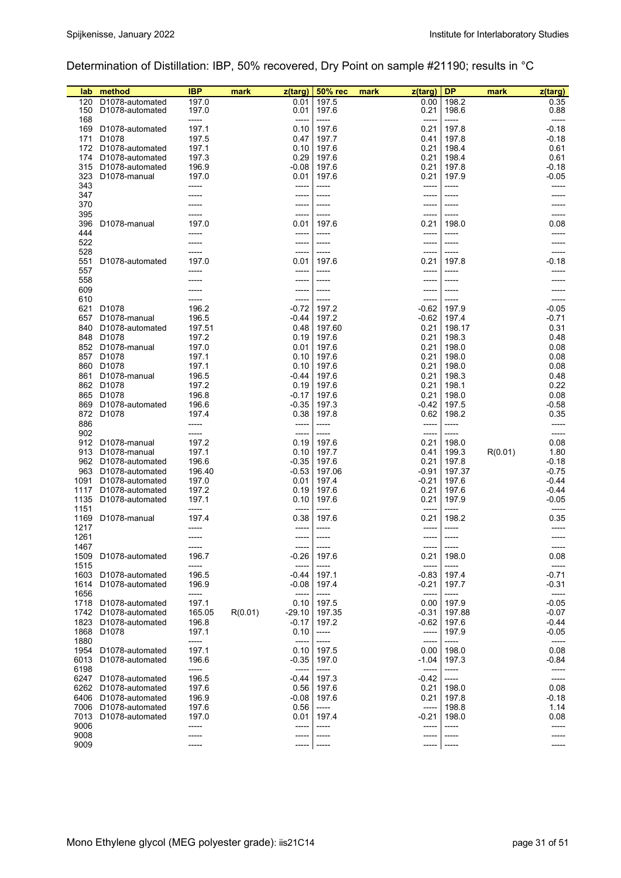# Determination of Distillation: IBP, 50% recovered, Dry Point on sample #21190; results in °C

| lab          | method                                                    | IBP            | mark    | z(targ)            | <b>50% rec</b> | mark | z(targ)          | <b>DP</b>      | mark    | z(targ)            |
|--------------|-----------------------------------------------------------|----------------|---------|--------------------|----------------|------|------------------|----------------|---------|--------------------|
| 120          | D1078-automated                                           | 197.0          |         | 0.01               | 197.5          |      | 0.00             | 198.2          |         | 0.35               |
| 150          | D <sub>1078</sub> -automated                              | 197.0          |         | 0.01               | 197.6          |      | 0.21             | 198.6          |         | 0.88               |
| 168          |                                                           | -----          |         | -----              | -----          |      | -----            | -----          |         | -----              |
| 169          | D1078-automated                                           | 197.1          |         | 0.10               | 197.6          |      | 0.21             | 197.8          |         | $-0.18$            |
| 171          | D <sub>1078</sub>                                         | 197.5          |         | 0.47               | 197.7          |      | 0.41             | 197.8          |         | $-0.18$            |
| 172          | D1078-automated                                           | 197.1          |         | 0.10               | 197.6          |      | 0.21             | 198.4          |         | 0.61               |
| 174          | D <sub>1078</sub> -automated                              | 197.3          |         | 0.29               | 197.6          |      | 0.21             | 198.4          |         | 0.61               |
| 315<br>323   | D <sub>1078</sub> -automated<br>D <sub>1078</sub> -manual | 196.9<br>197.0 |         | $-0.08$<br>0.01    | 197.6<br>197.6 |      | 0.21<br>0.21     | 197.8<br>197.9 |         | $-0.18$<br>-0.05   |
| 343          |                                                           | -----          |         | -----              | -----          |      | -----            | -----          |         | -----              |
| 347          |                                                           |                |         | -----              | -----          |      | -----            |                |         |                    |
| 370          |                                                           |                |         | -----              | -----          |      | -----            |                |         |                    |
| 395          |                                                           |                |         | -----              | -----          |      | -----            | -----          |         |                    |
| 396          | D1078-manual                                              | 197.0          |         | 0.01               | 197.6          |      | 0.21             | 198.0          |         | 0.08               |
| 444          |                                                           |                |         | -----              | -----          |      | -----            | -----          |         | -----              |
| 522          |                                                           |                |         | -----              | -----          |      | -----            | -----          |         | -----              |
| 528          |                                                           |                |         | -----              | -----          |      | ------           | -----          |         | -----              |
| 551          | D1078-automated                                           | 197.0          |         | 0.01               | 197.6          |      | 0.21             | 197.8          |         | -0.18              |
| 557          |                                                           |                |         | -----              | -----          |      | -----            | -----          |         |                    |
| 558          |                                                           |                |         | -----              | -----          |      | -----            |                |         |                    |
| 609<br>610   |                                                           |                |         | -----<br>-----     | -----<br>----- |      | -----<br>-----   | -----          |         |                    |
| 621          | D <sub>1078</sub>                                         | 196.2          |         | $-0.72$            | 197.2          |      | $-0.62$          | 197.9          |         | -0.05              |
| 657          | D1078-manual                                              | 196.5          |         | $-0.44$            | 197.2          |      | $-0.62$          | 197.4          |         | $-0.71$            |
| 840          | D1078-automated                                           | 197.51         |         | 0.48               | 197.60         |      | 0.21             | 198.17         |         | 0.31               |
| 848          | D1078                                                     | 197.2          |         | 0.19               | 197.6          |      | 0.21             | 198.3          |         | 0.48               |
|              | 852 D1078-manual                                          | 197.0          |         | 0.01               | 197.6          |      | 0.21             | 198.0          |         | 0.08               |
| 857          | D1078                                                     | 197.1          |         | 0.10               | 197.6          |      | 0.21             | 198.0          |         | 0.08               |
| 860          | D <sub>1078</sub>                                         | 197.1          |         | 0.10               | 197.6          |      | 0.21             | 198.0          |         | 0.08               |
| 861          | D1078-manual                                              | 196.5          |         | -0.44              | 197.6          |      | 0.21             | 198.3          |         | 0.48               |
|              | 862 D1078                                                 | 197.2          |         | 0.19               | 197.6          |      | 0.21             | 198.1          |         | 0.22               |
|              | 865 D1078                                                 | 196.8          |         | $-0.17$            | 197.6          |      | 0.21             | 198.0          |         | 0.08               |
| 869          | D <sub>1078</sub> -automated                              | 196.6          |         | $-0.35$            | 197.3          |      | $-0.42$          | 197.5          |         | $-0.58$            |
|              | 872 D1078                                                 | 197.4          |         | 0.38               | 197.8          |      | 0.62             | 198.2          |         | 0.35               |
| 886          |                                                           | -----          |         | -----              | -----          |      | $-----$          | -----          |         | -----              |
| 902          |                                                           |                |         | -----              | -----          |      | -----            | -----          |         | -----              |
| 912          | D1078-manual                                              | 197.2          |         | 0.19               | 197.6          |      | 0.21             | 198.0          |         | 0.08               |
| 913          | D1078-manual<br>962 D1078-automated                       | 197.1<br>196.6 |         | 0.10<br>$-0.35$    | 197.7<br>197.6 |      | 0.41<br>0.21     | 199.3<br>197.8 | R(0.01) | 1.80<br>$-0.18$    |
|              | 963 D1078-automated                                       | 196.40         |         | $-0.53$            | 197.06         |      | $-0.91$          | 197.37         |         | $-0.75$            |
| 1091         | D <sub>1078</sub> -automated                              | 197.0          |         | 0.01               | 197.4          |      | $-0.21$          | 197.6          |         | -0.44              |
| 1117         | D1078-automated                                           | 197.2          |         | 0.19               | 197.6          |      | 0.21             | 197.6          |         | $-0.44$            |
| 1135         | D1078-automated                                           | 197.1          |         | 0.10               | 197.6          |      | 0.21             | 197.9          |         | $-0.05$            |
| 1151         |                                                           | -----          |         | -----              | -----          |      | $-----$          | -----          |         | -----              |
| 1169         | D1078-manual                                              | 197.4          |         | 0.38               | 197.6          |      | 0.21             | 198.2          |         | 0.35               |
| 1217         |                                                           |                |         | -----              | -----          |      | -----            | -----          |         |                    |
| 1261         |                                                           |                |         | -----              | ------         |      | ------           | -----          |         |                    |
| 1467         |                                                           |                |         | -----              | ------         |      |                  | -----          |         |                    |
| 1509         | D1078-automated                                           | 196.7          |         | $-0.26$            | 197.6          |      | 0.21             | 198.0          |         | 0.08               |
| 1515<br>1603 |                                                           | 196.5          |         | -----              | -----          |      | -----<br>$-0.83$ | -----<br>197.4 |         | -----              |
| 1614         | D1078-automated<br>D1078-automated                        | 196.9          |         | $-0.44$<br>$-0.08$ | 197.1<br>197.4 |      | $-0.21$          | 197.7          |         | $-0.71$<br>$-0.31$ |
| 1656         |                                                           | -----          |         | -----              | -----          |      | -----            | -----          |         | -----              |
| 1718         | D1078-automated                                           | 197.1          |         | 0.10               | 197.5          |      | 0.00             | 197.9          |         | $-0.05$            |
| 1742         | D1078-automated                                           | 165.05         | R(0.01) | -29.10             | 197.35         |      | $-0.31$          | 197.88         |         | $-0.07$            |
| 1823         | D1078-automated                                           | 196.8          |         | $-0.17$            | 197.2          |      | $-0.62$          | 197.6          |         | $-0.44$            |
| 1868         | D <sub>1078</sub>                                         | 197.1          |         | 0.10               | -----          |      | -----            | 197.9          |         | $-0.05$            |
| 1880         |                                                           | -----          |         | -----              | -----          |      | -----            | -----          |         | -----              |
| 1954         | D <sub>1078</sub> -automated                              | 197.1          |         | 0.10               | 197.5          |      | 0.00             | 198.0          |         | 0.08               |
| 6013         | D1078-automated                                           | 196.6          |         | $-0.35$            | 197.0          |      | -1.04            | 197.3          |         | $-0.84$            |
| 6198         |                                                           | -----          |         | -----              | -----          |      | -----            | -----          |         | -----              |
| 6247         | D1078-automated                                           | 196.5          |         | $-0.44$            | 197.3          |      | $-0.42$          | -----          |         | -----              |
| 6262         | D1078-automated                                           | 197.6          |         | 0.56               | 197.6          |      | 0.21             | 198.0          |         | 0.08               |
| 6406<br>7006 | D1078-automated<br>D1078-automated                        | 196.9<br>197.6 |         | $-0.08$            | 197.6          |      | 0.21<br>-----    | 197.8<br>198.8 |         | $-0.18$            |
| 7013         | D1078-automated                                           | 197.0          |         | 0.56<br>0.01       | -----<br>197.4 |      | $-0.21$          | 198.0          |         | 1.14<br>0.08       |
| 9006         |                                                           |                |         | -----              | -----          |      |                  | -----          |         |                    |
| 9008         |                                                           |                |         | -----              |                |      |                  |                |         |                    |
| 9009         |                                                           |                |         | -----              |                |      |                  |                |         |                    |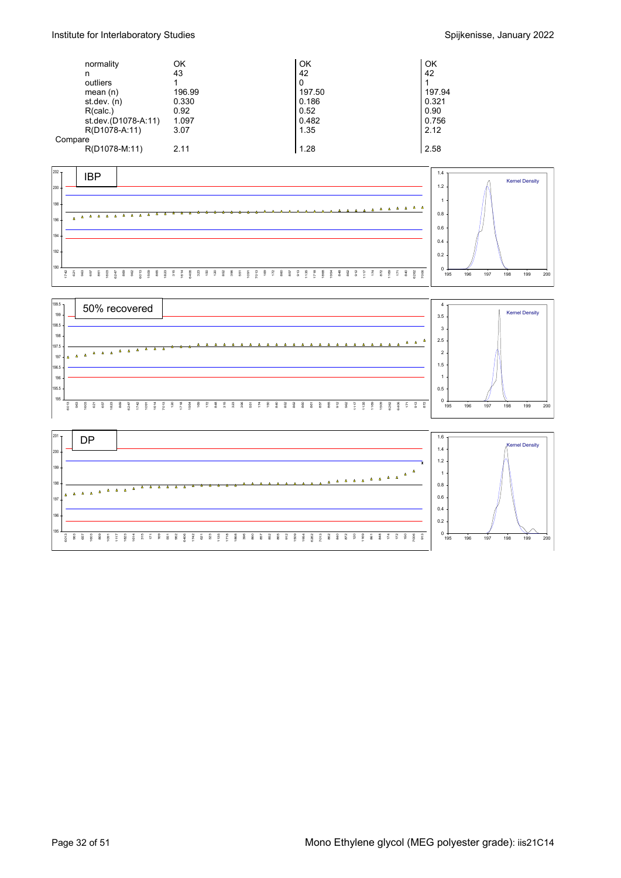|         | normality           | ΟK     | OK     | OK     |
|---------|---------------------|--------|--------|--------|
|         | n                   | 43     | 42     | 42     |
|         | outliers            |        | 0      |        |
|         | mean $(n)$          | 196.99 | 197.50 | 197.94 |
|         | st dev. $(n)$       | 0.330  | 0.186  | 0.321  |
|         | R(calc.)            | 0.92   | 0.52   | 0.90   |
|         | st.dev.(D1078-A:11) | 1.097  | 0.482  | 0.756  |
|         | R(D1078-A:11)       | 3.07   | 1.35   | 2.12   |
| Compare |                     |        |        |        |
|         | R(D1078-M:11)       | 2.11   | 1.28   | 2.58   |





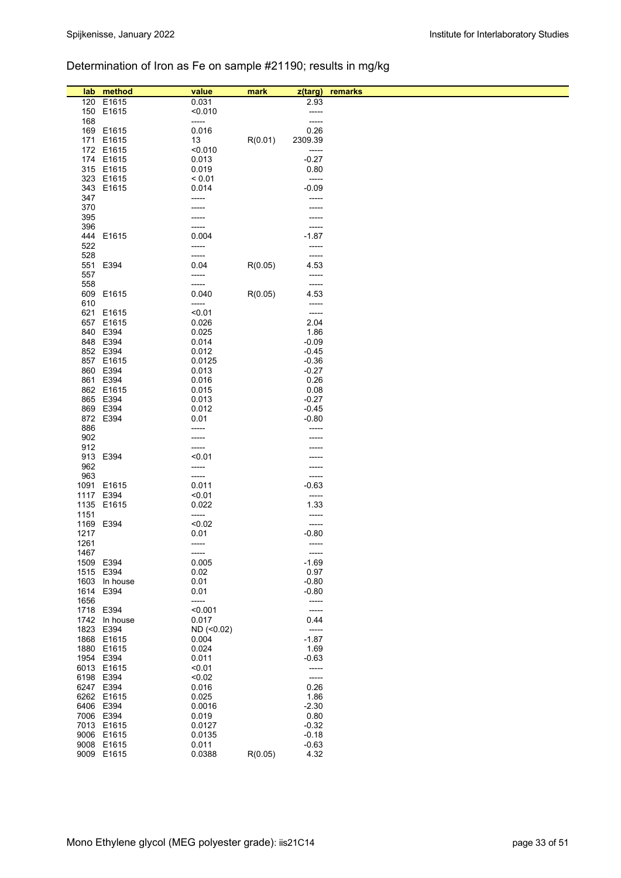## Determination of Iron as Fe on sample #21190; results in mg/kg

| lab  | method        | value      | mark    | z(targ) | remarks |
|------|---------------|------------|---------|---------|---------|
| 120  | E1615         | 0.031      |         | 2.93    |         |
|      | 150 E1615     | < 0.010    |         | -----   |         |
| 168  |               | -----      |         | -----   |         |
|      | 169 E1615     | 0.016      |         | 0.26    |         |
|      | 171 E1615     | 13         | R(0.01) | 2309.39 |         |
|      | 172 E1615     | < 0.010    |         | -----   |         |
|      | 174 E1615     | 0.013      |         | $-0.27$ |         |
|      | 315 E1615     | 0.019      |         | 0.80    |         |
|      | 323 E1615     | < 0.01     |         | -----   |         |
|      |               | 0.014      |         | $-0.09$ |         |
|      | 343 E1615     |            |         |         |         |
| 347  |               | -----      |         | -----   |         |
| 370  |               |            |         |         |         |
| 395  |               |            |         |         |         |
| 396  |               | -----      |         | -----   |         |
|      | 444 E1615     | 0.004      |         | $-1.87$ |         |
| 522  |               | -----      |         | -----   |         |
| 528  |               | -----      |         | -----   |         |
| 551  | E394          | 0.04       | R(0.05) | 4.53    |         |
|      |               | -----      |         | -----   |         |
| 557  |               |            |         |         |         |
| 558  |               | -----      |         | -----   |         |
|      | 609 E1615     | 0.040      | R(0.05) | 4.53    |         |
| 610  |               | -----      |         | -----   |         |
|      | 621 E1615     | < 0.01     |         | -----   |         |
|      | 657 E1615     | 0.026      |         | 2.04    |         |
|      | 840 E394      | 0.025      |         | 1.86    |         |
|      | 848 E394      | 0.014      |         | $-0.09$ |         |
|      | 852 E394      | 0.012      |         | $-0.45$ |         |
|      | 857 E1615     | 0.0125     |         | $-0.36$ |         |
|      | 860 E394      |            |         |         |         |
|      |               | 0.013      |         | $-0.27$ |         |
|      | 861 E394      | 0.016      |         | 0.26    |         |
|      | 862 E1615     | 0.015      |         | 0.08    |         |
|      | 865 E394      | 0.013      |         | $-0.27$ |         |
|      | 869 E394      | 0.012      |         | $-0.45$ |         |
|      | 872 E394      | 0.01       |         | $-0.80$ |         |
| 886  |               |            |         |         |         |
| 902  |               | -----      |         |         |         |
| 912  |               | -----      |         |         |         |
|      |               |            |         |         |         |
| 913  | E394          | < 0.01     |         |         |         |
| 962  |               | -----      |         |         |         |
| 963  |               | -----      |         | -----   |         |
|      | 1091 E1615    | 0.011      |         | $-0.63$ |         |
| 1117 | E394          | < 0.01     |         | -----   |         |
|      | 1135 E1615    | 0.022      |         | 1.33    |         |
| 1151 |               | -----      |         | -----   |         |
|      | 1169 E394     | < 0.02     |         | -----   |         |
| 1217 |               | 0.01       |         | $-0.80$ |         |
| 1261 |               | -----      |         | -----   |         |
|      |               |            |         |         |         |
| 1467 |               | -----      |         | -----   |         |
|      | 1509 E394     | 0.005      |         | $-1.69$ |         |
|      | 1515 E394     | 0.02       |         | 0.97    |         |
|      | 1603 In house | 0.01       |         | $-0.80$ |         |
|      | 1614 E394     | 0.01       |         | $-0.80$ |         |
| 1656 |               | -----      |         | -----   |         |
|      | 1718 E394     | < 0.001    |         | -----   |         |
|      | 1742 In house | 0.017      |         | 0.44    |         |
|      | 1823 E394     | ND (<0.02) |         | -----   |         |
|      | 1868 E1615    | 0.004      |         | $-1.87$ |         |
|      |               |            |         |         |         |
|      | 1880 E1615    | 0.024      |         | 1.69    |         |
|      | 1954 E394     | 0.011      |         | $-0.63$ |         |
|      | 6013 E1615    | < 0.01     |         | -----   |         |
|      | 6198 E394     | < 0.02     |         | -----   |         |
|      | 6247 E394     | 0.016      |         | 0.26    |         |
|      | 6262 E1615    | 0.025      |         | 1.86    |         |
|      | 6406 E394     | 0.0016     |         | $-2.30$ |         |
|      | 7006 E394     | 0.019      |         | 0.80    |         |
|      | 7013 E1615    | 0.0127     |         | $-0.32$ |         |
|      |               |            |         |         |         |
|      | 9006 E1615    | 0.0135     |         | $-0.18$ |         |
|      | 9008 E1615    | 0.011      |         | $-0.63$ |         |
|      | 9009 E1615    | 0.0388     | R(0.05) | 4.32    |         |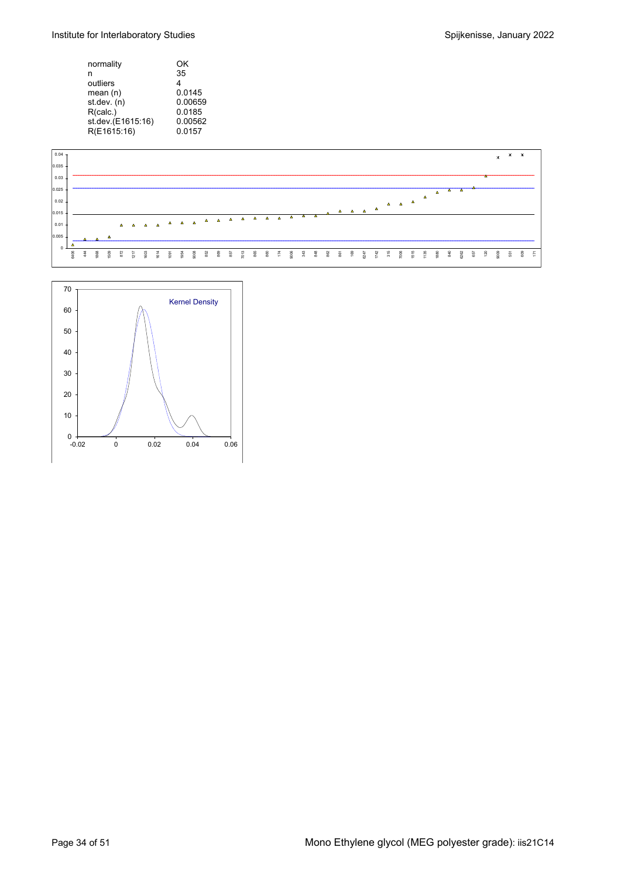| normality         | OK      |
|-------------------|---------|
| n                 | 35      |
| outliers          | 4       |
| mean(n)           | 0.0145  |
| st.dev. (n)       | 0.00659 |
| R(calc.)          | 0.0185  |
| st.dev.(E1615:16) | 0.00562 |
| R(E1615:16)       | 0.0157  |



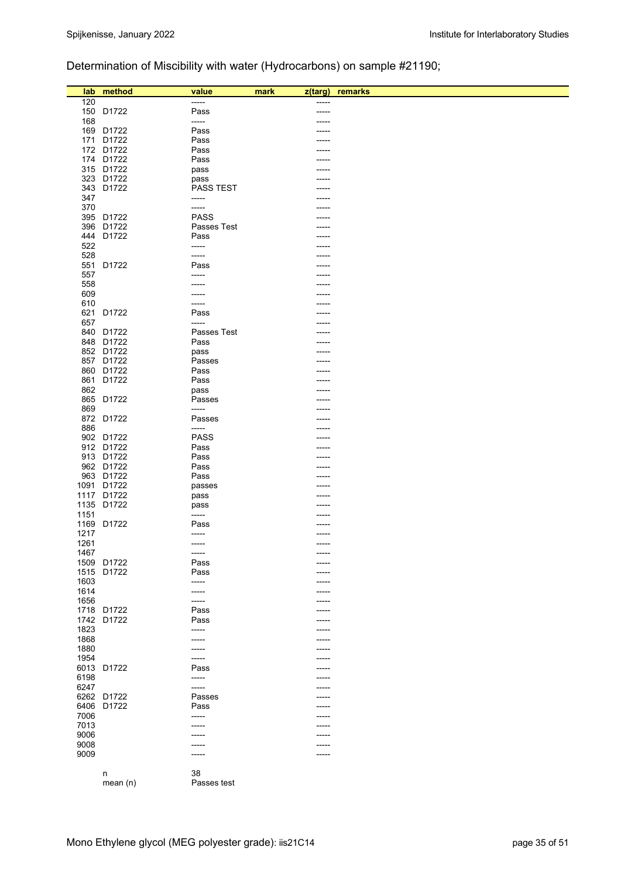## Determination of Miscibility with water (Hydrocarbons) on sample #21190;

|              | lab method             | value                | mark<br>$z$ (targ) | remarks |
|--------------|------------------------|----------------------|--------------------|---------|
| 120          |                        | -----                |                    |         |
|              | 150 D1722              | Pass                 | -----              |         |
| 168          |                        | -----                |                    |         |
|              | 169 D1722              | Pass                 |                    |         |
|              | 171 D1722              | Pass                 |                    |         |
|              | 172 D1722              | Pass                 |                    |         |
|              | 174 D1722              | Pass                 |                    |         |
|              | 315 D1722              | pass                 |                    |         |
|              | 323 D1722              | pass                 |                    |         |
|              | 343 D1722              | <b>PASS TEST</b>     |                    |         |
| 347          |                        | -----                |                    |         |
| 370          | 395 D1722              | -----<br><b>PASS</b> |                    |         |
|              | 396 D1722              | Passes Test          |                    |         |
|              | 444 D1722              | Pass                 |                    |         |
| 522          |                        | -----                |                    |         |
| 528          |                        | -----                |                    |         |
|              | 551 D1722              | Pass                 |                    |         |
| 557          |                        | -----                |                    |         |
| 558          |                        |                      |                    |         |
| 609          |                        |                      |                    |         |
| 610          |                        | -----                |                    |         |
|              | 621 D1722              | Pass                 |                    |         |
| 657          |                        | -----                |                    |         |
|              | 840 D1722              | Passes Test<br>Pass  |                    |         |
|              | 848 D1722<br>852 D1722 |                      |                    |         |
|              | 857 D1722              | pass<br>Passes       |                    |         |
|              | 860 D1722              | Pass                 |                    |         |
|              | 861 D1722              | Pass                 |                    |         |
| 862          |                        | pass                 |                    |         |
|              | 865 D1722              | Passes               |                    |         |
| 869          |                        | -----                |                    |         |
|              | 872 D1722              | Passes               |                    |         |
| 886          |                        | -----                |                    |         |
|              | 902 D1722              | <b>PASS</b>          |                    |         |
|              | 912 D1722              | Pass                 |                    |         |
|              | 913 D1722              | Pass                 |                    |         |
|              | 962 D1722<br>963 D1722 | Pass<br>Pass         |                    |         |
|              | 1091 D1722             | passes               |                    |         |
|              | 1117 D1722             | pass                 |                    |         |
|              | 1135 D1722             | pass                 |                    |         |
| 1151         |                        | -----                |                    |         |
|              | 1169 D1722             | Pass                 |                    |         |
| 1217         |                        | -----                |                    |         |
| 1261         |                        | -----                |                    |         |
| 1467         |                        | -----                |                    |         |
|              | 1509 D1722             | Pass                 |                    |         |
| 1515         | D1722                  | Pass                 |                    |         |
| 1603         |                        | -----                |                    |         |
| 1614<br>1656 |                        | -----                |                    |         |
|              | 1718 D1722             | -----<br>Pass        |                    |         |
|              | 1742 D1722             | Pass                 |                    |         |
| 1823         |                        | -----                |                    |         |
| 1868         |                        | -----                |                    |         |
| 1880         |                        | -----                |                    |         |
| 1954         |                        | -----                |                    |         |
|              | 6013 D1722             | Pass                 |                    |         |
| 6198         |                        | -----                |                    |         |
| 6247         |                        | -----                |                    |         |
|              | 6262 D1722             | Passes               |                    |         |
|              | 6406 D1722             | Pass                 |                    |         |
| 7006         |                        | -----                |                    |         |
| 7013<br>9006 |                        | -----                |                    |         |
| 9008         |                        |                      |                    |         |
| 9009         |                        |                      |                    |         |
|              |                        |                      |                    |         |
|              | n                      | 38                   |                    |         |
|              | mean(n)                | Passes test          |                    |         |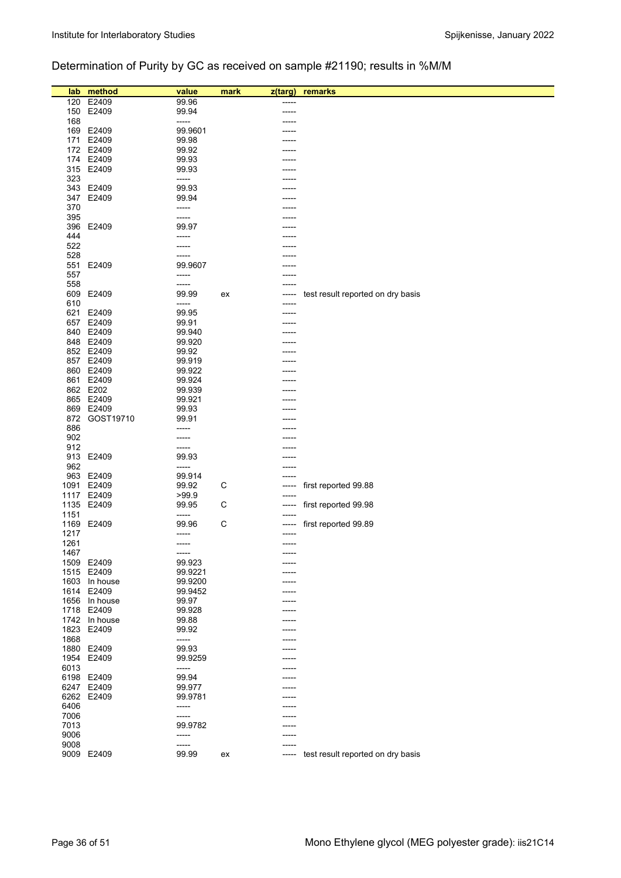## Determination of Purity by GC as received on sample #21190; results in %M/M

| lab          | method        | value            | mark | z(targ)  | remarks                           |
|--------------|---------------|------------------|------|----------|-----------------------------------|
| 120          | E2409         | 99.96            |      | -----    |                                   |
| 150          | E2409         | 99.94            |      | -----    |                                   |
| 168          |               | -----            |      |          |                                   |
| 169          | E2409         | 99.9601          |      |          |                                   |
| 171          | E2409         | 99.98            |      |          |                                   |
|              | 172 E2409     | 99.92            |      |          |                                   |
|              | 174 E2409     | 99.93            |      |          |                                   |
|              | 315 E2409     | 99.93            |      |          |                                   |
| 323          |               | -----            |      |          |                                   |
| 343          | E2409         | 99.93            |      |          |                                   |
| 347          | E2409         | 99.94            |      |          |                                   |
| 370          |               | -----            |      |          |                                   |
| 395          |               | -----            |      |          |                                   |
| 396          | E2409         | 99.97            |      |          |                                   |
| 444          |               | -----            |      |          |                                   |
| 522          |               | -----            |      |          |                                   |
| 528          |               | -----<br>99.9607 |      |          |                                   |
| 551<br>557   | E2409         | -----            |      |          |                                   |
| 558          |               | -----            |      |          |                                   |
| 609          | E2409         | 99.99            | ex   |          | test result reported on dry basis |
| 610          |               | -----            |      |          |                                   |
| 621          | E2409         | 99.95            |      |          |                                   |
| 657          | E2409         | 99.91            |      |          |                                   |
|              | 840 E2409     | 99.940           |      |          |                                   |
|              | 848 E2409     | 99.920           |      |          |                                   |
|              | 852 E2409     | 99.92            |      |          |                                   |
| 857          | E2409         | 99.919           |      |          |                                   |
|              | 860 E2409     | 99.922           |      |          |                                   |
| 861          | E2409         | 99.924           |      |          |                                   |
|              | 862 E202      | 99.939           |      |          |                                   |
|              | 865 E2409     | 99.921           |      |          |                                   |
| 869          | E2409         | 99.93            |      |          |                                   |
|              | 872 GOST19710 | 99.91            |      |          |                                   |
| 886          |               | -----            |      |          |                                   |
| 902          |               | -----            |      |          |                                   |
| 912          |               | -----            |      |          |                                   |
| 913          | E2409         | 99.93<br>-----   |      |          |                                   |
| 962<br>963   | E2409         | 99.914           |      |          |                                   |
| 1091         | E2409         | 99.92            | С    |          | first reported 99.88              |
|              | 1117 E2409    | >99.9            |      |          |                                   |
| 1135         | E2409         | 99.95            | С    | -----    | first reported 99.98              |
| 1151         |               | -----            |      |          |                                   |
| 1169         | E2409         | 99.96            | С    | -----    | first reported 99.89              |
| 1217         |               | -----            |      | -----    |                                   |
| 1261         |               | -----            |      | $-----1$ |                                   |
| 1467         |               | -----            |      |          |                                   |
| 1509         | E2409         | 99.923           |      |          |                                   |
|              | 1515 E2409    | 99.9221          |      |          |                                   |
| 1603         | In house      | 99.9200          |      | -----    |                                   |
| 1614         | E2409         | 99.9452          |      |          |                                   |
|              | 1656 In house | 99.97            |      | -----    |                                   |
| 1718         | E2409         | 99.928           |      |          |                                   |
| 1742         | In house      | 99.88            |      |          |                                   |
| 1823<br>1868 | E2409         | 99.92            |      |          |                                   |
| 1880         | E2409         | -----<br>99.93   |      |          |                                   |
| 1954         | E2409         | 99.9259          |      |          |                                   |
| 6013         |               | -----            |      | -----    |                                   |
| 6198         | E2409         | 99.94            |      | -----    |                                   |
| 6247         | E2409         | 99.977           |      |          |                                   |
| 6262         | E2409         | 99.9781          |      |          |                                   |
| 6406         |               | -----            |      |          |                                   |
| 7006         |               | -----            |      |          |                                   |
| 7013         |               | 99.9782          |      |          |                                   |
| 9006         |               | -----            |      |          |                                   |
| 9008         |               | -----            |      | -----    |                                   |
|              | 9009 E2409    | 99.99            | ex   | -----    | test result reported on dry basis |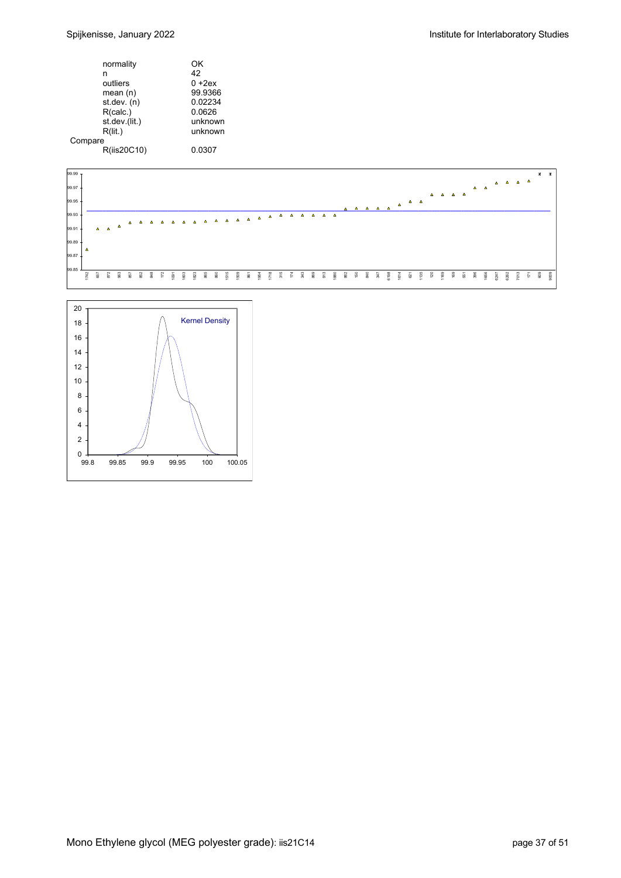|         | normality     | ΟK        |
|---------|---------------|-----------|
|         | n             | 42        |
|         | outliers      | $0 + 2ex$ |
|         | mean $(n)$    | 99.9366   |
|         | st.dev. (n)   | 0.02234   |
|         | R(calc.)      | 0.0626    |
|         | st.dev.(lit.) | unknown   |
|         | R(lit.)       | unknown   |
| Compare |               |           |
|         | R(iis20C10)   | 0.0307    |
|         |               |           |



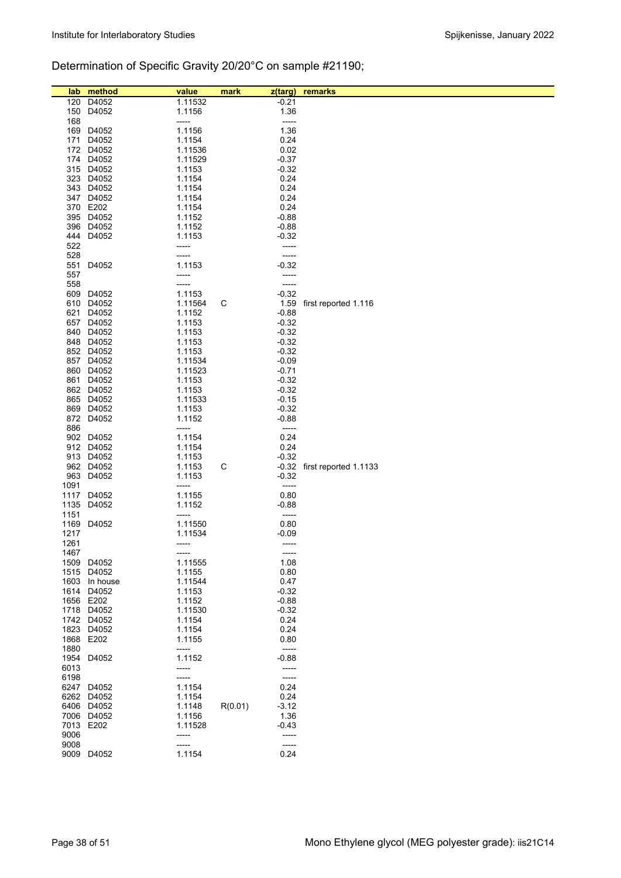# Determination of Specific Gravity 20/20°C on sample #21190;

| lab  | method        | value             | mark    | z(targ)       | remarks               |
|------|---------------|-------------------|---------|---------------|-----------------------|
| 120  | D4052         | 1.11532           |         | $-0.21$       |                       |
| 150  | D4052         | 1.1156            |         | 1.36          |                       |
| 168  |               | -----             |         | -----         |                       |
| 169  | D4052         | 1.1156            |         | 1.36          |                       |
| 171  | D4052         | 1.1154            |         | 0.24          |                       |
|      | 172 D4052     | 1.11536           |         | 0.02          |                       |
|      | 174 D4052     | 1.11529           |         | $-0.37$       |                       |
|      | 315 D4052     | 1.1153            |         | $-0.32$       |                       |
|      | 323 D4052     | 1.1154            |         | 0.24          |                       |
|      | 343 D4052     | 1.1154            |         | 0.24          |                       |
|      | 347 D4052     | 1.1154            |         | 0.24          |                       |
|      | 370 E202      | 1.1154            |         | 0.24          |                       |
|      | 395 D4052     | 1.1152            |         | $-0.88$       |                       |
| 396  | D4052         | 1.1152            |         | $-0.88$       |                       |
| 444  | D4052         | 1.1153            |         | $-0.32$       |                       |
| 522  |               | -----             |         | -----         |                       |
| 528  |               | -----             |         | -----         |                       |
| 551  | D4052         | 1.1153            |         | $-0.32$       |                       |
| 557  |               | -----             |         | -----         |                       |
| 558  |               | -----             |         | -----         |                       |
| 609  | D4052         | 1.1153            |         | $-0.32$       |                       |
| 610  | D4052         | 1.11564           | С       | 1.59          | first reported 1.116  |
| 621  | D4052         | 1.1152            |         | $-0.88$       |                       |
| 657  | D4052         | 1.1153            |         | $-0.32$       |                       |
|      | 840 D4052     | 1.1153            |         | $-0.32$       |                       |
|      | 848 D4052     | 1.1153            |         | $-0.32$       |                       |
|      | 852 D4052     | 1.1153            |         | $-0.32$       |                       |
| 857  | D4052         | 1.11534           |         | $-0.09$       |                       |
|      | 860 D4052     | 1.11523           |         | $-0.71$       |                       |
| 861  | D4052         | 1.1153            |         | $-0.32$       |                       |
|      | 862 D4052     | 1.1153            |         | $-0.32$       |                       |
|      | 865 D4052     | 1.11533           |         | $-0.15$       |                       |
|      | 869 D4052     | 1.1153            |         | $-0.32$       |                       |
|      | 872 D4052     | 1.1152            |         | $-0.88$       |                       |
| 886  |               | -----             |         | -----         |                       |
|      | 902 D4052     | 1.1154            |         | 0.24          |                       |
|      | 912 D4052     | 1.1154            |         | 0.24          |                       |
|      | 913 D4052     | 1.1153            |         | $-0.32$       |                       |
|      | 962 D4052     | 1.1153            | С       | $-0.32$       | first reported 1.1133 |
| 963  | D4052         | 1.1153            |         | $-0.32$       |                       |
| 1091 |               | -----             |         | -----         |                       |
| 1117 | D4052         | 1.1155            |         | 0.80          |                       |
| 1135 | D4052         | 1.1152            |         | $-0.88$       |                       |
| 1151 |               | -----             |         | -----         |                       |
| 1169 | D4052         | 1.11550           |         | 0.80          |                       |
| 1217 |               | 1.11534           |         | -0.09         |                       |
| 1261 |               | -----             |         | -----         |                       |
| 1467 | 1509 D4052    | -----             |         | -----<br>1.08 |                       |
|      | 1515 D4052    | 1.11555<br>1.1155 |         | 0.80          |                       |
|      | 1603 In house | 1.11544           |         | 0.47          |                       |
|      | 1614 D4052    | 1.1153            |         | $-0.32$       |                       |
|      | 1656 E202     | 1.1152            |         | $-0.88$       |                       |
|      | 1718 D4052    | 1.11530           |         | $-0.32$       |                       |
|      | 1742 D4052    | 1.1154            |         | 0.24          |                       |
|      | 1823 D4052    | 1.1154            |         | 0.24          |                       |
|      | 1868 E202     | 1.1155            |         | 0.80          |                       |
| 1880 |               | -----             |         | -----         |                       |
|      | 1954 D4052    | 1.1152            |         | $-0.88$       |                       |
| 6013 |               | -----             |         | -----         |                       |
| 6198 |               | -----             |         | $---$         |                       |
|      | 6247 D4052    | 1.1154            |         | 0.24          |                       |
|      | 6262 D4052    | 1.1154            |         | 0.24          |                       |
|      | 6406 D4052    | 1.1148            | R(0.01) | $-3.12$       |                       |
|      | 7006 D4052    | 1.1156            |         | 1.36          |                       |
|      | 7013 E202     | 1.11528           |         | $-0.43$       |                       |
| 9006 |               | -----             |         | -----         |                       |
| 9008 |               | -----             |         | -----         |                       |
|      | 9009 D4052    | 1.1154            |         | 0.24          |                       |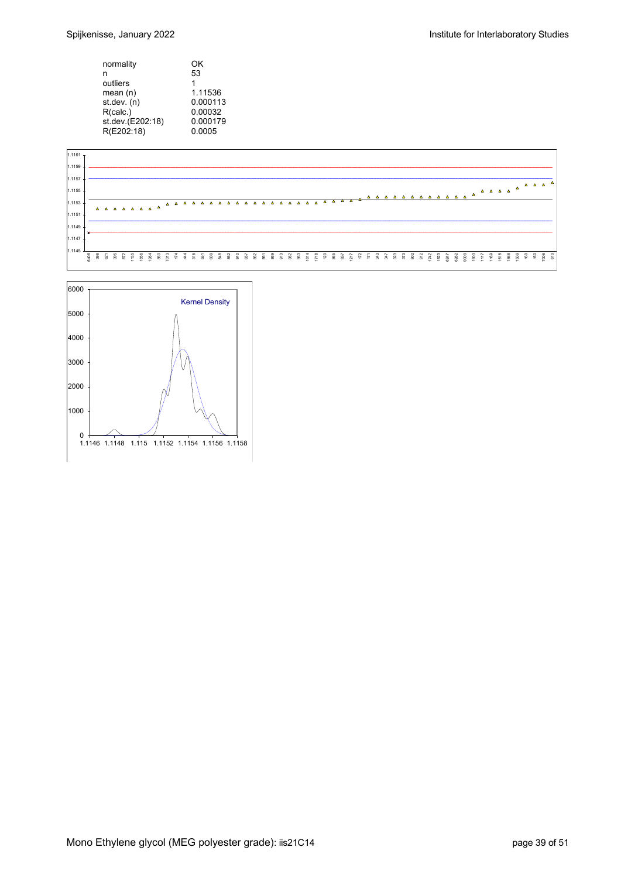| normality        | OK       |
|------------------|----------|
| n                | 53       |
| outliers         | 1        |
| mean (n)         | 1.11536  |
| st.dev. (n)      | 0.000113 |
| R(calc.)         | 0.00032  |
| st.dev.(E202:18) | 0.000179 |
| R(E202:18)       | 0.0005   |



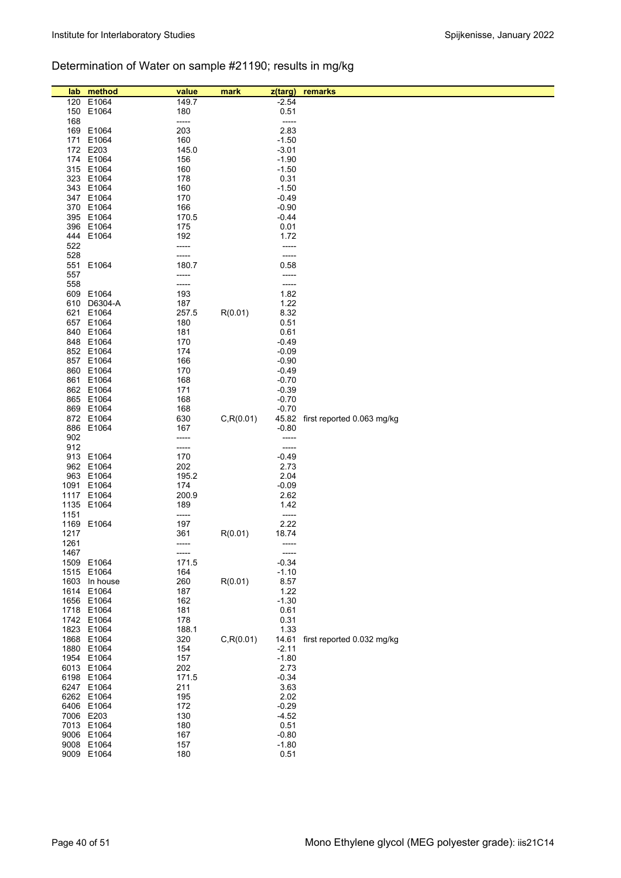# Determination of Water on sample #21190; results in mg/kg

| lab          | method        | value          | mark       | z(targ)          | remarks                    |
|--------------|---------------|----------------|------------|------------------|----------------------------|
| 120          | E1064         | 149.7          |            | $-2.54$          |                            |
| 150          | E1064         | 180            |            | 0.51             |                            |
| 168          |               | -----          |            | $-----$          |                            |
| 169          | E1064         | 203            |            | 2.83             |                            |
| 171          | E1064         | 160            |            | $-1.50$          |                            |
|              | 172 E203      | 145.0          |            | $-3.01$          |                            |
|              | 174 E1064     | 156            |            | $-1.90$          |                            |
|              | 315 E1064     | 160            |            | $-1.50$          |                            |
|              | 323 E1064     | 178            |            | 0.31             |                            |
|              | 343 E1064     | 160            |            | $-1.50$          |                            |
|              | 347 E1064     | 170            |            | $-0.49$          |                            |
|              | 370 E1064     | 166            |            | $-0.90$          |                            |
|              | 395 E1064     | 170.5          |            | $-0.44$          |                            |
|              | 396 E1064     | 175            |            | 0.01             |                            |
| 444          | E1064         | 192            |            | 1.72             |                            |
| 522          |               | -----          |            | -----            |                            |
| 528          |               | -----          |            | -----            |                            |
| 551          | E1064         | 180.7          |            | 0.58             |                            |
| 557          |               | -----          |            | -----            |                            |
| 558          |               | -----          |            | -----            |                            |
| 609          | E1064         | 193            |            | 1.82             |                            |
| 610          | D6304-A       | 187            |            | 1.22             |                            |
| 621          | E1064         | 257.5          | R(0.01)    | 8.32             |                            |
| 657          | E1064         | 180            |            | 0.51             |                            |
|              | 840 E1064     | 181            |            | 0.61             |                            |
|              | 848 E1064     | 170            |            | $-0.49$          |                            |
|              | 852 E1064     | 174            |            | $-0.09$          |                            |
|              | 857 E1064     | 166            |            | $-0.90$          |                            |
|              | 860 E1064     | 170            |            | $-0.49$          |                            |
| 861          | E1064         | 168            |            | $-0.70$          |                            |
|              | 862 E1064     | 171            |            | $-0.39$          |                            |
|              | 865 E1064     | 168            |            | $-0.70$          |                            |
|              | 869 E1064     | 168            |            | $-0.70$          |                            |
|              | 872 E1064     | 630            | C, R(0.01) | 45.82            | first reported 0.063 mg/kg |
|              | 886 E1064     | 167            |            | $-0.80$          |                            |
| 902          |               | -----          |            | -----            |                            |
| 912          |               | -----          |            | -----            |                            |
| 913          | E1064         | 170            |            | $-0.49$          |                            |
|              | 962 E1064     | 202            |            | 2.73             |                            |
| 963          | E1064         | 195.2          |            | 2.04             |                            |
|              | 1091 E1064    | 174            |            | $-0.09$          |                            |
|              | 1117 E1064    | 200.9          |            | 2.62             |                            |
| 1135         | E1064         | 189            |            | 1.42             |                            |
| 1151         |               | -----          |            | $-----$          |                            |
| 1169         | E1064         | 197            |            | 2.22             |                            |
| 1217<br>1261 |               | 361<br>-----   | R(0.01)    | 18.74<br>-----   |                            |
| 1467         |               |                |            |                  |                            |
|              | 1509 E1064    | -----<br>171.5 |            | -----<br>$-0.34$ |                            |
|              | 1515 E1064    | 164            |            | $-1.10$          |                            |
|              | 1603 In house | 260            | R(0.01)    | 8.57             |                            |
|              | 1614 E1064    | 187            |            | 1.22             |                            |
|              | 1656 E1064    | 162            |            | $-1.30$          |                            |
|              | 1718 E1064    | 181            |            | 0.61             |                            |
|              | 1742 E1064    | 178            |            | 0.31             |                            |
|              | 1823 E1064    | 188.1          |            | 1.33             |                            |
|              | 1868 E1064    | 320            | C, R(0.01) | 14.61            | first reported 0.032 mg/kg |
|              | 1880 E1064    | 154            |            | $-2.11$          |                            |
|              | 1954 E1064    | 157            |            | $-1.80$          |                            |
|              | 6013 E1064    | 202            |            | 2.73             |                            |
|              | 6198 E1064    | 171.5          |            | $-0.34$          |                            |
|              | 6247 E1064    | 211            |            | 3.63             |                            |
|              | 6262 E1064    | 195            |            | 2.02             |                            |
|              | 6406 E1064    | 172            |            | $-0.29$          |                            |
|              | 7006 E203     | 130            |            | $-4.52$          |                            |
|              | 7013 E1064    | 180            |            | 0.51             |                            |
|              | 9006 E1064    | 167            |            | $-0.80$          |                            |
|              | 9008 E1064    | 157            |            | $-1.80$          |                            |
|              | 9009 E1064    | 180            |            | 0.51             |                            |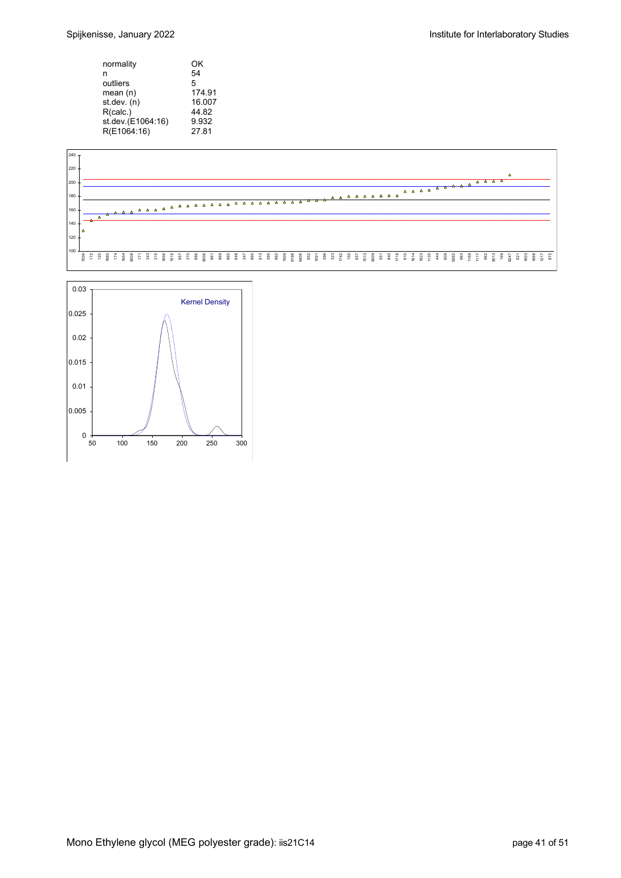| ΟK     |
|--------|
| 54     |
| 5      |
| 174.91 |
| 16.007 |
| 44.82  |
| 9.932  |
| 27.81  |
|        |



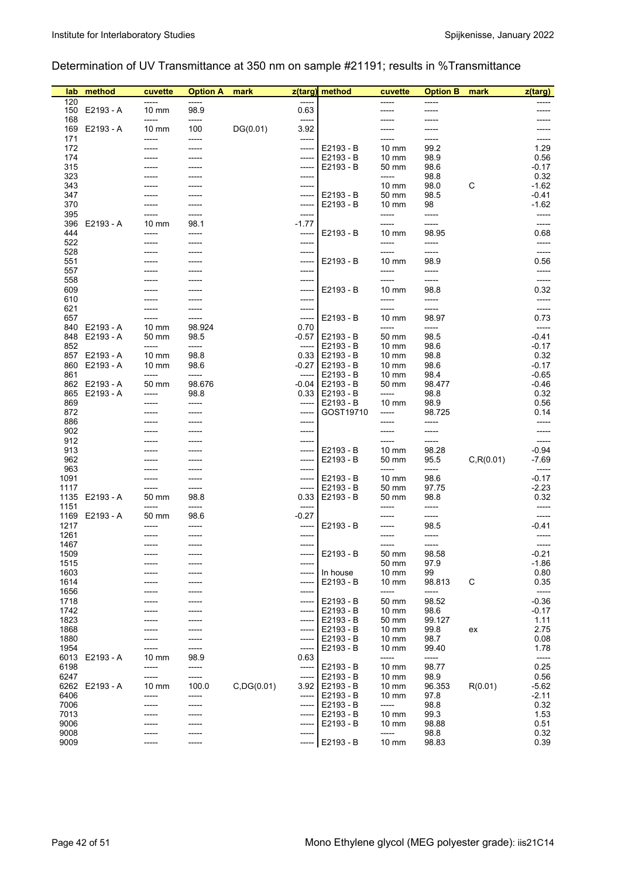## Determination of UV Transmittance at 350 nm on sample #21191; results in %Transmittance

| lab          | method         | cuvette                  | <b>Option A</b> | mark        | z(targ)          | method                 | cuvette                            | <b>Option B</b> | mark       | z(targ)            |
|--------------|----------------|--------------------------|-----------------|-------------|------------------|------------------------|------------------------------------|-----------------|------------|--------------------|
| 120<br>150   | E2193 - A      | -----<br>$10 \text{ mm}$ | -----<br>98.9   |             | $-----$<br>0.63  |                        | -----                              | -----           |            |                    |
| 168          |                | -----                    | -----           |             | -----            |                        |                                    |                 |            |                    |
|              | 169 E2193 - A  | $10 \text{ mm}$          | 100             | DG(0.01)    | 3.92             |                        |                                    |                 |            |                    |
| 171<br>172   |                | -----                    | -----           |             | -----<br>-----   | E2193 - B              | -----<br>$10 \text{ mm}$           | 99.2            |            | -----<br>1.29      |
| 174          |                |                          |                 |             | -----            | E2193 - B              | $10 \text{ mm}$                    | 98.9            |            | 0.56               |
| 315          |                |                          |                 |             | -----            | E2193 - B              | 50 mm                              | 98.6            |            | $-0.17$            |
| 323          |                |                          |                 |             | -----            |                        | -----                              | 98.8            |            | 0.32               |
| 343<br>347   |                |                          |                 |             | -----<br>-----   | E2193 - B              | $10 \text{ mm}$<br>50 mm           | 98.0<br>98.5    | C          | $-1.62$<br>-0.41   |
| 370          |                |                          | -----           |             | -----            | E2193 - B              | $10 \text{ mm}$                    | 98              |            | $-1.62$            |
| 395          |                |                          | -----           |             | -----            |                        | -----                              | -----           |            | -----              |
| 396<br>444   | E2193 - A      | $10 \text{ mm}$          | 98.1<br>-----   |             | $-1.77$<br>----- | E2193 - B              | $10 \text{ mm}$                    | -----<br>98.95  |            | -----<br>0.68      |
| 522          |                | -----                    | -----           |             | -----            |                        | -----                              | -----           |            | -----              |
| 528          |                |                          |                 |             | -----            |                        | -----                              | -----           |            | -----              |
| 551          |                |                          |                 |             | -----            | E2193 - B              | $10 \text{ mm}$                    | 98.9            |            | 0.56               |
| 557<br>558   |                |                          |                 |             | -----<br>-----   |                        | -----<br>-----                     | -----<br>-----  |            | -----<br>-----     |
| 609          |                |                          |                 |             | -----            | E2193 - B              | $10 \text{ mm}$                    | 98.8            |            | 0.32               |
| 610          |                |                          |                 |             | -----            |                        | -----                              | -----           |            | -----              |
| 621          |                |                          |                 |             | -----            |                        | -----                              | -----           |            | -----              |
| 657          | 840 E2193 - A  | $10 \text{ mm}$          | -----<br>98.924 |             | -----<br>0.70    | E2193 - B              | $10 \text{ mm}$<br>-----           | 98.97<br>-----  |            | 0.73<br>-----      |
| 848          | E2193 - A      | 50 mm                    | 98.5            |             | $-0.57$          | E2193 - B              | 50 mm                              | 98.5            |            | $-0.41$            |
| 852          |                | -----                    | -----           |             | $-----$          | E2193 - B              | $10 \text{ mm}$                    | 98.6            |            | $-0.17$            |
| 857          | E2193 - A      | $10 \text{ mm}$          | 98.8            |             |                  | $0.33$ E2193 - B       | $10 \text{ mm}$                    | 98.8            |            | 0.32               |
| 861          | 860 E2193 - A  | $10 \text{ mm}$<br>----- | 98.6<br>-----   |             | $-0.27$<br>----- | E2193 - B<br>E2193 - B | $10 \text{ mm}$<br>$10 \text{ mm}$ | 98.6<br>98.4    |            | $-0.17$<br>$-0.65$ |
|              | 862 E2193 - A  | 50 mm                    | 98.676          |             | -0.04            | E2193 - B              | 50 mm                              | 98.477          |            | $-0.46$            |
|              | 865 E2193 - A  | -----                    | 98.8            |             |                  | $0.33$   E2193 - B     | -----                              | 98.8            |            | 0.32               |
| 869<br>872   |                |                          | -----           |             | -----<br>-----   | E2193 - B<br>GOST19710 | $10 \text{ mm}$<br>-----           | 98.9<br>98.725  |            | 0.56<br>0.14       |
| 886          |                |                          |                 |             | -----            |                        |                                    | -----           |            | -----              |
| 902          |                |                          |                 |             | -----            |                        |                                    | -----           |            | -----              |
| 912          |                |                          |                 |             | -----            |                        | -----                              | -----           |            | -----              |
| 913<br>962   |                |                          |                 |             | -----<br>-----   | E2193 - B<br>E2193 - B | $10 \text{ mm}$<br>50 mm           | 98.28<br>95.5   | C, R(0.01) | $-0.94$<br>$-7.69$ |
| 963          |                |                          |                 |             | -----            |                        | -----                              | -----           |            | -----              |
| 1091         |                |                          | -----           |             | -----            | E2193 - B              | $10 \text{ mm}$                    | 98.6            |            | $-0.17$            |
| 1117<br>1135 | E2193 - A      | 50 mm                    | -----<br>98.8   |             | -----<br>0.33    | E2193 - B<br>E2193 - B | 50 mm<br>50 mm                     | 97.75<br>98.8   |            | $-2.23$<br>0.32    |
| 1151         |                | -----                    | -----           |             | -----            |                        |                                    | -----           |            | -----              |
|              | 1169 E2193 - A | 50 mm                    | 98.6            |             | $-0.27$          |                        |                                    | -----           |            | -----              |
| 1217         |                |                          |                 |             | -----            | E2193 - B              |                                    | 98.5            |            | -0.41              |
| 1261<br>1467 |                | -----                    |                 |             | -----<br>-----   |                        | -----                              | -----<br>-----  |            | ------             |
| 1509         |                |                          |                 |             | -----            | E2193 - B              | 50 mm                              | 98.58           |            | $-0.21$            |
| 1515         |                |                          |                 |             | -----            |                        | 50 mm                              | 97.9            |            | $-1.86$            |
| 1603<br>1614 |                |                          |                 |             | -----            | In house<br>E2193 - B  | 10 mm<br>$10 \text{ mm}$           | 99<br>98.813    | C          | 0.80<br>0.35       |
| 1656         |                |                          |                 |             | -----<br>-----   |                        | -----                              | -----           |            | -----              |
| 1718         |                |                          |                 |             | -----            | E2193 - B              | 50 mm                              | 98.52           |            | $-0.36$            |
| 1742         |                |                          |                 |             | -----            | E2193 - B              | $10 \text{ mm}$                    | 98.6            |            | $-0.17$            |
| 1823<br>1868 |                |                          |                 |             | -----<br>-----   | E2193 - B<br>E2193 - B | 50 mm<br>$10 \text{ mm}$           | 99.127<br>99.8  | ex         | 1.11<br>2.75       |
| 1880         |                |                          |                 |             | -----            | E2193 - B              | $10 \text{ mm}$                    | 98.7            |            | 0.08               |
| 1954         |                |                          | -----           |             | -----            | E2193 - B              | $10 \text{ mm}$                    | 99.40           |            | 1.78               |
| 6013         | E2193 - A      | $10 \text{ mm}$          | 98.9            |             | 0.63             |                        | -----                              | -----           |            | -----              |
| 6198<br>6247 |                | -----<br>-----           | -----<br>-----  |             | -----<br>-----   | E2193 - B<br>E2193 - B | $10 \text{ mm}$<br>$10 \text{ mm}$ | 98.77<br>98.9   |            | 0.25<br>0.56       |
| 6262         | E2193 - A      | $10 \text{ mm}$          | 100.0           | C, DG(0.01) | 3.92             | E2193 - B              | $10 \text{ mm}$                    | 96.353          | R(0.01)    | $-5.62$            |
| 6406         |                | -----                    | -----           |             | -----            | E2193 - B              | $10 \text{ mm}$                    | 97.8            |            | $-2.11$            |
| 7006<br>7013 |                |                          | -----           |             | -----            | E2193 - B              | -----                              | 98.8<br>99.3    |            | 0.32               |
| 9006         |                |                          |                 |             | -----<br>-----   | E2193 - B<br>E2193 - B | $10 \text{ mm}$<br>$10 \text{ mm}$ | 98.88           |            | 1.53<br>0.51       |
| 9008         |                |                          | -----           |             | -----            |                        | -----                              | 98.8            |            | 0.32               |
| 9009         |                |                          | -----           |             | -----            | E2193 - B              | 10 mm                              | 98.83           |            | 0.39               |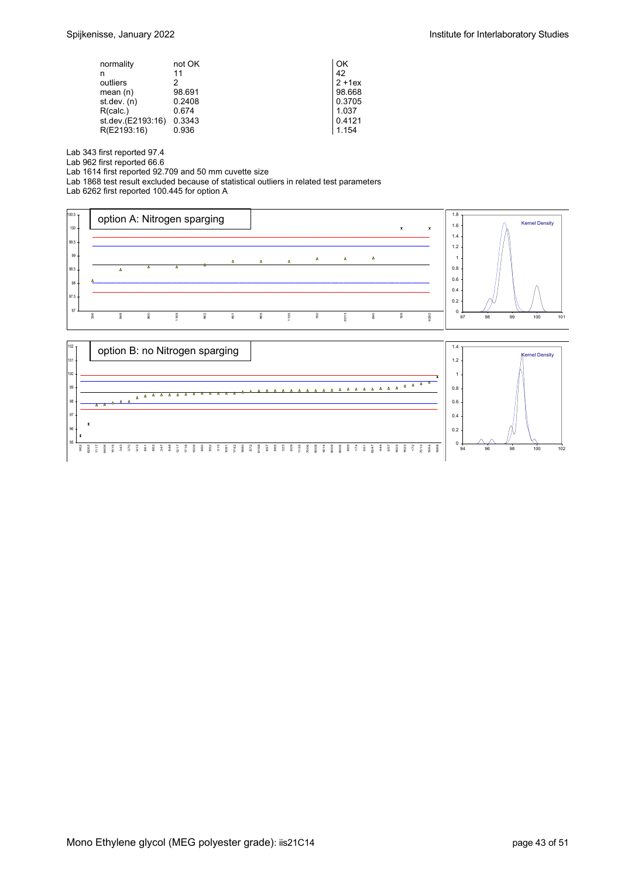| normality         | not OK | OK        |
|-------------------|--------|-----------|
| n                 | 11     | 42        |
| outliers          | 2      | $2 + 1ex$ |
| mean $(n)$        | 98.691 | 98.668    |
| st dev. $(n)$     | 0.2408 | 0.3705    |
| R(calc.)          | 0.674  | 1.037     |
| st.dev.(E2193:16) | 0.3343 | 0.4121    |
| R(E2193:16)       | 0.936  | 1.154     |

Lab 343 first reported 97.4

Lab 962 first reported 66.6

Lab 1614 first reported 92.709 and 50 mm cuvette size

Lab 1868 test result excluded because of statistical outliers in related test parameters

Lab 6262 first reported 100.445 for option A



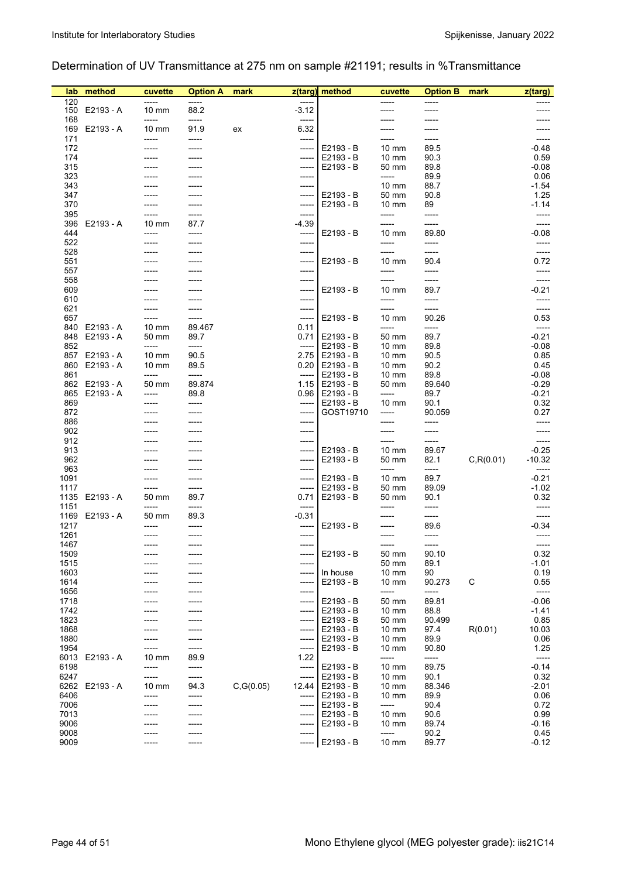## Determination of UV Transmittance at 275 nm on sample #21191; results in %Transmittance

| lab          | method                         | cuvette                  | <b>Option A</b> | mark       |                  | z(targ) method                       | cuvette                            | <b>Option B</b> | mark       | z(targ)            |
|--------------|--------------------------------|--------------------------|-----------------|------------|------------------|--------------------------------------|------------------------------------|-----------------|------------|--------------------|
| 120          | 150 E2193 - A                  | -----<br>$10 \text{ mm}$ | -----<br>88.2   |            | $-3.12$          |                                      | -----                              | -----           |            |                    |
| 168          |                                | -----                    | -----           |            | $-----$          |                                      |                                    |                 |            |                    |
|              | 169 E2193 - A                  | $10 \text{ mm}$          | 91.9            | ex         | 6.32             |                                      |                                    |                 |            |                    |
| 171<br>172   |                                | -----                    | -----           |            | -----<br>-----   | E2193 - B                            | $10 \text{ mm}$                    | 89.5            |            | -----<br>-0.48     |
| 174          |                                |                          |                 |            | -----            | E2193 - B                            | $10 \text{ mm}$                    | 90.3            |            | 0.59               |
| 315          |                                |                          |                 |            | -----            | E2193 - B                            | 50 mm                              | 89.8            |            | $-0.08$            |
| 323<br>343   |                                |                          |                 |            | -----            |                                      | -----<br>$10 \text{ mm}$           | 89.9<br>88.7    |            | 0.06<br>$-1.54$    |
| 347          |                                |                          |                 |            | -----<br>-----   | E2193 - B                            | 50 mm                              | 90.8            |            | 1.25               |
| 370          |                                | -----                    | -----           |            | -----            | E2193 - B                            | $10 \text{ mm}$                    | 89              |            | $-1.14$            |
| 395          |                                | -----                    | -----           |            | -----            |                                      | -----                              | -----           |            | -----              |
| 396<br>444   | E2193 - A                      | $10 \text{ mm}$<br>----- | 87.7<br>-----   |            | $-4.39$<br>----- | E2193 - B                            | -----<br>$10 \text{ mm}$           | -----<br>89.80  |            | -----<br>$-0.08$   |
| 522          |                                | -----                    | -----           |            | -----            |                                      | -----                              | -----           |            | -----              |
| 528          |                                |                          |                 |            | -----            |                                      | -----                              | -----           |            | -----              |
| 551<br>557   |                                |                          |                 |            | -----<br>-----   | E2193 - B                            | $10 \text{ mm}$                    | 90.4<br>-----   |            | 0.72               |
| 558          |                                |                          |                 |            |                  |                                      |                                    | -----           |            | -----              |
| 609          |                                |                          |                 |            | -----            | E2193 - B                            | 10 mm                              | 89.7            |            | $-0.21$            |
| 610<br>621   |                                |                          |                 |            | -----<br>-----   |                                      |                                    | -----<br>-----  |            | -----              |
| 657          |                                |                          | -----           |            | -----            | E2193 - B                            | $10 \text{ mm}$                    | 90.26           |            | 0.53               |
|              | 840 E2193 - A                  | $10 \text{ mm}$          | 89.467          |            | 0.11             |                                      |                                    | -----           |            | -----              |
| 848          | E2193 - A                      | 50 mm                    | 89.7            |            |                  | $0.71$ E2193 - B                     | 50 mm                              | 89.7            |            | $-0.21$            |
| 852<br>857   | E2193 - A                      | -----<br>$10 \text{ mm}$ | -----<br>90.5   |            | -----            | E2193 - B<br>2.75   E2193 - B        | $10 \text{ mm}$<br>$10 \text{ mm}$ | 89.8<br>90.5    |            | $-0.08$<br>0.85    |
|              | 860 E2193 - A                  | $10 \text{ mm}$          | 89.5            |            |                  | $0.20$ E2193 - B                     | $10 \text{ mm}$                    | 90.2            |            | 0.45               |
| 861          |                                | -----                    | -----           |            |                  | $---$ E2193 - B                      | $10 \text{ mm}$                    | 89.8            |            | $-0.08$            |
|              | 862 E2193 - A<br>865 E2193 - A | 50 mm<br>-----           | 89.874<br>89.8  |            |                  | 1.15   E2193 - B<br>0.96   E2193 - B | 50 mm<br>-----                     | 89.640<br>89.7  |            | $-0.29$<br>$-0.21$ |
| 869          |                                | -----                    | -----           |            | -----            | E2193 - B                            | $10 \text{ mm}$                    | 90.1            |            | 0.32               |
| 872          |                                |                          |                 |            | -----            | GOST19710                            | -----                              | 90.059          |            | 0.27               |
| 886<br>902   |                                |                          |                 |            | -----<br>-----   |                                      | -----                              | -----<br>-----  |            | -----<br>-----     |
| 912          |                                |                          |                 |            | -----            |                                      | -----                              | -----           |            | -----              |
| 913          |                                |                          |                 |            |                  | -----   E2193 - B                    | $10 \text{ mm}$                    | 89.67           |            | $-0.25$            |
| 962<br>963   |                                |                          |                 |            | -----<br>-----   | E2193 - B                            | 50 mm<br>-----                     | 82.1<br>-----   | C, R(0.01) | $-10.32$<br>-----  |
| 1091         |                                |                          |                 |            | -----            | E2193 - B                            | $10 \text{ mm}$                    | 89.7            |            | $-0.21$            |
| 1117         |                                |                          | -----           |            | -----            | E2193 - B                            | 50 mm                              | 89.09           |            | $-1.02$            |
| 1151         | 1135 E2193 - A                 | 50 mm<br>-----           | 89.7<br>-----   |            | 0.71<br>-----    | E2193 - B                            | 50 mm                              | 90.1<br>-----   |            | 0.32<br>-----      |
|              | 1169 E2193 - A                 | 50 mm                    | 89.3            |            | $-0.31$          |                                      |                                    | -----           |            | -----              |
| 1217         |                                | -----                    | -----           |            | -----            | E2193 - B                            |                                    | 89.6            |            | $-0.34$            |
| 1261<br>1467 |                                |                          |                 |            | -----            |                                      |                                    | -----<br>-----  |            | -----              |
| 1509         |                                |                          |                 |            | -----<br>-----   | E2193 - B                            | 50 mm                              | 90.10           |            | 0.32               |
| 1515         |                                |                          |                 |            | -----            |                                      | 50 mm                              | 89.1            |            | $-1.01$            |
| 1603         |                                |                          |                 |            | -----            | In house                             | $10 \text{ mm}$                    | 90              |            | 0.19               |
| 1614<br>1656 |                                |                          |                 |            | -----<br>-----   | E2193 - B                            | $10 \text{ mm}$<br>-----           | 90.273<br>----- | C          | 0.55<br>-----      |
| 1718         |                                |                          |                 |            | -----            | E2193 - B                            | 50 mm                              | 89.81           |            | $-0.06$            |
| 1742         |                                |                          |                 |            | -----            | E2193 - B                            | $10 \text{ mm}$                    | 88.8            |            | $-1.41$            |
| 1823<br>1868 |                                |                          |                 |            | -----<br>-----   | E2193 - B<br>E2193 - B               | 50 mm<br>$10 \text{ mm}$           | 90.499<br>97.4  | R(0.01)    | 0.85<br>10.03      |
| 1880         |                                |                          |                 |            | -----            | E2193 - B                            | $10 \text{ mm}$                    | 89.9            |            | 0.06               |
| 1954         |                                |                          | -----           |            | -----            | E2193 - B                            | $10 \text{ mm}$                    | 90.80           |            | 1.25               |
| 6013<br>6198 | E2193 - A                      | 10 mm<br>-----           | 89.9<br>-----   |            | 1.22<br>-----    | E2193 - B                            | -----<br>$10 \text{ mm}$           | -----<br>89.75  |            | -----<br>$-0.14$   |
| 6247         |                                | -----                    | -----           |            | -----            | E2193 - B                            | $10 \text{ mm}$                    | 90.1            |            | 0.32               |
|              | 6262 E2193 - A                 | $10 \text{ mm}$          | 94.3            | C, G(0.05) | 12.44            | E2193 - B                            | $10 \text{ mm}$                    | 88.346          |            | $-2.01$            |
| 6406         |                                | -----                    | -----           |            | -----            | E2193 - B                            | $10 \text{ mm}$                    | 89.9            |            | 0.06               |
| 7006<br>7013 |                                |                          |                 |            | -----<br>-----   | E2193 - B<br>E2193 - B               | -----<br>$10 \text{ mm}$           | 90.4<br>90.6    |            | 0.72<br>0.99       |
| 9006         |                                |                          |                 |            | -----            | E2193 - B                            | $10 \text{ mm}$                    | 89.74           |            | $-0.16$            |
| 9008         |                                |                          |                 |            | -----            |                                      | -----                              | 90.2            |            | 0.45               |
| 9009         |                                |                          | -----           |            | -----            | E2193 - B                            | 10 mm                              | 89.77           |            | $-0.12$            |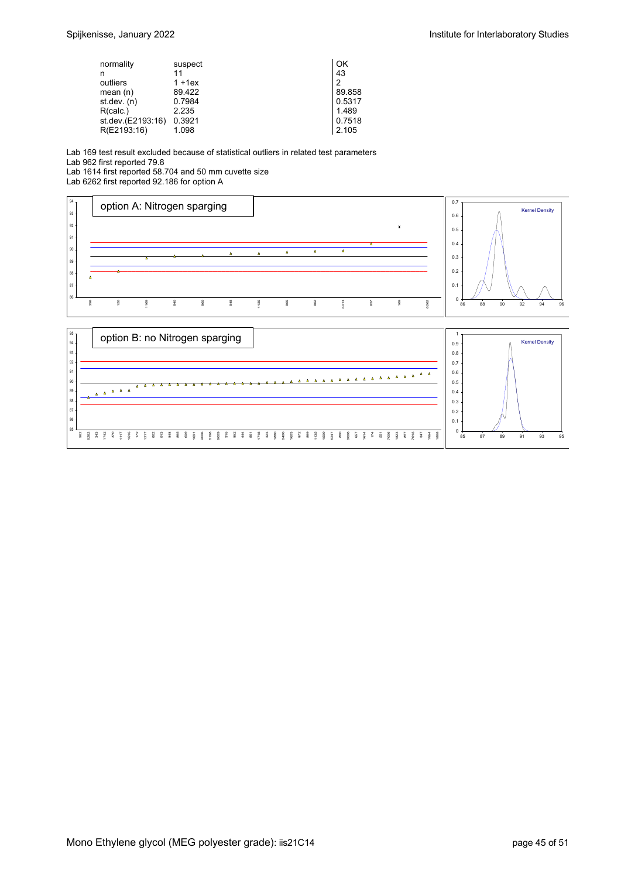| normality         | suspect   | OK     |
|-------------------|-----------|--------|
| n                 | 11        | 43     |
| outliers          | $1 + 1ex$ | 2      |
| mean $(n)$        | 89.422    | 89.858 |
| st dev. $(n)$     | 0.7984    | 0.5317 |
| R(calc.)          | 2.235     | 1.489  |
| st.dev.(E2193:16) | 0.3921    | 0.7518 |
| R(E2193:16)       | 1.098     | 2.105  |

Lab 169 test result excluded because of statistical outliers in related test parameters

Lab 962 first reported 79.8

Lab 1614 first reported 58.704 and 50 mm cuvette size

Lab 6262 first reported 92.186 for option A



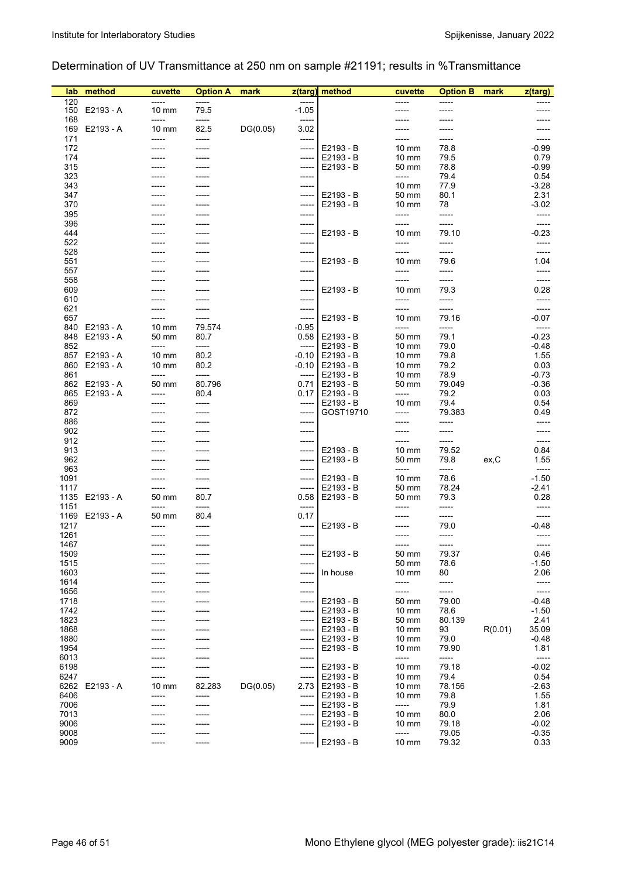## Determination of UV Transmittance at 250 nm on sample #21191; results in %Transmittance

| lab          | method         | cuvette                  | <b>Option A</b> | mark     |                  | z(targ) method         | cuvette                            | <b>Option B</b> | mark    | z(targ)          |
|--------------|----------------|--------------------------|-----------------|----------|------------------|------------------------|------------------------------------|-----------------|---------|------------------|
| 120<br>150   | E2193 - A      | -----<br>$10 \text{ mm}$ | -----<br>79.5   |          | -----<br>$-1.05$ |                        | -----                              | -----<br>-----  |         |                  |
| 168          |                | -----                    | -----           |          | -----            |                        |                                    |                 |         |                  |
|              | 169 E2193 - A  | $10 \text{ mm}$          | 82.5            | DG(0.05) | 3.02             |                        |                                    |                 |         |                  |
| 171          |                | -----                    | -----           |          | -----            |                        |                                    | -----           |         | -----            |
| 172<br>174   |                | -----                    | -----           |          | -----            | E2193 - B<br>E2193 - B | $10 \text{ mm}$                    | 78.8            |         | -0.99            |
| 315          |                |                          | -----           |          | -----<br>-----   | E2193 - B              | $10 \text{ mm}$<br>50 mm           | 79.5<br>78.8    |         | 0.79<br>-0.99    |
| 323          |                |                          | -----           |          | -----            |                        | -----                              | 79.4            |         | 0.54             |
| 343          |                |                          |                 |          | -----            |                        | $10 \text{ mm}$                    | 77.9            |         | $-3.28$          |
| 347          |                |                          |                 |          | -----            | E2193 - B              | 50 mm                              | 80.1            |         | 2.31             |
| 370          |                |                          |                 |          | -----            | E2193 - B              | $10 \text{ mm}$                    | 78              |         | $-3.02$          |
| 395          |                |                          |                 |          | -----            |                        | -----                              | -----           |         | -----            |
| 396<br>444   |                |                          |                 |          | -----            | E2193 - B              |                                    | -----<br>79.10  |         | -----<br>$-0.23$ |
| 522          |                |                          |                 |          | -----<br>-----   |                        | $10 \text{ mm}$<br>-----           | -----           |         |                  |
| 528          |                |                          |                 |          | -----            |                        |                                    | -----           |         | -----            |
| 551          |                |                          |                 |          | -----            | E2193 - B              | $10 \text{ mm}$                    | 79.6            |         | 1.04             |
| 557          |                |                          |                 |          | -----            |                        | -----                              | -----           |         | -----            |
| 558          |                |                          |                 |          | -----            |                        | -----                              | -----           |         | -----            |
| 609          |                |                          |                 |          | -----            | E2193 - B              | $10 \text{ mm}$                    | 79.3            |         | 0.28             |
| 610<br>621   |                |                          | -----           |          | -----<br>-----   |                        | -----<br>-----                     | -----<br>-----  |         | -----<br>-----   |
| 657          |                |                          | -----           |          | -----            | E2193 - B              | $10 \text{ mm}$                    | 79.16           |         | $-0.07$          |
|              | 840 E2193 - A  | $10 \text{ mm}$          | 79.574          |          | -0.95            |                        | -----                              | $-----$         |         | -----            |
| 848          | E2193 - A      | 50 mm                    | 80.7            |          |                  | $0.58$ E2193 - B       | 50 mm                              | 79.1            |         | $-0.23$          |
| 852          |                | -----                    | -----           |          | -----            | E2193 - B              | $10 \text{ mm}$                    | 79.0            |         | -0.48            |
| 857          | E2193 - A      | $10 \text{ mm}$          | 80.2            |          | -0.10            | E2193 - B              | $10 \text{ mm}$                    | 79.8            |         | 1.55             |
| 861          | 860 E2193 - A  | $10 \text{ mm}$<br>----- | 80.2<br>-----   |          | -0.10<br>-----   | E2193 - B              | $10 \text{ mm}$<br>$10 \text{ mm}$ | 79.2            |         | 0.03<br>-0.73    |
|              | 862 E2193 - A  | 50 mm                    | 80.796          |          | 0.71             | E2193 - B<br>E2193 - B | 50 mm                              | 78.9<br>79.049  |         | -0.36            |
|              | 865 E2193 - A  | -----                    | 80.4            |          |                  | 0.17   E2193 - B       | -----                              | 79.2            |         | 0.03             |
| 869          |                |                          | -----           |          | -----            | E2193 - B              | $10 \text{ mm}$                    | 79.4            |         | 0.54             |
| 872          |                |                          |                 |          | -----            | GOST19710              | -----                              | 79.383          |         | 0.49             |
| 886          |                |                          |                 |          | -----            |                        |                                    | -----           |         | -----            |
| 902<br>912   |                |                          |                 |          | -----<br>-----   |                        | -----<br>-----                     | -----<br>-----  |         | -----<br>-----   |
| 913          |                |                          |                 |          | ----- 1          | E2193 - B              | $10 \text{ mm}$                    | 79.52           |         | 0.84             |
| 962          |                |                          |                 |          | -----            | E2193 - B              | 50 mm                              | 79.8            | ex, C   | 1.55             |
| 963          |                |                          |                 |          | -----            |                        | -----                              | -----           |         | -----            |
| 1091         |                |                          | -----           |          | -----            | E2193 - B              | $10 \text{ mm}$                    | 78.6            |         | $-1.50$          |
| 1117         | 1135 E2193 - A | 50 mm                    | -----<br>80.7   |          | -----<br>0.58    | E2193 - B<br>E2193 - B | 50 mm                              | 78.24<br>79.3   |         | $-2.41$<br>0.28  |
| 1151         |                |                          | -----           |          | -----            |                        | 50 mm<br>-----                     | -----           |         | -----            |
|              | 1169 E2193 - A | 50 mm                    | 80.4            |          | 0.17             |                        |                                    | -----           |         | -----            |
| 1217         |                |                          |                 |          | -----            | E2193 - B              |                                    | 79.0            |         | -0.48            |
| 1261         |                |                          |                 |          | -----            |                        |                                    | -----           |         |                  |
| 1467         |                | -----                    | ------          |          | ------           |                        | -----                              | -----           |         | -----            |
| 1509<br>1515 |                |                          |                 |          | -----<br>-----   | E2193 - B              | 50 mm<br>50 mm                     | 79.37<br>78.6   |         | 0.46<br>$-1.50$  |
| 1603         |                |                          |                 |          | -----            | In house               | $10 \text{ mm}$                    | 80              |         | 2.06             |
| 1614         |                |                          |                 |          | ------           |                        | -----                              | -----           |         | -----            |
| 1656         |                |                          |                 |          | -----            |                        | -----                              | -----           |         | -----            |
| 1718         |                |                          |                 |          | -----            | E2193 - B              | 50 mm                              | 79.00           |         | -0.48            |
| 1742         |                |                          |                 |          | -----            | E2193 - B              | $10 \text{ mm}$                    | 78.6            |         | $-1.50$          |
| 1823         |                |                          |                 |          | -----            | E2193 - B<br>E2193 - B | 50 mm                              | 80.139          | R(0.01) | 2.41             |
| 1868<br>1880 |                |                          |                 |          | -----<br>-----   | E2193 - B              | $10 \text{ mm}$<br>$10 \text{ mm}$ | 93<br>79.0      |         | 35.09<br>-0.48   |
| 1954         |                |                          |                 |          | -----            | E2193 - B              | $10 \text{ mm}$                    | 79.90           |         | 1.81             |
| 6013         |                |                          |                 |          | -----            |                        | -----                              | -----           |         | -----            |
| 6198         |                |                          |                 |          | -----            | E2193 - B              | 10 mm                              | 79.18           |         | $-0.02$          |
| 6247         |                |                          | -----           |          | -----            | E2193 - B              | $10 \text{ mm}$                    | 79.4            |         | 0.54             |
| 6262<br>6406 | E2193 - A      | $10 \text{ mm}$<br>----- | 82.283          | DG(0.05) | 2.73             | E2193 - B<br>E2193 - B | $10 \text{ mm}$                    | 78.156          |         | $-2.63$          |
| 7006         |                |                          | -----<br>-----  |          | -----<br>-----   | E2193 - B              | $10 \text{ mm}$<br>-----           | 79.8<br>79.9    |         | 1.55<br>1.81     |
| 7013         |                |                          | -----           |          | -----            | E2193 - B              | $10 \text{ mm}$                    | 80.0            |         | 2.06             |
| 9006         |                |                          | -----           |          | -----            | E2193 - B              | $10 \text{ mm}$                    | 79.18           |         | $-0.02$          |
| 9008         |                |                          |                 |          | -----            |                        | -----                              | 79.05           |         | $-0.35$          |
| 9009         |                |                          | ----            |          | -----            | E2193 - B              | 10 mm                              | 79.32           |         | 0.33             |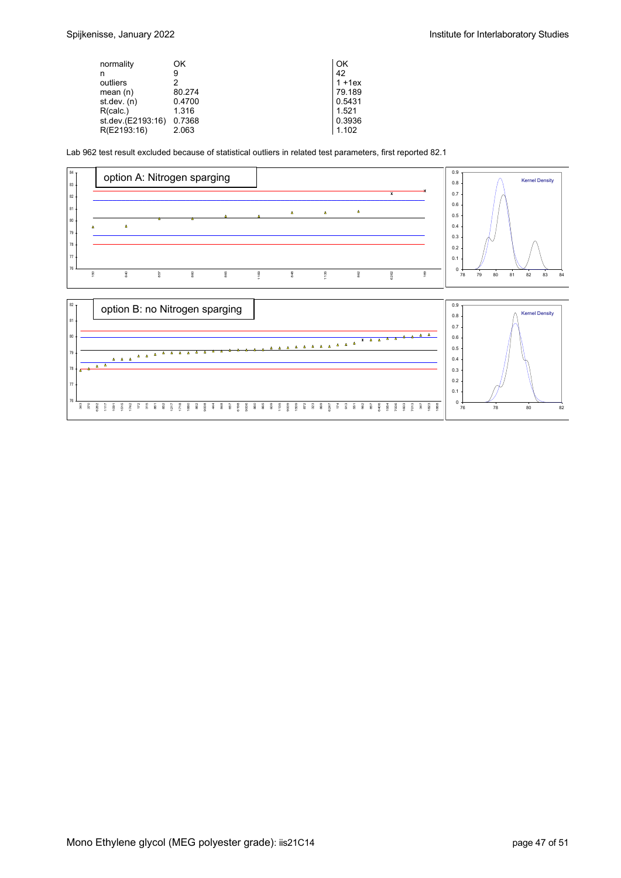| normality         | ΟK     | OK        |
|-------------------|--------|-----------|
| n                 | 9      | 42        |
| outliers          | っ      | $1 + 1ex$ |
| mean $(n)$        | 80.274 | 79.189    |
| st dev. $(n)$     | 0.4700 | 0.5431    |
| R(calc.)          | 1.316  | 1.521     |
| st.dev.(E2193:16) | 0.7368 | 0.3936    |
| R(E2193:16)       | 2.063  | 1.102     |

Lab 962 test result excluded because of statistical outliers in related test parameters, first reported 82.1



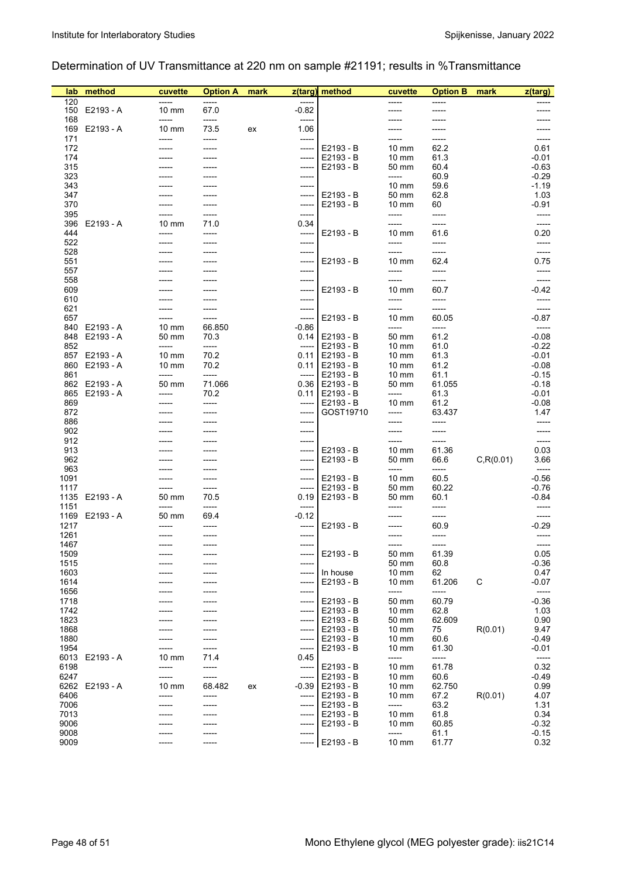## Determination of UV Transmittance at 220 nm on sample #21191; results in %Transmittance

| lab          | method                     | cuvette                  | <b>Option A</b> | mark |                  | z(targ) method         | cuvette                            | <b>Option B</b> | mark       | z(targ)            |
|--------------|----------------------------|--------------------------|-----------------|------|------------------|------------------------|------------------------------------|-----------------|------------|--------------------|
| 120<br>150   | E2193 - A                  | $10 \text{ mm}$          | -----<br>67.0   |      | -----<br>$-0.82$ |                        | -----                              | -----<br>-----  |            |                    |
| 168          |                            | -----                    | -----           |      | -----            |                        |                                    |                 |            |                    |
|              | 169 E2193 - A              | 10 mm                    | 73.5            | ex   | 1.06             |                        |                                    |                 |            |                    |
| 171          |                            | -----                    | -----           |      | -----            |                        | ----                               | -----           |            | -----              |
| 172<br>174   |                            |                          | -----           |      | -----<br>-----   | E2193 - B<br>E2193 - B | $10 \text{ mm}$<br>$10 \text{ mm}$ | 62.2<br>61.3    |            | 0.61<br>$-0.01$    |
| 315          |                            |                          |                 |      | -----            | E2193 - B              | 50 mm                              | 60.4            |            | $-0.63$            |
| 323          |                            |                          |                 |      | -----            |                        | -----                              | 60.9            |            | $-0.29$            |
| 343          |                            |                          |                 |      | -----            |                        | $10 \text{ mm}$                    | 59.6            |            | $-1.19$            |
| 347<br>370   |                            |                          | -----           |      | -----<br>-----   | E2193 - B<br>E2193 - B | 50 mm<br>$10 \text{ mm}$           | 62.8<br>60      |            | 1.03<br>$-0.91$    |
| 395          |                            |                          | -----           |      | -----            |                        | -----                              | -----           |            | -----              |
| 396          | E2193 - A                  | $10 \text{ mm}$          | 71.0            |      | 0.34             |                        |                                    | -----           |            | -----              |
| 444          |                            |                          | -----           |      | -----            | E2193 - B              | 10 mm<br>-----                     | 61.6            |            | 0.20               |
| 522<br>528   |                            |                          |                 |      | -----<br>-----   |                        | -----                              | -----<br>-----  |            | -----              |
| 551          |                            |                          |                 |      | -----            | E2193 - B              | 10 mm                              | 62.4            |            | 0.75               |
| 557          |                            |                          |                 |      | ------           |                        | -----                              | -----           |            | -----              |
| 558<br>609   |                            |                          |                 |      | -----            |                        | -----<br>10 mm                     | -----<br>60.7   |            | -----<br>-0.42     |
| 610          |                            |                          |                 |      | -----<br>-----   | E2193 - B              | -----                              | -----           |            | -----              |
| 621          |                            |                          |                 |      | -----            |                        | -----                              | -----           |            | -----              |
| 657          |                            |                          | -----           |      | -----            | E2193 - B              | $10 \text{ mm}$                    | 60.05           |            | $-0.87$            |
| 848          | 840 E2193 - A<br>E2193 - A | $10 \text{ mm}$<br>50 mm | 66.850<br>70.3  |      | $-0.86$          | $0.14$ E2193 - B       | -----<br>50 mm                     | -----<br>61.2   |            | -----<br>$-0.08$   |
| 852          |                            | -----                    | -----           |      | -----            | E2193 - B              | $10 \text{ mm}$                    | 61.0            |            | $-0.22$            |
| 857          | E2193 - A                  | $10 \text{ mm}$          | 70.2            |      | 0.11             | E2193 - B              | $10 \text{ mm}$                    | 61.3            |            | $-0.01$            |
|              | 860 E2193 - A              | $10 \text{ mm}$          | 70.2            |      | 0.11             | E2193 - B              | $10 \text{ mm}$                    | 61.2            |            | $-0.08$            |
| 861          | 862 E2193 - A              | -----<br>50 mm           | -----<br>71.066 |      | -----<br>0.36    | E2193 - B<br>E2193 - B | $10 \text{ mm}$<br>50 mm           | 61.1<br>61.055  |            | $-0.15$<br>$-0.18$ |
|              | 865 E2193 - A              | -----                    | 70.2            |      |                  | 0.11   E2193 - B       | -----                              | 61.3            |            | $-0.01$            |
| 869          |                            |                          | -----           |      | -----            | E2193 - B              | $10 \text{ mm}$                    | 61.2            |            | $-0.08$            |
| 872          |                            |                          |                 |      | -----            | GOST19710              | -----                              | 63.437          |            | 1.47               |
| 886<br>902   |                            |                          |                 |      | -----<br>-----   |                        | -----                              | -----<br>-----  |            | -----<br>-----     |
| 912          |                            |                          |                 |      | -----            |                        | -----                              | -----           |            | -----              |
| 913          |                            |                          |                 |      | -------          | E2193 - B              | $10 \text{ mm}$                    | 61.36           |            | 0.03               |
| 962          |                            |                          |                 |      | -----            | E2193 - B              | 50 mm                              | 66.6            | C, R(0.01) | 3.66               |
| 963<br>1091  |                            |                          | -----           |      | -----<br>-----   | E2193 - B              | -----<br>10 mm                     | -----<br>60.5   |            | -----<br>$-0.56$   |
| 1117         |                            |                          | -----           |      | -----            | E2193 - B              | 50 mm                              | 60.22           |            | $-0.76$            |
|              | 1135 E2193 - A             | 50 mm                    | 70.5            |      | 0.19             | E2193 - B              | 50 mm                              | 60.1            |            | -0.84              |
| 1151         | 1169 E2193 - A             | 50 mm                    | -----<br>69.4   |      | -----<br>$-0.12$ |                        | -----                              | -----<br>-----  |            | -----              |
| 1217         |                            |                          |                 |      | -----            | E2193 - B              |                                    | 60.9            |            | $-0.29$            |
| 1261         |                            |                          |                 |      | -----            |                        | -----                              | -----           |            | -----              |
| 1467         |                            |                          |                 |      | ------           |                        |                                    | ------          |            | -----              |
| 1509<br>1515 |                            |                          |                 |      | -----<br>-----   | E2193 - B              | 50 mm<br>50 mm                     | 61.39<br>60.8   |            | 0.05<br>$-0.36$    |
| 1603         |                            |                          |                 |      | -----            | In house               | $10 \text{ mm}$                    | 62              |            | 0.47               |
| 1614         |                            |                          |                 |      | $-----1$         | E2193 - B              | $10 \text{ mm}$                    | 61.206          | C          | $-0.07$            |
| 1656         |                            |                          |                 |      | -----            |                        | -----                              | -----           |            | -----              |
| 1718<br>1742 |                            |                          |                 |      | -----<br>-----   | E2193 - B<br>E2193 - B | 50 mm<br>$10 \text{ mm}$           | 60.79<br>62.8   |            | $-0.36$<br>1.03    |
| 1823         |                            |                          |                 |      | -----            | E2193 - B              | 50 mm                              | 62.609          |            | 0.90               |
| 1868         |                            |                          |                 |      | -----            | E2193 - B              | $10 \text{ mm}$                    | 75              | R(0.01)    | 9.47               |
| 1880         |                            |                          |                 |      | -----            | E2193 - B              | $10 \text{ mm}$                    | 60.6            |            | $-0.49$            |
| 1954<br>6013 | E2193 - A                  | $10 \text{ mm}$          | -----<br>71.4   |      | -----<br>0.45    | E2193 - B              | $10 \text{ mm}$<br>-----           | 61.30<br>-----  |            | $-0.01$<br>-----   |
| 6198         |                            | -----                    | -----           |      | -----            | E2193 - B              | 10 mm                              | 61.78           |            | 0.32               |
| 6247         |                            | -----                    | -----           |      | -----            | E2193 - B              | $10 \text{ mm}$                    | 60.6            |            | $-0.49$            |
| 6262<br>6406 | E2193 - A                  | $10 \text{ mm}$<br>----- | 68.482<br>----- | ex   | $-0.39$<br>----- | E2193 - B<br>E2193 - B | $10 \text{ mm}$<br>$10 \text{ mm}$ | 62.750<br>67.2  | R(0.01)    | 0.99<br>4.07       |
| 7006         |                            |                          | -----           |      | -----            | E2193 - B              | -----                              | 63.2            |            | 1.31               |
| 7013         |                            |                          | -----           |      | -----            | E2193 - B              | $10 \text{ mm}$                    | 61.8            |            | 0.34               |
| 9006         |                            |                          |                 |      | -----            | E2193 - B              | $10 \text{ mm}$                    | 60.85           |            | $-0.32$            |
| 9008<br>9009 |                            |                          | -----           |      | -----<br>-----   | E2193 - B              | -----<br>10 mm                     | 61.1<br>61.77   |            | $-0.15$<br>0.32    |
|              |                            |                          |                 |      |                  |                        |                                    |                 |            |                    |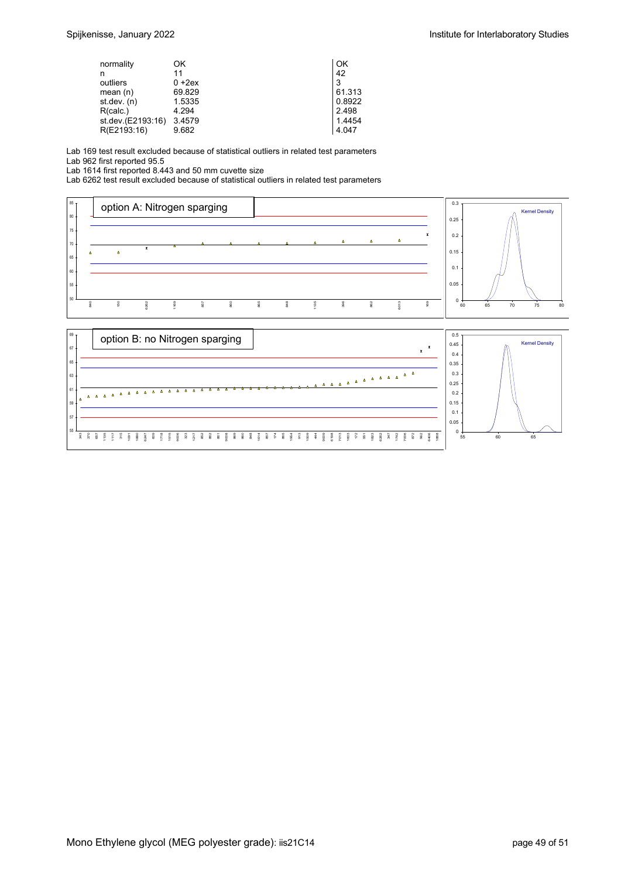| ОK        | ΟK     |
|-----------|--------|
| 11        | 42     |
| $0 + 2ex$ | 3      |
| 69.829    | 61.313 |
| 1.5335    | 0.8922 |
| 4.294     | 2.498  |
| 3.4579    | 1.4454 |
| 9.682     | 4.047  |
|           |        |

Lab 169 test result excluded because of statistical outliers in related test parameters

Lab 962 first reported 95.5

Lab 1614 first reported 8.443 and 50 mm cuvette size

Lab 6262 test result excluded because of statistical outliers in related test parameters



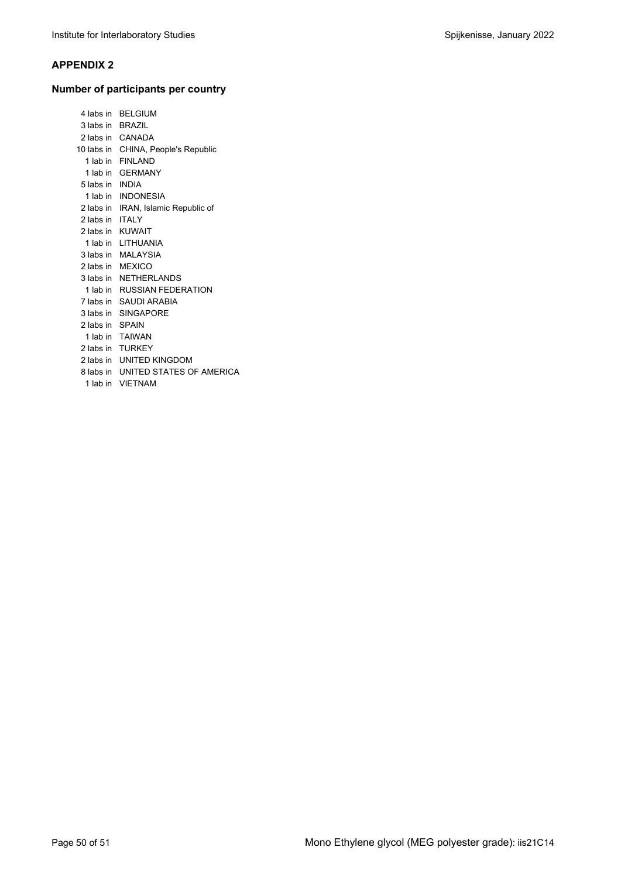#### **APPENDIX 2**

## **Number of participants per country**

|                  | 4 labs in BELGIUM                   |
|------------------|-------------------------------------|
| 3 labs in BRAZIL |                                     |
|                  | 2 labs in CANADA                    |
|                  | 10 labs in CHINA, People's Republic |
| 1 lab in         | <b>FINI AND</b>                     |
|                  | 1 lab in GFRMANY                    |
| 5 labs in INDIA  |                                     |
|                  | 1 lab in INDONESIA                  |
| 2 labs in        | IRAN, Islamic Republic of           |
| 2 labs in        | <b>ITALY</b>                        |
|                  | 2 labs in KUWAIT                    |
|                  | 1 lab in LITHUANIA                  |
|                  | 3 labs in MALAYSIA                  |
|                  | 2 labs in MEXICO                    |
|                  | 3 labs in NETHERI ANDS              |
|                  | 1 lab in RUSSIAN FEDERATION         |
|                  | 7 labs in SAUDI ARABIA              |
| 3 labs in        | <b>SINGAPORE</b>                    |
| 2 labs in SPAIN  |                                     |
|                  | 1 lab in TAIWAN                     |
| 2 labs in        | <b>TURKEY</b>                       |
|                  | 2 labs in UNITED KINGDOM            |
|                  | 8 labs in UNITED STATES OF AMERICA  |
| 1 lab in         | <b>VIFTNAM</b>                      |
|                  |                                     |